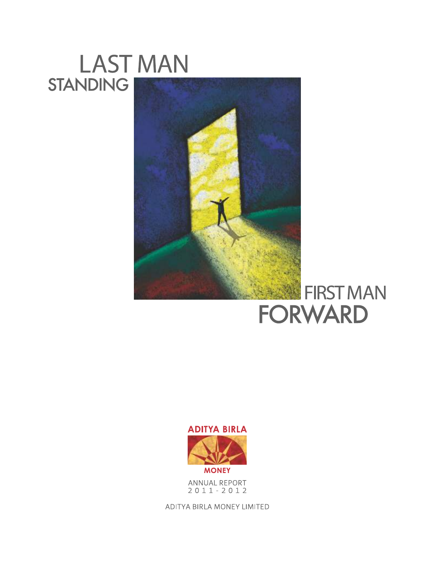# **LAST MAN STANDING**



# FIRST MAN **FORWARD**



ANNUAL REPORT  $2011 - 2012$ 

ADITYA BIRLA MONEY LIMITED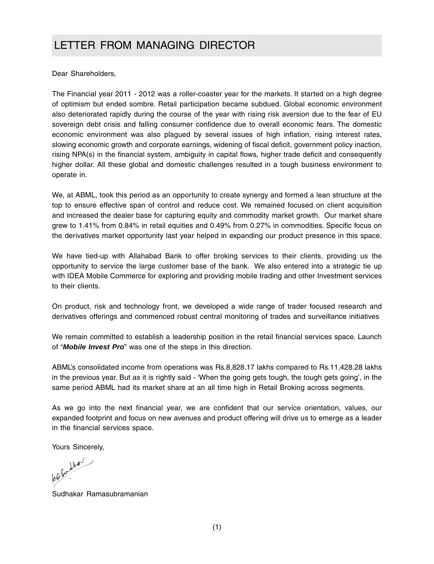### LETTER FROM MANAGING DIRECTOR

Dear Shareholders,

The Financial year 2011 - 2012 was a roller-coaster year for the markets. It started on a high degree of optimism but ended sombre. Retail participation became subdued. Global economic environment also deteriorated rapidly during the course of the year with rising risk aversion due to the fear of EU sovereign debt crisis and falling consumer confidence due to overall economic fears. The domestic economic environment was also plagued by several issues of high inflation, rising interest rates, slowing economic growth and corporate earnings, widening of fiscal deficit, government policy inaction, rising NPA(s) in the financial system, ambiguity in capital flows, higher trade deficit and consequently higher dollar. All these global and domestic challenges resulted in a tough business environment to operate in.

We, at ABML, took this period as an opportunity to create synergy and formed a lean structure at the top to ensure effective span of control and reduce cost. We remained focused on client acquisition and increased the dealer base for capturing equity and commodity market growth. Our market share grew to 1.41% from 0.84% in retail equities and 0.49% from 0.27% in commodities. Specific focus on the derivatives market opportunity last year helped in expanding our product presence in this space.

We have tied-up with Allahabad Bank to offer broking services to their clients, providing us the opportunity to service the large customer base of the bank. We also entered into a strategic tie up with IDEA Mobile Commerce for exploring and providing mobile trading and other Investment services to their clients.

On product, risk and technology front, we developed a wide range of trader focused research and derivatives offerings and commenced robust central monitoring of trades and surveillance initiatives

We remain committed to establish a leadership position in the retail financial services space. Launch of "*Mobile Invest Pro*" was one of the steps in this direction.

ABML's consolidated income from operations was Rs.8,828.17 lakhs compared to Rs.11,428.28 lakhs in the previous year. But as it is rightly said - 'When the going gets tough, the tough gets going', in the same period ABML had its market share at an all time high in Retail Broking across segments.

As we go into the next financial year, we are confident that our service orientation, values, our expanded footprint and focus on new avenues and product offering will drive us to emerge as a leader in the financial services space.

Yours Sincerely,

Sudhakar Ramasubramanian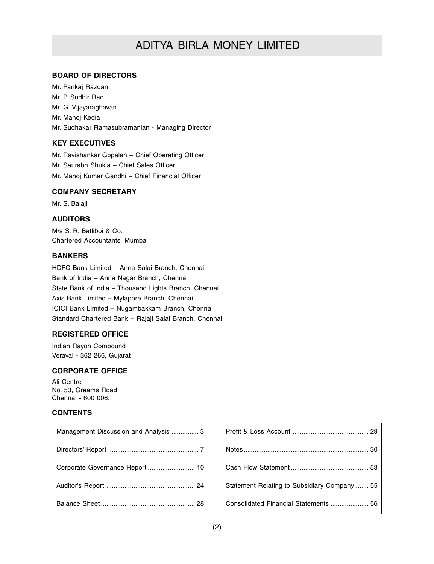### ADITYA BIRLA MONEY LIMITED

#### **BOARD OF DIRECTORS**

Mr. Pankaj Razdan Mr. P. Sudhir Rao Mr. G. Vijayaraghavan Mr. Manoj Kedia Mr. Sudhakar Ramasubramanian - Managing Director

#### **KEY EXECUTIVES**

Mr. Ravishankar Gopalan – Chief Operating Officer Mr. Saurabh Shukla – Chief Sales Officer Mr. Manoj Kumar Gandhi – Chief Financial Officer

#### **COMPANY SECRETARY**

Mr. S. Balaji

#### **AUDITORS**

M/s S. R. Batliboi & Co. Chartered Accountants, Mumbai

#### **BANKERS**

HDFC Bank Limited – Anna Salai Branch, Chennai Bank of India – Anna Nagar Branch, Chennai State Bank of India – Thousand Lights Branch, Chennai Axis Bank Limited – Mylapore Branch, Chennai ICICI Bank Limited – Nugambakkam Branch, Chennai Standard Chartered Bank – Rajaji Salai Branch, Chennai

#### **REGISTERED OFFICE**

Indian Rayon Compound Veraval - 362 266, Gujarat

#### **CORPORATE OFFICE**

Ali Centre No. 53, Greams Road Chennai - 600 006.

#### **CONTENTS**

| Management Discussion and Analysis  3 |                                              |
|---------------------------------------|----------------------------------------------|
|                                       |                                              |
|                                       |                                              |
|                                       | Statement Relating to Subsidiary Company  55 |
|                                       | Consolidated Financial Statements  56        |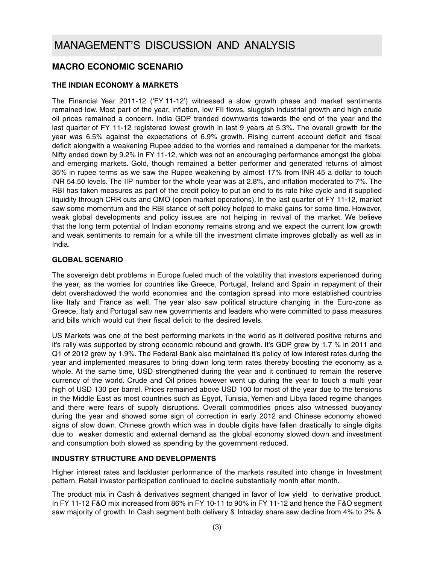### **MACRO ECONOMIC SCENARIO**

#### **THE INDIAN ECONOMY & MARKETS**

The Financial Year 2011-12 ('FY 11-12') witnessed a slow growth phase and market sentiments remained low. Most part of the year, inflation, low FII flows, sluggish industrial growth and high crude oil prices remained a concern. India GDP trended downwards towards the end of the year and the last quarter of FY 11-12 registered lowest growth in last 9 years at 5.3%. The overall growth for the year was 6.5% against the expectations of 6.9% growth. Rising current account deficit and fiscal deficit alongwith a weakening Rupee added to the worries and remained a dampener for the markets. Nifty ended down by 9.2% in FY 11-12, which was not an encouraging performance amongst the global and emerging markets. Gold, though remained a better performer and generated returns of almost 35% in rupee terms as we saw the Rupee weakening by almost 17% from INR 45 a dollar to touch INR 54.50 levels. The IIP number for the whole year was at 2.8%, and inflation moderated to 7%. The RBI has taken measures as part of the credit policy to put an end to its rate hike cycle and it supplied liquidity through CRR cuts and OMO (open market operations). In the last quarter of FY 11-12, market saw some momentum and the RBI stance of soft policy helped to make gains for some time. However, weak global developments and policy issues are not helping in revival of the market. We believe that the long term potential of Indian economy remains strong and we expect the current low growth and weak sentiments to remain for a while till the investment climate improves globally as well as in India.

#### **GLOBAL SCENARIO**

The sovereign debt problems in Europe fueled much of the volatility that investors experienced during the year, as the worries for countries like Greece, Portugal, Ireland and Spain in repayment of their debt overshadowed the world economies and the contagion spread into more established countries like Italy and France as well. The year also saw political structure changing in the Euro-zone as Greece, Italy and Portugal saw new governments and leaders who were committed to pass measures and bills which would cut their fiscal deficit to the desired levels.

US Markets was one of the best performing markets in the world as it delivered positive returns and it's rally was supported by strong economic rebound and growth. It's GDP grew by 1.7 % in 2011 and Q1 of 2012 grew by 1.9%. The Federal Bank also maintained it's policy of low interest rates during the year and implemented measures to bring down long term rates thereby boosting the economy as a whole. At the same time, USD strengthened during the year and it continued to remain the reserve currency of the world. Crude and Oil prices however went up during the year to touch a multi year high of USD 130 per barrel. Prices remained above USD 100 for most of the year due to the tensions in the Middle East as most countries such as Egypt, Tunisia, Yemen and Libya faced regime changes and there were fears of supply disruptions. Overall commodities prices also witnessed buoyancy during the year and showed some sign of correction in early 2012 and Chinese economy showed signs of slow down. Chinese growth which was in double digits have fallen drastically to single digits due to weaker domestic and external demand as the global economy slowed down and investment and consumption both slowed as spending by the government reduced.

#### **INDUSTRY STRUCTURE AND DEVELOPMENTS**

Higher interest rates and lackluster performance of the markets resulted into change in Investment pattern. Retail investor participation continued to decline substantially month after month.

The product mix in Cash & derivatives segment changed in favor of low yield to derivative product. In FY 11-12 F&O mix increased from 86% in FY 10-11 to 90% in FY 11-12 and hence the F&O segment saw majority of growth. In Cash segment both delivery & Intraday share saw decline from 4% to 2% &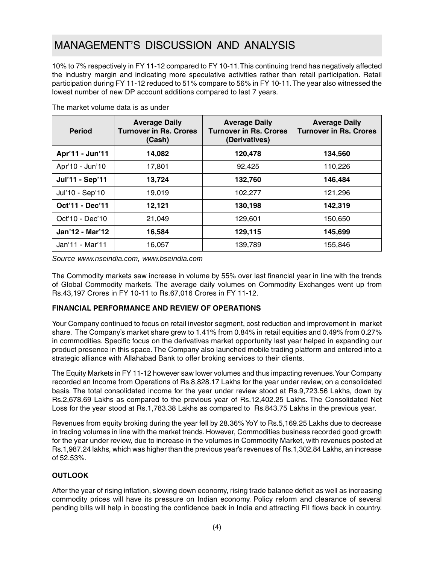10% to 7% respectively in FY 11-12 compared to FY 10-11.This continuing trend has negatively affected the industry margin and indicating more speculative activities rather than retail participation. Retail participation during FY 11-12 reduced to 51% compare to 56% in FY 10-11. The year also witnessed the lowest number of new DP account additions compared to last 7 years.

| <b>Period</b>   | <b>Average Daily</b><br><b>Turnover in Rs. Crores</b><br>(Cash) | <b>Average Daily</b><br><b>Turnover in Rs. Crores</b><br>(Derivatives) | <b>Average Daily</b><br><b>Turnover in Rs. Crores</b> |
|-----------------|-----------------------------------------------------------------|------------------------------------------------------------------------|-------------------------------------------------------|
| Apr'11 - Jun'11 | 14,082                                                          | 120,478                                                                | 134,560                                               |
| Apr'10 - Jun'10 | 17,801                                                          | 92,425                                                                 | 110,226                                               |
| Jul'11 - Sep'11 | 13,724                                                          | 132,760                                                                | 146,484                                               |
| Jul'10 - Sep'10 | 19,019                                                          | 102,277                                                                | 121,296                                               |
| Oct'11 - Dec'11 | 12,121                                                          | 130,198                                                                | 142,319                                               |
| Oct'10 - Dec'10 | 21,049                                                          | 129,601                                                                | 150,650                                               |
| Jan'12 - Mar'12 | 16,584                                                          | 129.115                                                                | 145,699                                               |
| Jan'11 - Mar'11 | 16,057                                                          | 139,789                                                                | 155,846                                               |

The market volume data is as under

*Source www.nseindia.com, www.bseindia.com*

The Commodity markets saw increase in volume by 55% over last financial year in line with the trends of Global Commodity markets. The average daily volumes on Commodity Exchanges went up from Rs.43,197 Crores in FY 10-11 to Rs.67,016 Crores in FY 11-12.

### **FINANCIAL PERFORMANCE AND REVIEW OF OPERATIONS**

Your Company continued to focus on retail investor segment, cost reduction and improvement in market share. The Company's market share grew to 1.41% from 0.84% in retail equities and 0.49% from 0.27% in commodities. Specific focus on the derivatives market opportunity last year helped in expanding our product presence in this space. The Company also launched mobile trading platform and entered into a strategic alliance with Allahabad Bank to offer broking services to their clients.

The Equity Markets in FY 11-12 however saw lower volumes and thus impacting revenues. Your Company recorded an Income from Operations of Rs.8,828.17 Lakhs for the year under review, on a consolidated basis. The total consolidated income for the year under review stood at Rs.9,723.56 Lakhs, down by Rs.2,678.69 Lakhs as compared to the previous year of Rs.12,402.25 Lakhs. The Consolidated Net Loss for the year stood at Rs.1,783.38 Lakhs as compared to Rs.843.75 Lakhs in the previous year.

Revenues from equity broking during the year fell by 28.36% YoY to Rs.5,169.25 Lakhs due to decrease in trading volumes in line with the market trends. However, Commodities business recorded good growth for the year under review, due to increase in the volumes in Commodity Market, with revenues posted at Rs.1,987.24 lakhs, which was higher than the previous year's revenues of Rs.1,302.84 Lakhs, an increase of 52.53%.

### **OUTLOOK**

After the year of rising inflation, slowing down economy, rising trade balance deficit as well as increasing commodity prices will have its pressure on Indian economy. Policy reform and clearance of several pending bills will help in boosting the confidence back in India and attracting FII flows back in country.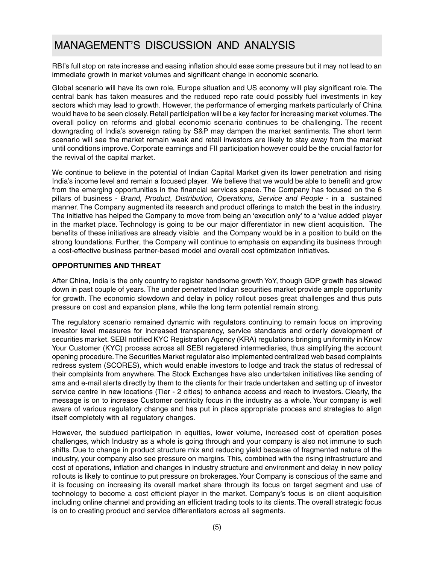RBI's full stop on rate increase and easing inflation should ease some pressure but it may not lead to an immediate growth in market volumes and significant change in economic scenario.

Global scenario will have its own role, Europe situation and US economy will play significant role. The central bank has taken measures and the reduced repo rate could possibly fuel investments in key sectors which may lead to growth. However, the performance of emerging markets particularly of China would have to be seen closely. Retail participation will be a key factor for increasing market volumes. The overall policy on reforms and global economic scenario continues to be challenging. The recent downgrading of India's sovereign rating by S&P may dampen the market sentiments. The short term scenario will see the market remain weak and retail investors are likely to stay away from the market until conditions improve. Corporate earnings and FII participation however could be the crucial factor for the revival of the capital market.

We continue to believe in the potential of Indian Capital Market given its lower penetration and rising India's income level and remain a focused player. We believe that we would be able to benefit and grow from the emerging opportunities in the financial services space. The Company has focused on the 6 pillars of business - *Brand, Product, Distribution, Operations, Service and People* - in a sustained manner. The Company augmented its research and product offerings to match the best in the industry. The initiative has helped the Company to move from being an 'execution only' to a 'value added' player in the market place. Technology is going to be our major differentiator in new client acquisition. The benefits of these initiatives are already visible and the Company would be in a position to build on the strong foundations. Further, the Company will continue to emphasis on expanding its business through a cost-effective business partner-based model and overall cost optimization initiatives.

#### **OPPORTUNITIES AND THREAT**

After China, India is the only country to register handsome growth YoY, though GDP growth has slowed down in past couple of years. The under penetrated Indian securities market provide ample opportunity for growth. The economic slowdown and delay in policy rollout poses great challenges and thus puts pressure on cost and expansion plans, while the long term potential remain strong.

The regulatory scenario remained dynamic with regulators continuing to remain focus on improving investor level measures for increased transparency, service standards and orderly development of securities market. SEBI notified KYC Registration Agency (KRA) regulations bringing uniformity in Know Your Customer (KYC) process across all SEBI registered intermediaries, thus simplifying the account opening procedure. The Securities Market regulator also implemented centralized web based complaints redress system (SCORES), which would enable investors to lodge and track the status of redressal of their complaints from anywhere. The Stock Exchanges have also undertaken initiatives like sending of sms and e-mail alerts directly by them to the clients for their trade undertaken and setting up of investor service centre in new locations (Tier - 2 cities) to enhance access and reach to investors. Clearly, the message is on to increase Customer centricity focus in the industry as a whole. Your company is well aware of various regulatory change and has put in place appropriate process and strategies to align itself completely with all regulatory changes.

However, the subdued participation in equities, lower volume, increased cost of operation poses challenges, which Industry as a whole is going through and your company is also not immune to such shifts. Due to change in product structure mix and reducing yield because of fragmented nature of the industry, your company also see pressure on margins. This, combined with the rising infrastructure and cost of operations, inflation and changes in industry structure and environment and delay in new policy rollouts is likely to continue to put pressure on brokerages. Your Company is conscious of the same and it is focusing on increasing its overall market share through its focus on target segment and use of technology to become a cost efficient player in the market. Company's focus is on client acquisition including online channel and providing an efficient trading tools to its clients. The overall strategic focus is on to creating product and service differentiators across all segments.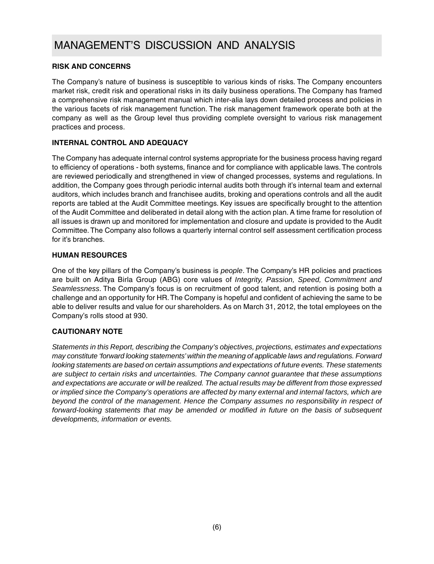#### **RISK AND CONCERNS**

The Company's nature of business is susceptible to various kinds of risks. The Company encounters market risk, credit risk and operational risks in its daily business operations. The Company has framed a comprehensive risk management manual which inter-alia lays down detailed process and policies in the various facets of risk management function. The risk management framework operate both at the company as well as the Group level thus providing complete oversight to various risk management practices and process.

#### **INTERNAL CONTROL AND ADEQUACY**

The Company has adequate internal control systems appropriate for the business process having regard to efficiency of operations - both systems, finance and for compliance with applicable laws. The controls are reviewed periodically and strengthened in view of changed processes, systems and regulations. In addition, the Company goes through periodic internal audits both through it's internal team and external auditors, which includes branch and franchisee audits, broking and operations controls and all the audit reports are tabled at the Audit Committee meetings. Key issues are specifically brought to the attention of the Audit Committee and deliberated in detail along with the action plan. A time frame for resolution of all issues is drawn up and monitored for implementation and closure and update is provided to the Audit Committee. The Company also follows a quarterly internal control self assessment certification process for it's branches.

#### **HUMAN RESOURCES**

One of the key pillars of the Company's business is *people*. The Company's HR policies and practices are built on Aditya Birla Group (ABG) core values of *Integrity, Passion, Speed, Commitment and Seamlessness*. The Company's focus is on recruitment of good talent, and retention is posing both a challenge and an opportunity for HR. The Company is hopeful and confident of achieving the same to be able to deliver results and value for our shareholders. As on March 31, 2012, the total employees on the Company's rolls stood at 930.

### **CAUTIONARY NOTE**

*Statements in this Report, describing the Company's objectives, projections, estimates and expectations may constitute 'forward looking statements' within the meaning of applicable laws and regulations. Forward looking statements are based on certain assumptions and expectations of future events. These statements are subject to certain risks and uncertainties. The Company cannot guarantee that these assumptions and expectations are accurate or will be realized. The actual results may be different from those expressed or implied since the Company's operations are affected by many external and internal factors, which are beyond the control of the management. Hence the Company assumes no responsibility in respect of forward-looking statements that may be amended or modified in future on the basis of subsequent developments, information or events.*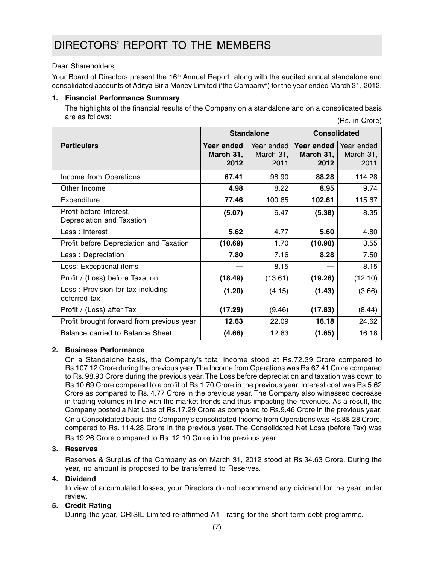### DIRECTORS' REPORT TO THE MEMBERS

#### Dear Shareholders,

Your Board of Directors present the  $16<sup>th</sup>$  Annual Report, along with the audited annual standalone and consolidated accounts of Aditya Birla Money Limited ('the Company") for the year ended March 31, 2012.

#### **1. Financial Performance Summary**

(Rs. in Crore) The highlights of the financial results of the Company on a standalone and on a consolidated basis are as follows:

|                                                      |                                 | <b>Standalone</b>               |                                 | <b>Consolidated</b>             |  |
|------------------------------------------------------|---------------------------------|---------------------------------|---------------------------------|---------------------------------|--|
| <b>Particulars</b>                                   | Year ended<br>March 31,<br>2012 | Year ended<br>March 31,<br>2011 | Year ended<br>March 31,<br>2012 | Year ended<br>March 31,<br>2011 |  |
| Income from Operations                               | 67.41                           | 98.90                           | 88.28                           | 114.28                          |  |
| Other Income                                         | 4.98                            | 8.22                            | 8.95                            | 9.74                            |  |
| Expenditure                                          | 77.46                           | 100.65                          | 102.61                          | 115.67                          |  |
| Profit before Interest,<br>Depreciation and Taxation | (5.07)                          | 6.47                            | (5.38)                          | 8.35                            |  |
| Less: Interest                                       | 5.62                            | 4.77                            | 5.60                            | 4.80                            |  |
| Profit before Depreciation and Taxation              | (10.69)                         | 1.70                            | (10.98)                         | 3.55                            |  |
| Less: Depreciation                                   | 7.80                            | 7.16                            | 8.28                            | 7.50                            |  |
| Less: Exceptional items                              |                                 | 8.15                            |                                 | 8.15                            |  |
| Profit / (Loss) before Taxation                      | (18.49)                         | (13.61)                         | (19.26)                         | (12.10)                         |  |
| Less: Provision for tax including<br>deferred tax    | (1.20)                          | (4.15)                          | (1.43)                          | (3.66)                          |  |
| Profit / (Loss) after Tax                            | (17.29)                         | (9.46)                          | (17.83)                         | (8.44)                          |  |
| Profit brought forward from previous year            | 12.63                           | 22.09                           | 16.18                           | 24.62                           |  |
| Balance carried to Balance Sheet                     | (4.66)                          | 12.63                           | (1.65)                          | 16.18                           |  |

#### **2. Business Performance**

On a Standalone basis, the Company's total income stood at Rs.72.39 Crore compared to Rs.107.12 Crore during the previous year. The Income from Operations was Rs.67.41 Crore compared to Rs. 98.90 Crore during the previous year. The Loss before depreciation and taxation was down to Rs.10.69 Crore compared to a profit of Rs.1.70 Crore in the previous year. Interest cost was Rs.5.62 Crore as compared to Rs. 4.77 Crore in the previous year. The Company also witnessed decrease in trading volumes in line with the market trends and thus impacting the revenues. As a result, the Company posted a Net Loss of Rs.17.29 Crore as compared to Rs.9.46 Crore in the previous year. On a Consolidated basis, the Company's consolidated Income from Operations was Rs.88.28 Crore, compared to Rs. 114.28 Crore in the previous year. The Consolidated Net Loss (before Tax) was Rs.19.26 Crore compared to Rs. 12.10 Crore in the previous year.

### **3. Reserves**

Reserves & Surplus of the Company as on March 31, 2012 stood at Rs.34.63 Crore. During the year, no amount is proposed to be transferred to Reserves.

#### **4. Dividend**

In view of accumulated losses, your Directors do not recommend any dividend for the year under review.

### **5. Credit Rating**

During the year, CRISIL Limited re-affirmed A1+ rating for the short term debt programme.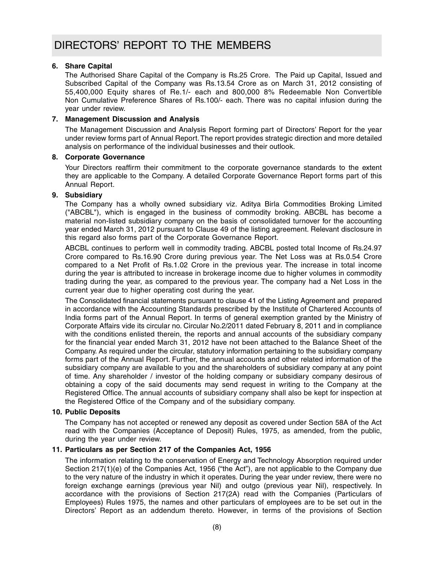#### **6. Share Capital**

The Authorised Share Capital of the Company is Rs.25 Crore. The Paid up Capital, Issued and Subscribed Capital of the Company was Rs.13.54 Crore as on March 31, 2012 consisting of 55,400,000 Equity shares of Re.1/- each and 800,000 8% Redeemable Non Convertible Non Cumulative Preference Shares of Rs.100/- each. There was no capital infusion during the year under review.

#### **7. Management Discussion and Analysis**

The Management Discussion and Analysis Report forming part of Directors' Report for the year under review forms part of Annual Report. The report provides strategic direction and more detailed analysis on performance of the individual businesses and their outlook.

#### **8. Corporate Governance**

Your Directors reaffirm their commitment to the corporate governance standards to the extent they are applicable to the Company. A detailed Corporate Governance Report forms part of this Annual Report.

#### **9. Subsidiary**

The Company has a wholly owned subsidiary viz. Aditya Birla Commodities Broking Limited ("ABCBL"), which is engaged in the business of commodity broking. ABCBL has become a material non-listed subsidiary company on the basis of consolidated turnover for the accounting year ended March 31, 2012 pursuant to Clause 49 of the listing agreement. Relevant disclosure in this regard also forms part of the Corporate Governance Report.

ABCBL continues to perform well in commodity trading. ABCBL posted total Income of Rs.24.97 Crore compared to Rs.16.90 Crore during previous year. The Net Loss was at Rs.0.54 Crore compared to a Net Profit of Rs.1.02 Crore in the previous year. The increase in total income during the year is attributed to increase in brokerage income due to higher volumes in commodity trading during the year, as compared to the previous year. The company had a Net Loss in the current year due to higher operating cost during the year.

The Consolidated financial statements pursuant to clause 41 of the Listing Agreement and prepared in accordance with the Accounting Standards prescribed by the Institute of Chartered Accounts of India forms part of the Annual Report. In terms of general exemption granted by the Ministry of Corporate Affairs vide its circular no. Circular No.2/2011 dated February 8, 2011 and in compliance with the conditions enlisted therein, the reports and annual accounts of the subsidiary company for the financial year ended March 31, 2012 have not been attached to the Balance Sheet of the Company. As required under the circular, statutory information pertaining to the subsidiary company forms part of the Annual Report. Further, the annual accounts and other related information of the subsidiary company are available to you and the shareholders of subsidiary company at any point of time. Any shareholder / investor of the holding company or subsidiary company desirous of obtaining a copy of the said documents may send request in writing to the Company at the Registered Office. The annual accounts of subsidiary company shall also be kept for inspection at the Registered Office of the Company and of the subsidiary company.

#### **10. Public Deposits**

The Company has not accepted or renewed any deposit as covered under Section 58A of the Act read with the Companies (Acceptance of Deposit) Rules, 1975, as amended, from the public, during the year under review.

### **11. Particulars as per Section 217 of the Companies Act, 1956**

The information relating to the conservation of Energy and Technology Absorption required under Section 217(1)(e) of the Companies Act, 1956 ("the Act"), are not applicable to the Company due to the very nature of the industry in which it operates. During the year under review, there were no foreign exchange earnings (previous year Nil) and outgo (previous year Nil), respectively. In accordance with the provisions of Section 217(2A) read with the Companies (Particulars of Employees) Rules 1975, the names and other particulars of employees are to be set out in the Directors' Report as an addendum thereto. However, in terms of the provisions of Section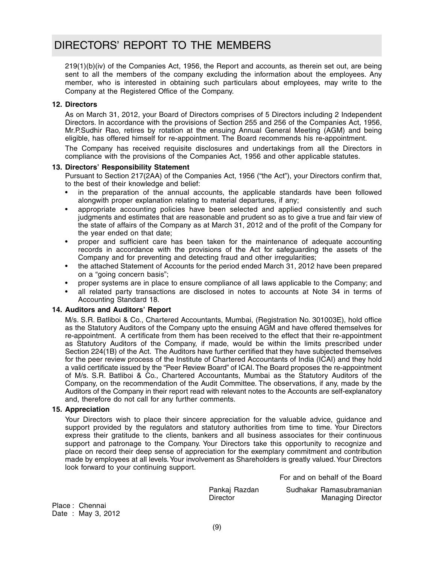### DIRECTORS' REPORT TO THE MEMBERS

219(1)(b)(iv) of the Companies Act, 1956, the Report and accounts, as therein set out, are being sent to all the members of the company excluding the information about the employees. Any member, who is interested in obtaining such particulars about employees, may write to the Company at the Registered Office of the Company.

#### **12. Directors**

As on March 31, 2012, your Board of Directors comprises of 5 Directors including 2 Independent Directors. In accordance with the provisions of Section 255 and 256 of the Companies Act, 1956, Mr.P.Sudhir Rao, retires by rotation at the ensuing Annual General Meeting (AGM) and being eligible, has offered himself for re-appointment. The Board recommends his re-appointment.

The Company has received requisite disclosures and undertakings from all the Directors in compliance with the provisions of the Companies Act, 1956 and other applicable statutes.

#### **13. Directors' Responsibility Statement**

Pursuant to Section 217(2AA) of the Companies Act, 1956 ("the Act"), your Directors confirm that, to the best of their knowledge and belief:

- in the preparation of the annual accounts, the applicable standards have been followed alongwith proper explanation relating to material departures, if any;
- appropriate accounting policies have been selected and applied consistently and such judgments and estimates that are reasonable and prudent so as to give a true and fair view of the state of affairs of the Company as at March 31, 2012 and of the profit of the Company for the year ended on that date;
- proper and sufficient care has been taken for the maintenance of adequate accounting records in accordance with the provisions of the Act for safeguarding the assets of the Company and for preventing and detecting fraud and other irregularities;
- the attached Statement of Accounts for the period ended March 31, 2012 have been prepared on a "going concern basis";
- proper systems are in place to ensure compliance of all laws applicable to the Company; and
- all related party transactions are disclosed in notes to accounts at Note 34 in terms of Accounting Standard 18.

#### **14. Auditors and Auditors' Report**

M/s. S.R. Batliboi & Co., Chartered Accountants, Mumbai, (Registration No. 301003E), hold office as the Statutory Auditors of the Company upto the ensuing AGM and have offered themselves for re-appointment. A certificate from them has been received to the effect that their re-appointment as Statutory Auditors of the Company, if made, would be within the limits prescribed under Section 224(1B) of the Act. The Auditors have further certified that they have subjected themselves for the peer review process of the Institute of Chartered Accountants of India (ICAI) and they hold a valid certificate issued by the "Peer Review Board" of ICAI. The Board proposes the re-appointment of M/s. S.R. Batliboi & Co., Chartered Accountants, Mumbai as the Statutory Auditors of the Company, on the recommendation of the Audit Committee. The observations, if any, made by the Auditors of the Company in their report read with relevant notes to the Accounts are self-explanatory and, therefore do not call for any further comments.

#### **15. Appreciation**

Your Directors wish to place their sincere appreciation for the valuable advice, guidance and support provided by the regulators and statutory authorities from time to time. Your Directors express their gratitude to the clients, bankers and all business associates for their continuous support and patronage to the Company. Your Directors take this opportunity to recognize and place on record their deep sense of appreciation for the exemplary commitment and contribution made by employees at all levels. Your involvement as Shareholders is greatly valued. Your Directors look forward to your continuing support.

For and on behalf of the Board

Pankaj Razdan Sudhakar Ramasubramanian Managing Director

Place : Chennai Date : May 3, 2012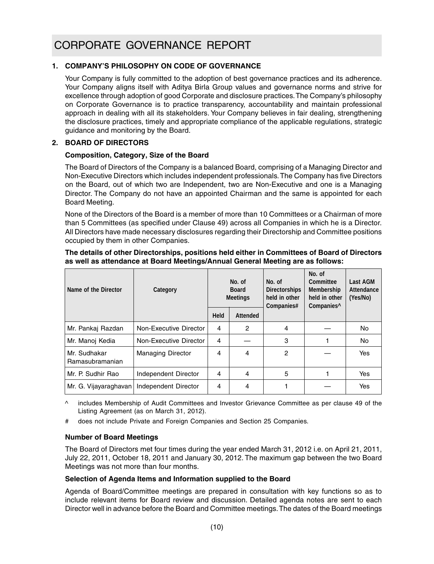### **1. COMPANY'S PHILOSOPHY ON CODE OF GOVERNANCE**

Your Company is fully committed to the adoption of best governance practices and its adherence. Your Company aligns itself with Aditya Birla Group values and governance norms and strive for excellence through adoption of good Corporate and disclosure practices. The Company's philosophy on Corporate Governance is to practice transparency, accountability and maintain professional approach in dealing with all its stakeholders. Your Company believes in fair dealing, strengthening the disclosure practices, timely and appropriate compliance of the applicable regulations, strategic guidance and monitoring by the Board.

#### **2. BOARD OF DIRECTORS**

#### **Composition, Category, Size of the Board**

The Board of Directors of the Company is a balanced Board, comprising of a Managing Director and Non-Executive Directors which includes independent professionals. The Company has five Directors on the Board, out of which two are Independent, two are Non-Executive and one is a Managing Director. The Company do not have an appointed Chairman and the same is appointed for each Board Meeting.

None of the Directors of the Board is a member of more than 10 Committees or a Chairman of more than 5 Committees (as specified under Clause 49) across all Companies in which he is a Director. All Directors have made necessary disclosures regarding their Directorship and Committee positions occupied by them in other Companies.

#### **The details of other Directorships, positions held either in Committees of Board of Directors as well as attendance at Board Meetings/Annual General Meeting are as follows:**

| Name of the Director            | Category                 | No. of<br><b>Board</b><br><b>Meetings</b> |          | No. of<br><b>Directorships</b><br>held in other<br>Companies# | No. of<br>Committee<br>Membership<br>held in other<br>Companies <sup>^</sup> | Last AGM<br>Attendance<br>(Yes/No) |
|---------------------------------|--------------------------|-------------------------------------------|----------|---------------------------------------------------------------|------------------------------------------------------------------------------|------------------------------------|
|                                 |                          | Held                                      | Attended |                                                               |                                                                              |                                    |
| Mr. Pankaj Razdan               | Non-Executive Director   | 4                                         | 2        | 4                                                             |                                                                              | No                                 |
| Mr. Manoj Kedia                 | Non-Executive Director   | 4                                         |          | 3                                                             |                                                                              | No                                 |
| Mr. Sudhakar<br>Ramasubramanian | <b>Managing Director</b> | 4                                         | 4        | 2                                                             |                                                                              | Yes                                |
| Mr. P. Sudhir Rao               | Independent Director     | 4                                         | 4        | 5                                                             |                                                                              | Yes                                |
| Mr. G. Vijayaraghavan           | Independent Director     | 4                                         | 4        |                                                               |                                                                              | Yes                                |

^ includes Membership of Audit Committees and Investor Grievance Committee as per clause 49 of the Listing Agreement (as on March 31, 2012).

does not include Private and Foreign Companies and Section 25 Companies.

#### **Number of Board Meetings**

The Board of Directors met four times during the year ended March 31, 2012 i.e. on April 21, 2011, July 22, 2011, October 18, 2011 and January 30, 2012. The maximum gap between the two Board Meetings was not more than four months.

#### **Selection of Agenda Items and Information supplied to the Board**

Agenda of Board/Committee meetings are prepared in consultation with key functions so as to include relevant items for Board review and discussion. Detailed agenda notes are sent to each Director well in advance before the Board and Committee meetings. The dates of the Board meetings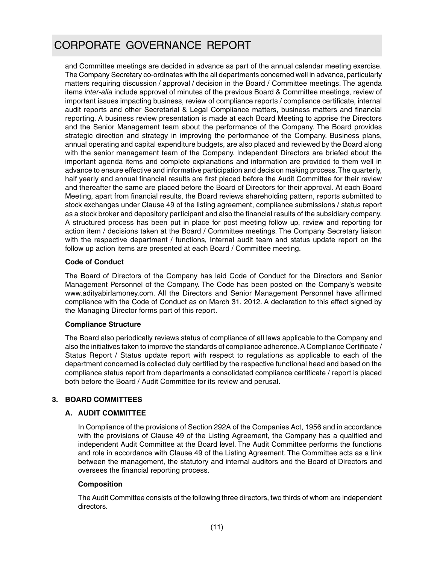and Committee meetings are decided in advance as part of the annual calendar meeting exercise. The Company Secretary co-ordinates with the all departments concerned well in advance, particularly matters requiring discussion / approval / decision in the Board / Committee meetings. The agenda items *inter-alia* include approval of minutes of the previous Board & Committee meetings, review of important issues impacting business, review of compliance reports / compliance certificate, internal audit reports and other Secretarial & Legal Compliance matters, business matters and financial reporting. A business review presentation is made at each Board Meeting to apprise the Directors and the Senior Management team about the performance of the Company. The Board provides strategic direction and strategy in improving the performance of the Company. Business plans, annual operating and capital expenditure budgets, are also placed and reviewed by the Board along with the senior management team of the Company. Independent Directors are briefed about the important agenda items and complete explanations and information are provided to them well in advance to ensure effective and informative participation and decision making process. The quarterly, half yearly and annual financial results are first placed before the Audit Committee for their review and thereafter the same are placed before the Board of Directors for their approval. At each Board Meeting, apart from financial results, the Board reviews shareholding pattern, reports submitted to stock exchanges under Clause 49 of the listing agreement, compliance submissions / status report as a stock broker and depository participant and also the financial results of the subsidiary company. A structured process has been put in place for post meeting follow up, review and reporting for action item / decisions taken at the Board / Committee meetings. The Company Secretary liaison with the respective department / functions, Internal audit team and status update report on the follow up action items are presented at each Board / Committee meeting.

#### **Code of Conduct**

The Board of Directors of the Company has laid Code of Conduct for the Directors and Senior Management Personnel of the Company. The Code has been posted on the Company's website www.adityabirlamoney.com. All the Directors and Senior Management Personnel have affirmed compliance with the Code of Conduct as on March 31, 2012. A declaration to this effect signed by the Managing Director forms part of this report.

#### **Compliance Structure**

The Board also periodically reviews status of compliance of all laws applicable to the Company and also the initiatives taken to improve the standards of compliance adherence. A Compliance Certificate / Status Report / Status update report with respect to regulations as applicable to each of the department concerned is collected duly certified by the respective functional head and based on the compliance status report from departments a consolidated compliance certificate / report is placed both before the Board / Audit Committee for its review and perusal.

#### **3. BOARD COMMITTEES**

#### **A. AUDIT COMMITTEE**

In Compliance of the provisions of Section 292A of the Companies Act, 1956 and in accordance with the provisions of Clause 49 of the Listing Agreement, the Company has a qualified and independent Audit Committee at the Board level. The Audit Committee performs the functions and role in accordance with Clause 49 of the Listing Agreement. The Committee acts as a link between the management, the statutory and internal auditors and the Board of Directors and oversees the financial reporting process.

#### **Composition**

The Audit Committee consists of the following three directors, two thirds of whom are independent directors.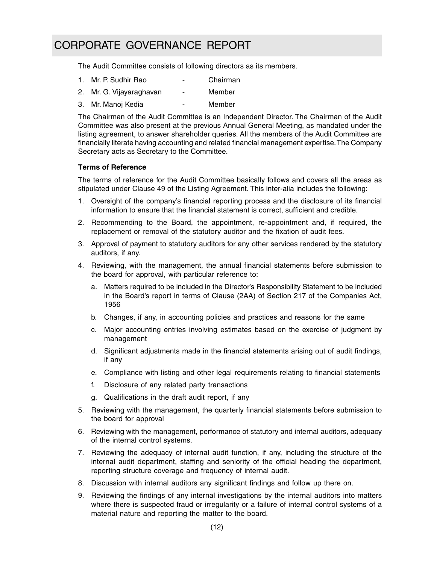The Audit Committee consists of following directors as its members.

- 1. Mr. P. Sudhir Rao Chairman
- 2. Mr. G. Vijayaraghavan Member
- 3. Mr. Manoj Kedia Member

The Chairman of the Audit Committee is an Independent Director. The Chairman of the Audit Committee was also present at the previous Annual General Meeting, as mandated under the listing agreement, to answer shareholder queries. All the members of the Audit Committee are financially literate having accounting and related financial management expertise. The Company Secretary acts as Secretary to the Committee.

#### **Terms of Reference**

The terms of reference for the Audit Committee basically follows and covers all the areas as stipulated under Clause 49 of the Listing Agreement. This inter-alia includes the following:

- 1. Oversight of the company's financial reporting process and the disclosure of its financial information to ensure that the financial statement is correct, sufficient and credible.
- 2. Recommending to the Board, the appointment, re-appointment and, if required, the replacement or removal of the statutory auditor and the fixation of audit fees.
- 3. Approval of payment to statutory auditors for any other services rendered by the statutory auditors, if any.
- 4. Reviewing, with the management, the annual financial statements before submission to the board for approval, with particular reference to:
	- a. Matters required to be included in the Director's Responsibility Statement to be included in the Board's report in terms of Clause (2AA) of Section 217 of the Companies Act, 1956
	- b. Changes, if any, in accounting policies and practices and reasons for the same
	- c. Major accounting entries involving estimates based on the exercise of judgment by management
	- d. Significant adjustments made in the financial statements arising out of audit findings, if any
	- e. Compliance with listing and other legal requirements relating to financial statements
	- f. Disclosure of any related party transactions
	- g. Qualifications in the draft audit report, if any
- 5. Reviewing with the management, the quarterly financial statements before submission to the board for approval
- 6. Reviewing with the management, performance of statutory and internal auditors, adequacy of the internal control systems.
- 7. Reviewing the adequacy of internal audit function, if any, including the structure of the internal audit department, staffing and seniority of the official heading the department, reporting structure coverage and frequency of internal audit.
- 8. Discussion with internal auditors any significant findings and follow up there on.
- 9. Reviewing the findings of any internal investigations by the internal auditors into matters where there is suspected fraud or irregularity or a failure of internal control systems of a material nature and reporting the matter to the board.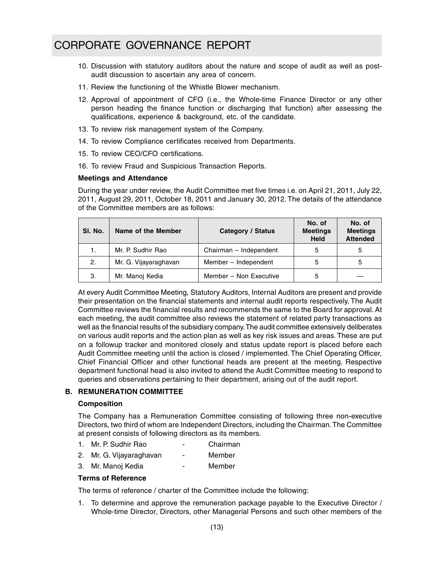- 10. Discussion with statutory auditors about the nature and scope of audit as well as postaudit discussion to ascertain any area of concern.
- 11. Review the functioning of the Whistle Blower mechanism.
- 12. Approval of appointment of CFO (i.e., the Whole-time Finance Director or any other person heading the finance function or discharging that function) after assessing the qualifications, experience & background, etc. of the candidate.
- 13. To review risk management system of the Company.
- 14. To review Compliance certificates received from Departments.
- 15. To review CEO/CFO certifications.
- 16. To review Fraud and Suspicious Transaction Reports.

#### **Meetings and Attendance**

During the year under review, the Audit Committee met five times i.e. on April 21, 2011, July 22, 2011, August 29, 2011, October 18, 2011 and January 30, 2012. The details of the attendance of the Committee members are as follows:

| SI. No. | Name of the Member    | <b>Category / Status</b> | No. of<br><b>Meetings</b><br><b>Held</b> | No. of<br><b>Meetings</b><br><b>Attended</b> |
|---------|-----------------------|--------------------------|------------------------------------------|----------------------------------------------|
|         | Mr. P. Sudhir Rao     | Chairman - Independent   | 5                                        | 5                                            |
| 2.      | Mr. G. Vijayaraghavan | Member - Independent     | 5                                        | 5                                            |
| 3.      | Mr. Manoj Kedia       | Member - Non Executive   | 5                                        |                                              |

At every Audit Committee Meeting, Statutory Auditors, Internal Auditors are present and provide their presentation on the financial statements and internal audit reports respectively. The Audit Committee reviews the financial results and recommends the same to the Board for approval. At each meeting, the audit committee also reviews the statement of related party transactions as well as the financial results of the subsidiary company. The audit committee extensively deliberates on various audit reports and the action plan as well as key risk issues and areas. These are put on a followup tracker and monitored closely and status update report is placed before each Audit Committee meeting until the action is closed / implemented. The Chief Operating Officer, Chief Financial Officer and other functional heads are present at the meeting. Respective department functional head is also invited to attend the Audit Committee meeting to respond to queries and observations pertaining to their department, arising out of the audit report.

#### **B. REMUNERATION COMMITTEE**

#### **Composition**

The Company has a Remuneration Committee consisting of following three non-executive Directors, two third of whom are Independent Directors, including the Chairman. The Committee at present consists of following directors as its members.

- 1. Mr. P. Sudhir Rao Chairman
- 2. Mr. G. Vijayaraghavan Member
- 3. Mr. Manoj Kedia Member

#### **Terms of Reference**

The terms of reference / charter of the Committee include the following:

1. To determine and approve the remuneration package payable to the Executive Director / Whole-time Director, Directors, other Managerial Persons and such other members of the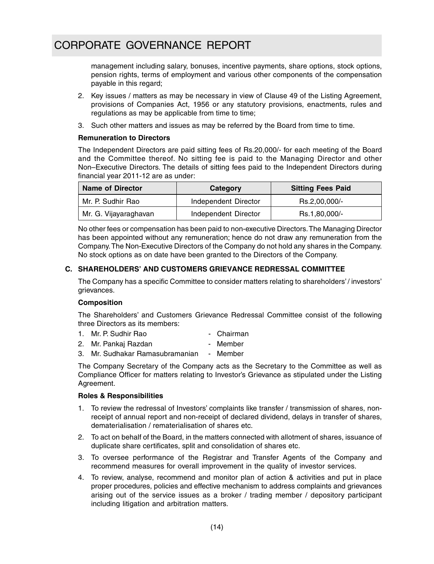management including salary, bonuses, incentive payments, share options, stock options, pension rights, terms of employment and various other components of the compensation payable in this regard;

- 2. Key issues / matters as may be necessary in view of Clause 49 of the Listing Agreement, provisions of Companies Act, 1956 or any statutory provisions, enactments, rules and regulations as may be applicable from time to time;
- 3. Such other matters and issues as may be referred by the Board from time to time.

#### **Remuneration to Directors**

The Independent Directors are paid sitting fees of Rs.20,000/- for each meeting of the Board and the Committee thereof. No sitting fee is paid to the Managing Director and other Non–Executive Directors. The details of sitting fees paid to the Independent Directors during financial year 2011-12 are as under:

| <b>Name of Director</b> | Category             | <b>Sitting Fees Paid</b> |
|-------------------------|----------------------|--------------------------|
| Mr. P. Sudhir Rao       | Independent Director | Rs.2,00,000/-            |
| Mr. G. Vijayaraghavan   | Independent Director | Rs.1,80,000/-            |

No other fees or compensation has been paid to non-executive Directors. The Managing Director has been appointed without any remuneration; hence do not draw any remuneration from the Company. The Non-Executive Directors of the Company do not hold any shares in the Company. No stock options as on date have been granted to the Directors of the Company.

#### **C. SHAREHOLDERS' AND CUSTOMERS GRIEVANCE REDRESSAL COMMITTEE**

The Company has a specific Committee to consider matters relating to shareholders' / investors' grievances.

#### **Composition**

The Shareholders' and Customers Grievance Redressal Committee consist of the following three Directors as its members:

- 1. Mr. P. Sudhir Rao Chairman
- 2. Mr. Pankaj Razdan Member
- 3. Mr. Sudhakar Ramasubramanian Member

The Company Secretary of the Company acts as the Secretary to the Committee as well as Compliance Officer for matters relating to Investor's Grievance as stipulated under the Listing Agreement.

#### **Roles & Responsibilities**

- 1. To review the redressal of Investors' complaints like transfer / transmission of shares, nonreceipt of annual report and non-receipt of declared dividend, delays in transfer of shares, dematerialisation / rematerialisation of shares etc.
- 2. To act on behalf of the Board, in the matters connected with allotment of shares, issuance of duplicate share certificates, split and consolidation of shares etc.
- 3. To oversee performance of the Registrar and Transfer Agents of the Company and recommend measures for overall improvement in the quality of investor services.
- 4. To review, analyse, recommend and monitor plan of action & activities and put in place proper procedures, policies and effective mechanism to address complaints and grievances arising out of the service issues as a broker / trading member / depository participant including litigation and arbitration matters.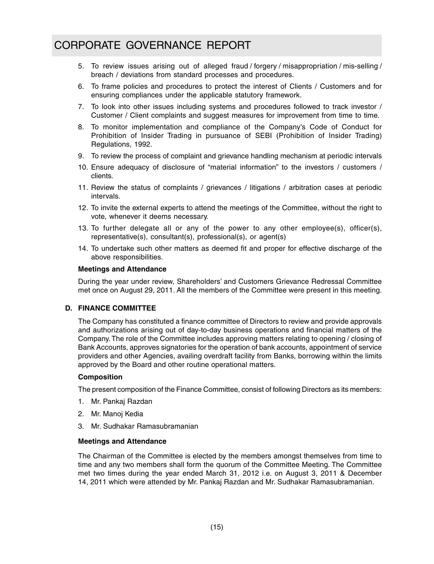- 5. To review issues arising out of alleged fraud / forgery / misappropriation / mis-selling / breach / deviations from standard processes and procedures.
- 6. To frame policies and procedures to protect the interest of Clients / Customers and for ensuring compliances under the applicable statutory framework.
- 7. To look into other issues including systems and procedures followed to track investor / Customer / Client complaints and suggest measures for improvement from time to time.
- 8. To monitor implementation and compliance of the Company's Code of Conduct for Prohibition of Insider Trading in pursuance of SEBI (Prohibition of Insider Trading) Regulations, 1992.
- 9. To review the process of complaint and grievance handling mechanism at periodic intervals
- 10. Ensure adequacy of disclosure of "material information" to the investors / customers / clients.
- 11. Review the status of complaints / grievances / litigations / arbitration cases at periodic intervals.
- 12. To invite the external experts to attend the meetings of the Committee, without the right to vote, whenever it deems necessary.
- 13. To further delegate all or any of the power to any other employee(s), officer(s), representative(s), consultant(s), professional(s), or agent(s)
- 14. To undertake such other matters as deemed fit and proper for effective discharge of the above responsibilities.

#### **Meetings and Attendance**

During the year under review, Shareholders' and Customers Grievance Redressal Committee met once on August 29, 2011. All the members of the Committee were present in this meeting.

#### **D. FINANCE COMMITTEE**

The Company has constituted a finance committee of Directors to review and provide approvals and authorizations arising out of day-to-day business operations and financial matters of the Company. The role of the Committee includes approving matters relating to opening / closing of Bank Accounts, approves signatories for the operation of bank accounts, appointment of service providers and other Agencies, availing overdraft facility from Banks, borrowing within the limits approved by the Board and other routine operational matters.

#### **Composition**

The present composition of the Finance Committee, consist of following Directors as its members:

- 1. Mr. Pankaj Razdan
- 2. Mr. Manoj Kedia
- 3. Mr. Sudhakar Ramasubramanian

#### **Meetings and Attendance**

The Chairman of the Committee is elected by the members amongst themselves from time to time and any two members shall form the quorum of the Committee Meeting. The Committee met two times during the year ended March 31, 2012 i.e. on August 3, 2011 & December 14, 2011 which were attended by Mr. Pankaj Razdan and Mr. Sudhakar Ramasubramanian.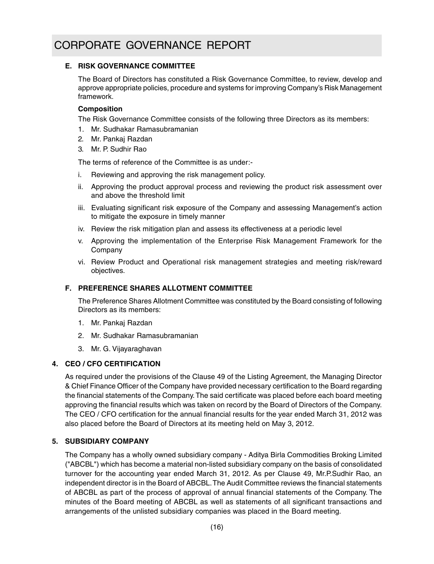#### **E. RISK GOVERNANCE COMMITTEE**

The Board of Directors has constituted a Risk Governance Committee, to review, develop and approve appropriate policies, procedure and systems for improving Company's Risk Management framework.

#### **Composition**

The Risk Governance Committee consists of the following three Directors as its members:

- 1. Mr. Sudhakar Ramasubramanian
- 2. Mr. Pankaj Razdan
- 3. Mr. P. Sudhir Rao

The terms of reference of the Committee is as under:-

- i. Reviewing and approving the risk management policy.
- ii. Approving the product approval process and reviewing the product risk assessment over and above the threshold limit
- iii. Evaluating significant risk exposure of the Company and assessing Management's action to mitigate the exposure in timely manner
- iv. Review the risk mitigation plan and assess its effectiveness at a periodic level
- v. Approving the implementation of the Enterprise Risk Management Framework for the Company
- vi. Review Product and Operational risk management strategies and meeting risk/reward objectives.

#### **F. PREFERENCE SHARES ALLOTMENT COMMITTEE**

The Preference Shares Allotment Committee was constituted by the Board consisting of following Directors as its members:

- 1. Mr. Pankaj Razdan
- 2. Mr. Sudhakar Ramasubramanian
- 3. Mr. G. Vijayaraghavan

#### **4. CEO / CFO CERTIFICATION**

As required under the provisions of the Clause 49 of the Listing Agreement, the Managing Director & Chief Finance Officer of the Company have provided necessary certification to the Board regarding the financial statements of the Company. The said certificate was placed before each board meeting approving the financial results which was taken on record by the Board of Directors of the Company. The CEO / CFO certification for the annual financial results for the year ended March 31, 2012 was also placed before the Board of Directors at its meeting held on May 3, 2012.

### **5. SUBSIDIARY COMPANY**

The Company has a wholly owned subsidiary company - Aditya Birla Commodities Broking Limited ("ABCBL") which has become a material non-listed subsidiary company on the basis of consolidated turnover for the accounting year ended March 31, 2012. As per Clause 49, Mr.P.Sudhir Rao, an independent director is in the Board of ABCBL. The Audit Committee reviews the financial statements of ABCBL as part of the process of approval of annual financial statements of the Company. The minutes of the Board meeting of ABCBL as well as statements of all significant transactions and arrangements of the unlisted subsidiary companies was placed in the Board meeting.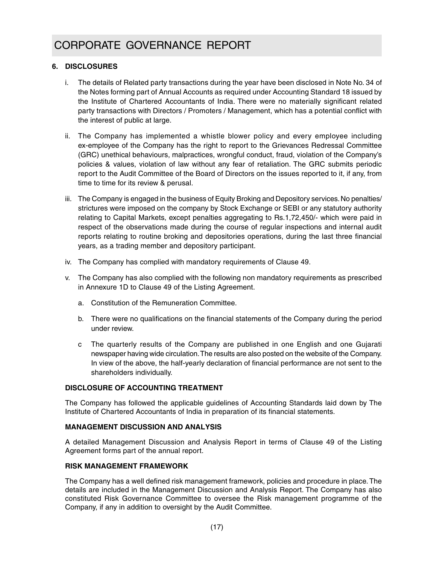#### **6. DISCLOSURES**

- i. The details of Related party transactions during the year have been disclosed in Note No. 34 of the Notes forming part of Annual Accounts as required under Accounting Standard 18 issued by the Institute of Chartered Accountants of India. There were no materially significant related party transactions with Directors / Promoters / Management, which has a potential conflict with the interest of public at large.
- ii. The Company has implemented a whistle blower policy and every employee including ex-employee of the Company has the right to report to the Grievances Redressal Committee (GRC) unethical behaviours, malpractices, wrongful conduct, fraud, violation of the Company's policies & values, violation of law without any fear of retaliation. The GRC submits periodic report to the Audit Committee of the Board of Directors on the issues reported to it, if any, from time to time for its review & perusal.
- iii. The Company is engaged in the business of Equity Broking and Depository services. No penalties/ strictures were imposed on the company by Stock Exchange or SEBI or any statutory authority relating to Capital Markets, except penalties aggregating to Rs.1,72,450/- which were paid in respect of the observations made during the course of regular inspections and internal audit reports relating to routine broking and depositories operations, during the last three financial years, as a trading member and depository participant.
- iv. The Company has complied with mandatory requirements of Clause 49.
- v. The Company has also complied with the following non mandatory requirements as prescribed in Annexure 1D to Clause 49 of the Listing Agreement.
	- a. Constitution of the Remuneration Committee.
	- b. There were no qualifications on the financial statements of the Company during the period under review.
	- c The quarterly results of the Company are published in one English and one Gujarati newspaper having wide circulation. The results are also posted on the website of the Company. In view of the above, the half-yearly declaration of financial performance are not sent to the shareholders individually.

#### **DISCLOSURE OF ACCOUNTING TREATMENT**

The Company has followed the applicable guidelines of Accounting Standards laid down by The Institute of Chartered Accountants of India in preparation of its financial statements.

#### **MANAGEMENT DISCUSSION AND ANALYSIS**

A detailed Management Discussion and Analysis Report in terms of Clause 49 of the Listing Agreement forms part of the annual report.

#### **RISK MANAGEMENT FRAMEWORK**

The Company has a well defined risk management framework, policies and procedure in place. The details are included in the Management Discussion and Analysis Report. The Company has also constituted Risk Governance Committee to oversee the Risk management programme of the Company, if any in addition to oversight by the Audit Committee.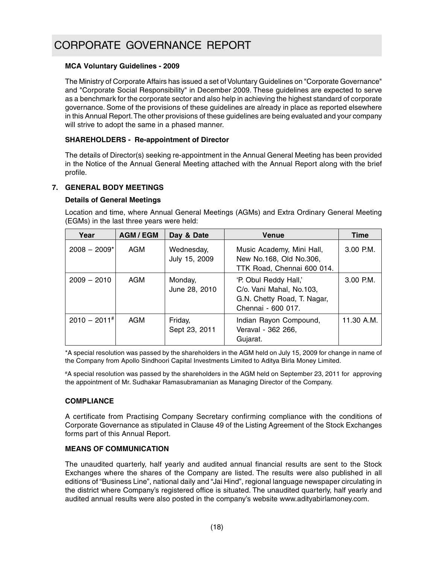#### **MCA Voluntary Guidelines - 2009**

The Ministry of Corporate Affairs has issued a set of Voluntary Guidelines on "Corporate Governance" and "Corporate Social Responsibility" in December 2009. These guidelines are expected to serve as a benchmark for the corporate sector and also help in achieving the highest standard of corporate governance. Some of the provisions of these guidelines are already in place as reported elsewhere in this Annual Report. The other provisions of these guidelines are being evaluated and your company will strive to adopt the same in a phased manner.

#### **SHAREHOLDERS - Re-appointment of Director**

The details of Director(s) seeking re-appointment in the Annual General Meeting has been provided in the Notice of the Annual General Meeting attached with the Annual Report along with the brief profile.

#### **7. GENERAL BODY MEETINGS**

#### **Details of General Meetings**

Location and time, where Annual General Meetings (AGMs) and Extra Ordinary General Meeting (EGMs) in the last three years were held:

| Year                       | <b>AGM/EGM</b> | Day & Date                  | <b>Venue</b>                                                                                           | <b>Time</b> |
|----------------------------|----------------|-----------------------------|--------------------------------------------------------------------------------------------------------|-------------|
| $2008 - 2009$ *            | AGM            | Wednesday,<br>July 15, 2009 | Music Academy, Mini Hall,<br>New No.168, Old No.306,<br>TTK Road, Chennai 600 014.                     | $3.00$ P.M. |
| $2009 - 2010$              | AGM            | Monday,<br>June 28, 2010    | 'P. Obul Reddy Hall,'<br>C/o. Vani Mahal, No.103,<br>G.N. Chetty Road, T. Nagar,<br>Chennai - 600 017. | $3.00$ P.M. |
| $2010 - 2011$ <sup>#</sup> | AGM            | Friday,<br>Sept 23, 2011    | Indian Rayon Compound,<br>Veraval - 362 266,<br>Gujarat.                                               | 11.30 A.M.  |

\*A special resolution was passed by the shareholders in the AGM held on July 15, 2009 for change in name of the Company from Apollo Sindhoori Capital Investments Limited to Aditya Birla Money Limited.

*#*A special resolution was passed by the shareholders in the AGM held on September 23, 2011 for approving the appointment of Mr. Sudhakar Ramasubramanian as Managing Director of the Company.

#### **COMPLIANCE**

A certificate from Practising Company Secretary confirming compliance with the conditions of Corporate Governance as stipulated in Clause 49 of the Listing Agreement of the Stock Exchanges forms part of this Annual Report.

#### **MEANS OF COMMUNICATION**

The unaudited quarterly, half yearly and audited annual financial results are sent to the Stock Exchanges where the shares of the Company are listed. The results were also published in all editions of "Business Line", national daily and "Jai Hind", regional language newspaper circulating in the district where Company's registered office is situated. The unaudited quarterly, half yearly and audited annual results were also posted in the company's website www.adityabirlamoney.com.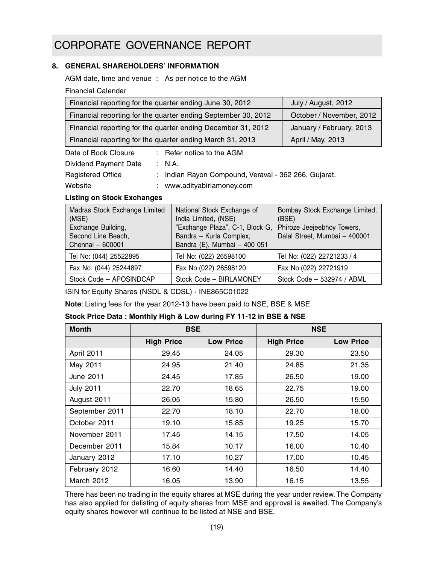#### **8. GENERAL SHAREHOLDERS' INFORMATION**

AGM date, time and venue : As per notice to the AGM

Financial Calendar

| Financial reporting for the quarter ending June 30, 2012      | July / August, 2012      |
|---------------------------------------------------------------|--------------------------|
| Financial reporting for the quarter ending September 30, 2012 | October / November, 2012 |
| Financial reporting for the quarter ending December 31, 2012  | January / February, 2013 |
| Financial reporting for the quarter ending March 31, 2013     | April / May, 2013        |
| $\therefore$ Refer notice to the AGM<br>Date of Book Closure  |                          |

Dividend Payment Date : N.A.

Registered Office : Indian Rayon Compound, Veraval - 362 266, Gujarat.

Website : www.adityabirlamoney.com

#### **Listing on Stock Exchanges**

| Madras Stock Exchange Limited<br>(MSE)<br>Exchange Building,<br>Second Line Beach,<br>Chennai - 600001 | National Stock Exchange of<br>India Limited, (NSE)<br>"Exchange Plaza", C-1, Block G,<br>Bandra - Kurla Complex,<br>Bandra (E), Mumbai - 400 051 | Bombay Stock Exchange Limited,<br>(BSE)<br>Phiroze Jeejeebhoy Towers,<br>Dalal Street, Mumbai - 400001 |
|--------------------------------------------------------------------------------------------------------|--------------------------------------------------------------------------------------------------------------------------------------------------|--------------------------------------------------------------------------------------------------------|
| Tel No: (044) 25522895                                                                                 | Tel No: (022) 26598100                                                                                                                           | Tel No: (022) 22721233 / 4                                                                             |
| Fax No: (044) 25244897                                                                                 | Fax No: (022) 26598120                                                                                                                           | Fax No: (022) 22721919                                                                                 |
| Stock Code - APOSINDCAP                                                                                | Stock Code - BIRLAMONEY                                                                                                                          | Stock Code - 532974 / ABML                                                                             |

ISIN for Equity Shares (NSDL & CDSL) - INE865C01022

**Note**: Listing fees for the year 2012-13 have been paid to NSE, BSE & MSE

#### **Stock Price Data : Monthly High & Low during FY 11-12 in BSE & NSE**

| <b>Month</b>     | <b>BSE</b>        |                  |                   | <b>NSE</b>       |
|------------------|-------------------|------------------|-------------------|------------------|
|                  | <b>High Price</b> | <b>Low Price</b> | <b>High Price</b> | <b>Low Price</b> |
| April 2011       | 29.45             | 24.05            | 29.30             | 23.50            |
| May 2011         | 24.95             | 21.40            | 24.85             | 21.35            |
| June 2011        | 24.45             | 17.85            | 26.50             | 19.00            |
| <b>July 2011</b> | 22.70             | 18.65            | 22.75             | 19.00            |
| August 2011      | 26.05             | 15.80            | 26.50             | 15.50            |
| September 2011   | 22.70             | 18.10            | 22.70             | 18.00            |
| October 2011     | 19.10             | 15.85            | 19.25             | 15.70            |
| November 2011    | 17.45             | 14.15            | 17.50             | 14.05            |
| December 2011    | 15.84             | 10.17            | 16.00             | 10.40            |
| January 2012     | 17.10             | 10.27            | 17.00             | 10.45            |
| February 2012    | 16.60             | 14.40            | 16.50             | 14.40            |
| March 2012       | 16.05             | 13.90            | 16.15             | 13.55            |

There has been no trading in the equity shares at MSE during the year under review. The Company has also applied for delisting of equity shares from MSE and approval is awaited. The Company's equity shares however will continue to be listed at NSE and BSE.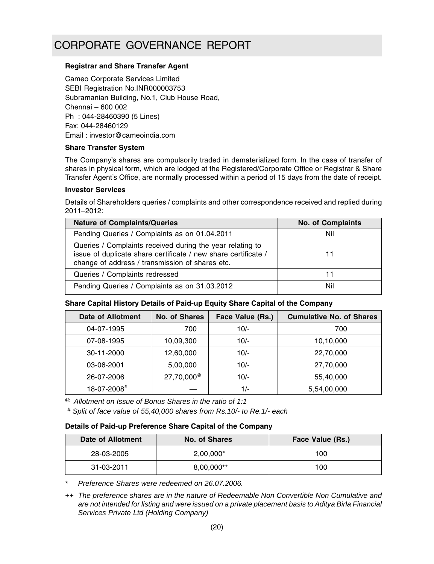#### **Registrar and Share Transfer Agent**

Cameo Corporate Services Limited SEBI Registration No.INR000003753 Subramanian Building, No.1, Club House Road, Chennai – 600 002 Ph : 044-28460390 (5 Lines) Fax: 044-28460129 Email : investor@cameoindia.com

#### **Share Transfer System**

The Company's shares are compulsorily traded in dematerialized form. In the case of transfer of shares in physical form, which are lodged at the Registered/Corporate Office or Registrar & Share Transfer Agent's Office, are normally processed within a period of 15 days from the date of receipt.

#### **Investor Services**

Details of Shareholders queries / complaints and other correspondence received and replied during 2011–2012:

| <b>Nature of Complaints/Queries</b>                                                                                                                                            | <b>No. of Complaints</b> |
|--------------------------------------------------------------------------------------------------------------------------------------------------------------------------------|--------------------------|
| Pending Queries / Complaints as on 01.04.2011                                                                                                                                  | Nil                      |
| Queries / Complaints received during the year relating to<br>issue of duplicate share certificate / new share certificate /<br>change of address / transmission of shares etc. | 11                       |
| Queries / Complaints redressed                                                                                                                                                 | 11                       |
| Pending Queries / Complaints as on 31.03.2012                                                                                                                                  | Nil                      |

#### **Share Capital History Details of Paid-up Equity Share Capital of the Company**

| <b>Date of Allotment</b> | <b>No. of Shares</b>   | Face Value (Rs.) | <b>Cumulative No. of Shares</b> |
|--------------------------|------------------------|------------------|---------------------------------|
| 04-07-1995               | 700                    | $10/-$           | 700                             |
| 07-08-1995               | 10,09,300              | $10/-$           | 10,10,000                       |
| 30-11-2000               | 12,60,000              | $10/-$           | 22,70,000                       |
| 03-06-2001               | 5,00,000               | $10/-$           | 27,70,000                       |
| 26-07-2006               | 27,70,000 <sup>@</sup> | $10/-$           | 55,40,000                       |
| 18-07-2008#              |                        | $1/-$            | 5,54,00,000                     |

*@ Allotment on Issue of Bonus Shares in the ratio of 1:1*

*# Split of face value of 55,40,000 shares from Rs.10/- to Re.1/- each*

#### **Details of Paid-up Preference Share Capital of the Company**

| Date of Allotment | No. of Shares   | Face Value (Rs.) |  |
|-------------------|-----------------|------------------|--|
| 28-03-2005        | $2,00,000*$     | 100              |  |
| 31-03-2011        | $8,00,000^{++}$ | 100              |  |

*\* Preference Shares were redeemed on 26.07.2006.*

*++ The preference shares are in the nature of Redeemable Non Convertible Non Cumulative and are not intended for listing and were issued on a private placement basis to Aditya Birla Financial Services Private Ltd (Holding Company)*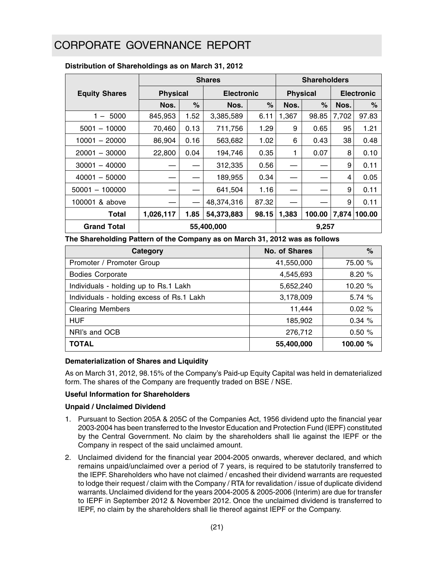|                                        | <b>Shares</b>   |            |                   |       | <b>Shareholders</b> |                 |       |                   |  |
|----------------------------------------|-----------------|------------|-------------------|-------|---------------------|-----------------|-------|-------------------|--|
| <b>Equity Shares</b>                   | <b>Physical</b> |            | <b>Electronic</b> |       |                     | <b>Physical</b> |       | <b>Electronic</b> |  |
|                                        | Nos.            | $\%$       | Nos.              | %     | Nos.                | %               | Nos.  | %                 |  |
| 5000<br>1.<br>$\overline{\phantom{a}}$ | 845,953         | 1.52       | 3,385,589         | 6.11  | 1,367               | 98.85           | 7,702 | 97.83             |  |
| $5001 - 10000$                         | 70,460          | 0.13       | 711,756           | 1.29  | 9                   | 0.65            | 95    | 1.21              |  |
| $10001 - 20000$                        | 86,904          | 0.16       | 563,682           | 1.02  | 6                   | 0.43            | 38    | 0.48              |  |
| $20001 - 30000$                        | 22,800          | 0.04       | 194,746           | 0.35  | 1                   | 0.07            | 8     | 0.10              |  |
| $30001 - 40000$                        |                 |            | 312,335           | 0.56  |                     |                 | 9     | 0.11              |  |
| $40001 - 50000$                        |                 |            | 189,955           | 0.34  |                     |                 | 4     | 0.05              |  |
| $50001 - 100000$                       |                 |            | 641,504           | 1.16  |                     |                 | 9     | 0.11              |  |
| 100001 & above                         |                 |            | 48,374,316        | 87.32 |                     |                 | 9     | 0.11              |  |
| Total                                  | 1,026,117       | 1.85       | 54,373,883        | 98.15 | 1,383               | 100.00          | 7.874 | 100.00            |  |
| <b>Grand Total</b>                     |                 | 55,400,000 |                   |       |                     | 9,257           |       |                   |  |

#### **Distribution of Shareholdings as on March 31, 2012**

**The Shareholding Pattern of the Company as on March 31, 2012 was as follows**

| Category                                  | No. of Shares | %        |
|-------------------------------------------|---------------|----------|
| Promoter / Promoter Group                 | 41,550,000    | 75.00 %  |
| <b>Bodies Corporate</b>                   | 4,545,693     | 8.20 %   |
| Individuals - holding up to Rs.1 Lakh     | 5,652,240     | 10.20 %  |
| Individuals - holding excess of Rs.1 Lakh | 3,178,009     | 5.74 %   |
| <b>Clearing Members</b>                   | 11,444        | 0.02%    |
| <b>HUF</b>                                | 185,902       | 0.34%    |
| NRI's and OCB                             | 276,712       | 0.50%    |
| <b>TOTAL</b>                              | 55,400,000    | 100.00 % |

#### **Dematerialization of Shares and Liquidity**

As on March 31, 2012, 98.15% of the Company's Paid-up Equity Capital was held in dematerialized form. The shares of the Company are frequently traded on BSE / NSE.

#### **Useful Information for Shareholders**

#### **Unpaid / Unclaimed Dividend**

- 1. Pursuant to Section 205A & 205C of the Companies Act, 1956 dividend upto the financial year 2003-2004 has been transferred to the Investor Education and Protection Fund (IEPF) constituted by the Central Government. No claim by the shareholders shall lie against the IEPF or the Company in respect of the said unclaimed amount.
- 2. Unclaimed dividend for the financial year 2004-2005 onwards, wherever declared, and which remains unpaid/unclaimed over a period of 7 years, is required to be statutorily transferred to the IEPF. Shareholders who have not claimed / encashed their dividend warrants are requested to lodge their request / claim with the Company / RTA for revalidation / issue of duplicate dividend warrants. Unclaimed dividend for the years 2004-2005 & 2005-2006 (Interim) are due for transfer to IEPF in September 2012 & November 2012. Once the unclaimed dividend is transferred to IEPF, no claim by the shareholders shall lie thereof against IEPF or the Company.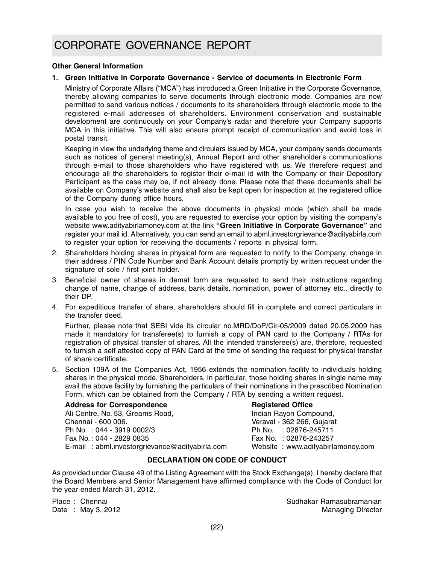#### **Other General Information**

#### **1. Green Initiative in Corporate Governance - Service of documents in Electronic Form**

Ministry of Corporate Affairs ("MCA") has introduced a Green Initiative in the Corporate Governance, thereby allowing companies to serve documents through electronic mode. Companies are now permitted to send various notices / documents to its shareholders through electronic mode to the registered e-mail addresses of shareholders. Environment conservation and sustainable development are continuously on your Company's radar and therefore your Company supports MCA in this initiative. This will also ensure prompt receipt of communication and avoid loss in postal transit.

Keeping in view the underlying theme and circulars issued by MCA, your company sends documents such as notices of general meeting(s), Annual Report and other shareholder's communications through e-mail to those shareholders who have registered with us. We therefore request and encourage all the shareholders to register their e-mail id with the Company or their Depository Participant as the case may be, if not already done. Please note that these documents shall be available on Company's website and shall also be kept open for inspection at the registered office of the Company during office hours.

In case you wish to receive the above documents in physical mode (which shall be made available to you free of cost), you are requested to exercise your option by visiting the company's website www.adityabirlamoney.com at the link **"Green Initiative in Corporate Governance"** and register your mail id. Alternatively, you can send an email to abml.investorgrievance@adityabirla.com to register your option for receiving the documents / reports in physical form.

- 2. Shareholders holding shares in physical form are requested to notify to the Company, change in their address / PIN Code Number and Bank Account details promptly by written request under the signature of sole / first joint holder.
- 3. Beneficial owner of shares in demat form are requested to send their instructions regarding change of name, change of address, bank details, nomination, power of attorney etc., directly to their DP.
- 4. For expeditious transfer of share, shareholders should fill in complete and correct particulars in the transfer deed.

Further, please note that SEBI vide its circular no.MRD/DoP/Cir-05/2009 dated 20.05.2009 has made it mandatory for transferee(s) to furnish a copy of PAN card to the Company / RTAs for registration of physical transfer of shares. All the intended transferee(s) are, therefore, requested to furnish a self attested copy of PAN Card at the time of sending the request for physical transfer of share certificate.

5. Section 109A of the Companies Act, 1956 extends the nomination facility to individuals holding shares in the physical mode. Shareholders, in particular, those holding shares in single name may avail the above facility by furnishing the particulars of their nominations in the prescribed Nomination Form, which can be obtained from the Company / RTA by sending a written request.

**Address for Correspondence Registered Office**<br>
Ali Centre, No. 53, Greams Road, **Registered Compoundence Registered Compound.** Ali Centre, No. 53, Greams Road, Chennai - 600 006.<br>
Ph No. : 044 - 3919 0002/3 Ph No. : 02876-245711 Ph No.: 044 - 3919 0002/3 Fax No. : 044 - 2829 0835 Fax No. : 02876-243257 E-mail : abml.investorgrievance@adityabirla.com Website : www.adityabirlamoney.com

#### **DECLARATION ON CODE OF CONDUCT**

As provided under Clause 49 of the Listing Agreement with the Stock Exchange(s), I hereby declare that the Board Members and Senior Management have affirmed compliance with the Code of Conduct for the year ended March 31, 2012.

Place : Chennai Sudhakar Ramasubramanian Sudhakar Ramasubramanian Date : May 3, 2012 **Managing Director** Controllering Controllering Controllering Director Controllering Oriental Controllering Controllering Controllering Controllering Controllering Controllering Controllering Controlleri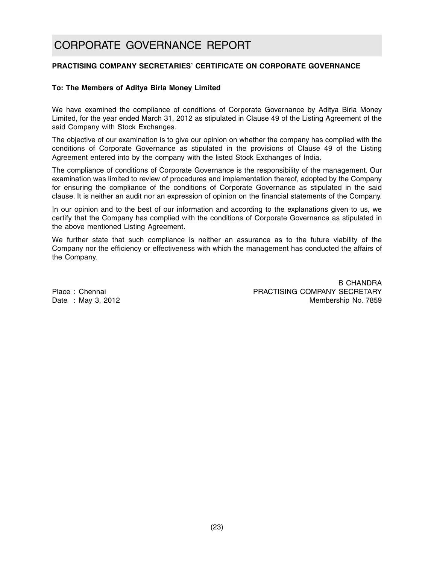#### **PRACTISING COMPANY SECRETARIES' CERTIFICATE ON CORPORATE GOVERNANCE**

#### **To: The Members of Aditya Birla Money Limited**

We have examined the compliance of conditions of Corporate Governance by Aditya Birla Money Limited, for the year ended March 31, 2012 as stipulated in Clause 49 of the Listing Agreement of the said Company with Stock Exchanges.

The objective of our examination is to give our opinion on whether the company has complied with the conditions of Corporate Governance as stipulated in the provisions of Clause 49 of the Listing Agreement entered into by the company with the listed Stock Exchanges of India.

The compliance of conditions of Corporate Governance is the responsibility of the management. Our examination was limited to review of procedures and implementation thereof, adopted by the Company for ensuring the compliance of the conditions of Corporate Governance as stipulated in the said clause. It is neither an audit nor an expression of opinion on the financial statements of the Company.

In our opinion and to the best of our information and according to the explanations given to us, we certify that the Company has complied with the conditions of Corporate Governance as stipulated in the above mentioned Listing Agreement.

We further state that such compliance is neither an assurance as to the future viability of the Company nor the efficiency or effectiveness with which the management has conducted the affairs of the Company.

B CHANDRA Place : Chennai Practicle Company SECRETARY Date : May 3, 2012 **Markov 1999** Membership No. 7859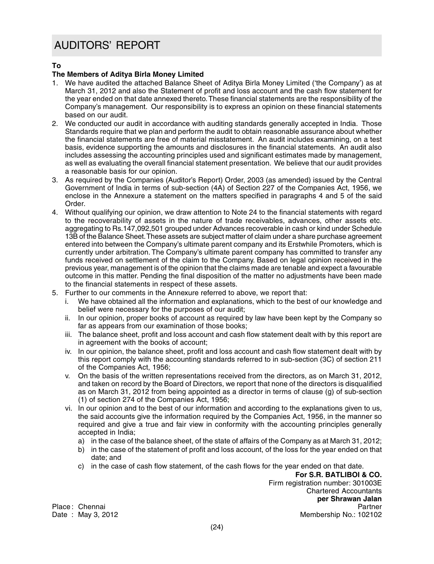### AUDITORS' REPORT

#### **To**

#### **The Members of Aditya Birla Money Limited**

- 1. We have audited the attached Balance Sheet of Aditya Birla Money Limited ('the Company') as at March 31, 2012 and also the Statement of profit and loss account and the cash flow statement for the year ended on that date annexed thereto. These financial statements are the responsibility of the Company's management. Our responsibility is to express an opinion on these financial statements based on our audit.
- 2. We conducted our audit in accordance with auditing standards generally accepted in India. Those Standards require that we plan and perform the audit to obtain reasonable assurance about whether the financial statements are free of material misstatement. An audit includes examining, on a test basis, evidence supporting the amounts and disclosures in the financial statements. An audit also includes assessing the accounting principles used and significant estimates made by management, as well as evaluating the overall financial statement presentation. We believe that our audit provides a reasonable basis for our opinion.
- 3. As required by the Companies (Auditor's Report) Order, 2003 (as amended) issued by the Central Government of India in terms of sub-section (4A) of Section 227 of the Companies Act, 1956, we enclose in the Annexure a statement on the matters specified in paragraphs 4 and 5 of the said Order.
- 4. Without qualifying our opinion, we draw attention to Note 24 to the financial statements with regard to the recoverability of assets in the nature of trade receivables, advances, other assets etc. aggregating to Rs.147,092,501 grouped under Advances recoverable in cash or kind under Schedule 13B of the Balance Sheet. These assets are subject matter of claim under a share purchase agreement entered into between the Company's ultimate parent company and its Erstwhile Promoters, which is currently under arbitration. The Company's ultimate parent company has committed to transfer any funds received on settlement of the claim to the Company. Based on legal opinion received in the previous year, management is of the opinion that the claims made are tenable and expect a favourable outcome in this matter. Pending the final disposition of the matter no adjustments have been made to the financial statements in respect of these assets.
- 5. Further to our comments in the Annexure referred to above, we report that:
	- i. We have obtained all the information and explanations, which to the best of our knowledge and belief were necessary for the purposes of our audit;
	- ii. In our opinion, proper books of account as required by law have been kept by the Company so far as appears from our examination of those books;
	- iii. The balance sheet, profit and loss account and cash flow statement dealt with by this report are in agreement with the books of account;
	- iv. In our opinion, the balance sheet, profit and loss account and cash flow statement dealt with by this report comply with the accounting standards referred to in sub-section (3C) of section 211 of the Companies Act, 1956;
	- v. On the basis of the written representations received from the directors, as on March 31, 2012, and taken on record by the Board of Directors, we report that none of the directors is disqualified as on March 31, 2012 from being appointed as a director in terms of clause (g) of sub-section (1) of section 274 of the Companies Act, 1956;
	- vi. In our opinion and to the best of our information and according to the explanations given to us, the said accounts give the information required by the Companies Act, 1956, in the manner so required and give a true and fair view in conformity with the accounting principles generally accepted in India;
		- a) in the case of the balance sheet, of the state of affairs of the Company as at March 31, 2012;
		- b) in the case of the statement of profit and loss account, of the loss for the year ended on that date; and
		- c) in the case of cash flow statement, of the cash flows for the year ended on that date.

**For S.R. BATLIBOI & CO.** Firm registration number: 301003E Chartered Accountants **per Shrawan Jalan** Place : Chennai Partner Membership No.: 102102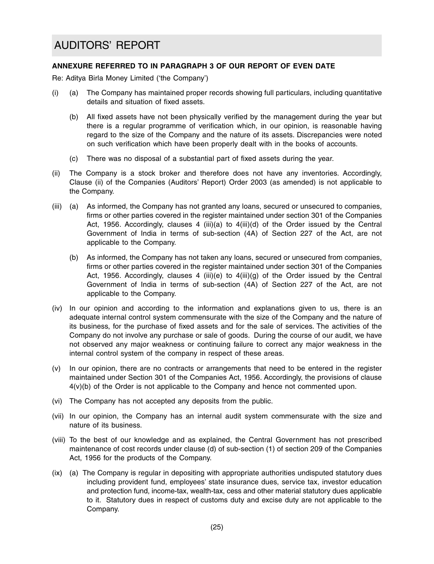#### **ANNEXURE REFERRED TO IN PARAGRAPH 3 OF OUR REPORT OF EVEN DATE**

Re: Aditya Birla Money Limited ('the Company')

- (i) (a) The Company has maintained proper records showing full particulars, including quantitative details and situation of fixed assets.
	- (b) All fixed assets have not been physically verified by the management during the year but there is a regular programme of verification which, in our opinion, is reasonable having regard to the size of the Company and the nature of its assets. Discrepancies were noted on such verification which have been properly dealt with in the books of accounts.
	- (c) There was no disposal of a substantial part of fixed assets during the year.
- (ii) The Company is a stock broker and therefore does not have any inventories. Accordingly, Clause (ii) of the Companies (Auditors' Report) Order 2003 (as amended) is not applicable to the Company.
- (iii) (a) As informed, the Company has not granted any loans, secured or unsecured to companies, firms or other parties covered in the register maintained under section 301 of the Companies Act, 1956. Accordingly, clauses 4 (iii)(a) to  $4(iii)(d)$  of the Order issued by the Central Government of India in terms of sub-section (4A) of Section 227 of the Act, are not applicable to the Company.
	- (b) As informed, the Company has not taken any loans, secured or unsecured from companies, firms or other parties covered in the register maintained under section 301 of the Companies Act, 1956. Accordingly, clauses 4 (iii)(e) to  $4(iii)(q)$  of the Order issued by the Central Government of India in terms of sub-section (4A) of Section 227 of the Act, are not applicable to the Company.
- (iv) In our opinion and according to the information and explanations given to us, there is an adequate internal control system commensurate with the size of the Company and the nature of its business, for the purchase of fixed assets and for the sale of services. The activities of the Company do not involve any purchase or sale of goods. During the course of our audit, we have not observed any major weakness or continuing failure to correct any major weakness in the internal control system of the company in respect of these areas.
- (v) In our opinion, there are no contracts or arrangements that need to be entered in the register maintained under Section 301 of the Companies Act, 1956. Accordingly, the provisions of clause 4(v)(b) of the Order is not applicable to the Company and hence not commented upon.
- (vi) The Company has not accepted any deposits from the public.
- (vii) In our opinion, the Company has an internal audit system commensurate with the size and nature of its business.
- (viii) To the best of our knowledge and as explained, the Central Government has not prescribed maintenance of cost records under clause (d) of sub-section (1) of section 209 of the Companies Act, 1956 for the products of the Company.
- (ix) (a) The Company is regular in depositing with appropriate authorities undisputed statutory dues including provident fund, employees' state insurance dues, service tax, investor education and protection fund, income-tax, wealth-tax, cess and other material statutory dues applicable to it. Statutory dues in respect of customs duty and excise duty are not applicable to the Company.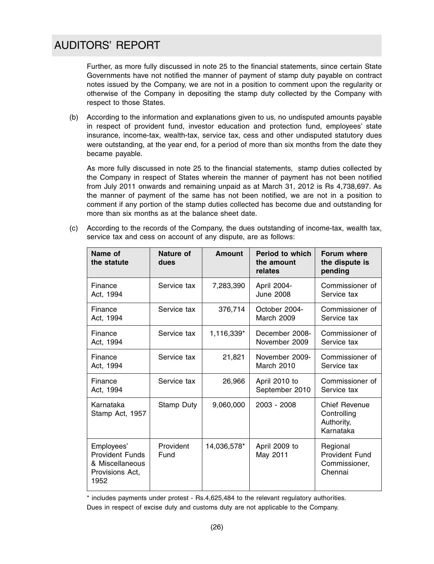### AUDITORS' REPORT

Further, as more fully discussed in note 25 to the financial statements, since certain State Governments have not notified the manner of payment of stamp duty payable on contract notes issued by the Company, we are not in a position to comment upon the regularity or otherwise of the Company in depositing the stamp duty collected by the Company with respect to those States.

(b) According to the information and explanations given to us, no undisputed amounts payable in respect of provident fund, investor education and protection fund, employees' state insurance, income-tax, wealth-tax, service tax, cess and other undisputed statutory dues were outstanding, at the year end, for a period of more than six months from the date they became payable.

As more fully discussed in note 25 to the financial statements, stamp duties collected by the Company in respect of States wherein the manner of payment has not been notified from July 2011 onwards and remaining unpaid as at March 31, 2012 is Rs 4,738,697. As the manner of payment of the same has not been notified, we are not in a position to comment if any portion of the stamp duties collected has become due and outstanding for more than six months as at the balance sheet date.

(c) According to the records of the Company, the dues outstanding of income-tax, wealth tax, service tax and cess on account of any dispute, are as follows:

| Name of<br>the statute                                                             | Nature of<br>dues | <b>Amount</b> | <b>Period to which</b><br>the amount<br>relates | Forum where<br>the dispute is<br>pending                       |
|------------------------------------------------------------------------------------|-------------------|---------------|-------------------------------------------------|----------------------------------------------------------------|
| Finance<br>Act, 1994                                                               | Service tax       | 7,283,390     | April 2004-<br><b>June 2008</b>                 | Commissioner of<br>Service tax                                 |
| Finance<br>Act, 1994                                                               | Service tax       | 376,714       | October 2004-<br>March 2009                     | Commissioner of<br>Service tax                                 |
| Finance<br>Act, 1994                                                               | Service tax       | 1,116,339*    | December 2008-<br>November 2009                 | Commissioner of<br>Service tax                                 |
| Finance<br>Act, 1994                                                               | Service tax       | 21,821        | November 2009-<br>March 2010                    | Commissioner of<br>Service tax                                 |
| Finance<br>Act, 1994                                                               | Service tax       | 26,966        | April 2010 to<br>September 2010                 | Commissioner of<br>Service tax                                 |
| Karnataka<br>Stamp Act, 1957                                                       | Stamp Duty        | 9,060,000     | 2003 - 2008                                     | <b>Chief Revenue</b><br>Controlling<br>Authority,<br>Karnataka |
| Employees'<br><b>Provident Funds</b><br>& Miscellaneous<br>Provisions Act,<br>1952 | Provident<br>Fund | 14,036,578*   | April 2009 to<br>May 2011                       | Regional<br><b>Provident Fund</b><br>Commissioner,<br>Chennai  |

\* includes payments under protest - Rs.4,625,484 to the relevant regulatory authorities. Dues in respect of excise duty and customs duty are not applicable to the Company.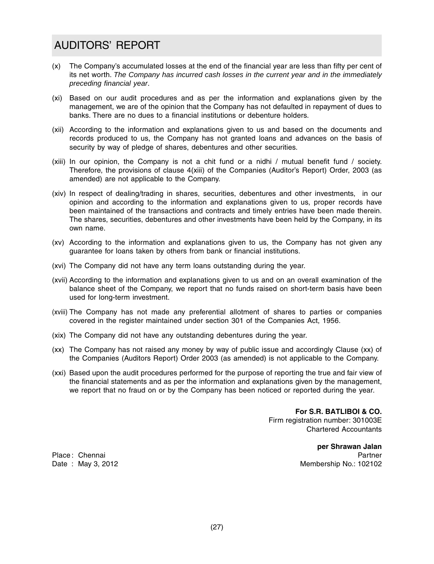### AUDITORS' REPORT

- (x) The Company's accumulated losses at the end of the financial year are less than fifty per cent of its net worth. *The Company has incurred cash losses in the current year and in the immediately preceding financial year*.
- (xi) Based on our audit procedures and as per the information and explanations given by the management, we are of the opinion that the Company has not defaulted in repayment of dues to banks. There are no dues to a financial institutions or debenture holders.
- (xii) According to the information and explanations given to us and based on the documents and records produced to us, the Company has not granted loans and advances on the basis of security by way of pledge of shares, debentures and other securities.
- (xiii) In our opinion, the Company is not a chit fund or a nidhi / mutual benefit fund / society. Therefore, the provisions of clause 4(xiii) of the Companies (Auditor's Report) Order, 2003 (as amended) are not applicable to the Company.
- (xiv) In respect of dealing/trading in shares, securities, debentures and other investments, in our opinion and according to the information and explanations given to us, proper records have been maintained of the transactions and contracts and timely entries have been made therein. The shares, securities, debentures and other investments have been held by the Company, in its own name.
- (xv) According to the information and explanations given to us, the Company has not given any guarantee for loans taken by others from bank or financial institutions.
- (xvi) The Company did not have any term loans outstanding during the year.
- (xvii) According to the information and explanations given to us and on an overall examination of the balance sheet of the Company, we report that no funds raised on short-term basis have been used for long-term investment.
- (xviii) The Company has not made any preferential allotment of shares to parties or companies covered in the register maintained under section 301 of the Companies Act, 1956.
- (xix) The Company did not have any outstanding debentures during the year.
- (xx) The Company has not raised any money by way of public issue and accordingly Clause (xx) of the Companies (Auditors Report) Order 2003 (as amended) is not applicable to the Company.
- (xxi) Based upon the audit procedures performed for the purpose of reporting the true and fair view of the financial statements and as per the information and explanations given by the management, we report that no fraud on or by the Company has been noticed or reported during the year.

**For S.R. BATLIBOI & CO.** Firm registration number: 301003E Chartered Accountants

**per Shrawan Jalan** Place: Chennai Partner is a state of the control of the control of the partner is a state of the partner of the control of the control of the control of the control of the control of the control of the control of the contr Date : May 3, 2012 **Membership No.: 102102**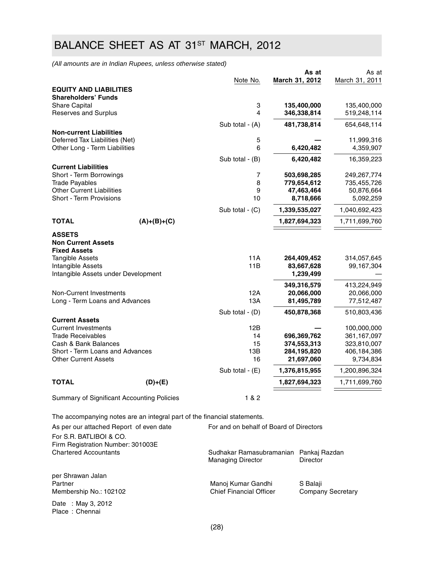## BALANCE SHEET AS AT 31<sup>ST</sup> MARCH, 2012

*(All amounts are in Indian Rupees, unless otherwise stated)*

|                                                                   |                                                                          | Note No.                                | March 31, 2012             | As at<br>March 31, 2011  | As at                      |
|-------------------------------------------------------------------|--------------------------------------------------------------------------|-----------------------------------------|----------------------------|--------------------------|----------------------------|
| <b>EQUITY AND LIABILITIES</b>                                     |                                                                          |                                         |                            |                          |                            |
| <b>Shareholders' Funds</b>                                        |                                                                          |                                         |                            |                          |                            |
| <b>Share Capital</b>                                              |                                                                          | 3<br>$\overline{4}$                     | 135,400,000                |                          | 135,400,000                |
| Reserves and Surplus                                              |                                                                          |                                         | 346,338,814                |                          | 519,248,114                |
|                                                                   |                                                                          | Sub total - (A)                         | 481,738,814                |                          | 654,648,114                |
| <b>Non-current Liabilities</b>                                    |                                                                          |                                         |                            |                          |                            |
| Deferred Tax Liabilities (Net)<br>Other Long - Term Liabilities   |                                                                          | 5<br>6                                  | 6,420,482                  |                          | 11,999,316<br>4,359,907    |
|                                                                   |                                                                          |                                         |                            |                          |                            |
| <b>Current Liabilities</b>                                        |                                                                          | Sub total - (B)                         | 6,420,482                  |                          | 16,359,223                 |
| Short - Term Borrowings                                           |                                                                          | 7                                       | 503,698,285                |                          | 249,267,774                |
| <b>Trade Payables</b>                                             |                                                                          | 8                                       | 779,654,612                |                          | 735,455,726                |
| <b>Other Current Liabilities</b>                                  |                                                                          | 9                                       | 47,463,464                 |                          | 50,876,664                 |
| Short - Term Provisions                                           |                                                                          | 10                                      | 8,718,666                  |                          | 5,092,259                  |
|                                                                   |                                                                          | Sub total $-$ (C)                       | 1,339,535,027              |                          | 1,040,692,423              |
| <b>TOTAL</b>                                                      | $(A)+(B)+(C)$                                                            |                                         | 1,827,694,323              |                          | 1,711,699,760              |
|                                                                   |                                                                          |                                         |                            |                          |                            |
| <b>ASSETS</b><br><b>Non Current Assets</b><br><b>Fixed Assets</b> |                                                                          |                                         |                            |                          |                            |
| <b>Tangible Assets</b>                                            |                                                                          | 11A                                     | 264,409,452                |                          | 314,057,645                |
| Intangible Assets                                                 |                                                                          | 11B                                     | 83,667,628                 |                          | 99,167,304                 |
| Intangible Assets under Development                               |                                                                          |                                         | 1,239,499                  |                          |                            |
|                                                                   |                                                                          |                                         | 349,316,579                |                          | 413,224,949                |
| Non-Current Investments                                           |                                                                          | 12A                                     | 20,066,000                 |                          | 20,066,000                 |
| Long - Term Loans and Advances                                    |                                                                          | 13A                                     | 81,495,789                 |                          | 77,512,487                 |
|                                                                   |                                                                          | Sub total - (D)                         | 450,878,368                |                          | 510,803,436                |
| <b>Current Assets</b>                                             |                                                                          |                                         |                            |                          |                            |
| <b>Current Investments</b>                                        |                                                                          | 12B                                     |                            |                          | 100,000,000                |
| <b>Trade Receivables</b>                                          |                                                                          | 14                                      | 696,369,762                |                          | 361,167,097                |
| Cash & Bank Balances<br>Short - Term Loans and Advances           |                                                                          | 15<br>13B                               | 374,553,313<br>284,195,820 |                          | 323,810,007<br>406,184,386 |
| <b>Other Current Assets</b>                                       |                                                                          | 16                                      | 21,697,060                 |                          | 9,734,834                  |
|                                                                   |                                                                          |                                         |                            |                          |                            |
|                                                                   |                                                                          | Sub total - (E)                         | 1,376,815,955              |                          | 1,200,896,324              |
| <b>TOTAL</b>                                                      | $(D)+(E)$                                                                |                                         | 1,827,694,323              |                          | 1,711,699,760              |
| Summary of Significant Accounting Policies                        |                                                                          | 1 & 2                                   |                            |                          |                            |
|                                                                   | The accompanying notes are an integral part of the financial statements. |                                         |                            |                          |                            |
| As per our attached Report of even date                           |                                                                          | For and on behalf of Board of Directors |                            |                          |                            |
| For S.R. BATLIBOI & CO.                                           |                                                                          |                                         |                            |                          |                            |
| Firm Registration Number: 301003E                                 |                                                                          |                                         |                            |                          |                            |
| <b>Chartered Accountants</b>                                      |                                                                          | Sudhakar Ramasubramanian Pankaj Razdan  |                            |                          |                            |
|                                                                   |                                                                          | <b>Managing Director</b>                | Director                   |                          |                            |
| per Shrawan Jalan                                                 |                                                                          |                                         |                            |                          |                            |
| Partner                                                           |                                                                          | Manoj Kumar Gandhi                      | S Balaji                   |                          |                            |
| Membership No.: 102102                                            |                                                                          | <b>Chief Financial Officer</b>          |                            | <b>Company Secretary</b> |                            |
| Date : May 3, 2012                                                |                                                                          |                                         |                            |                          |                            |
|                                                                   |                                                                          |                                         |                            |                          |                            |

Place : Chennai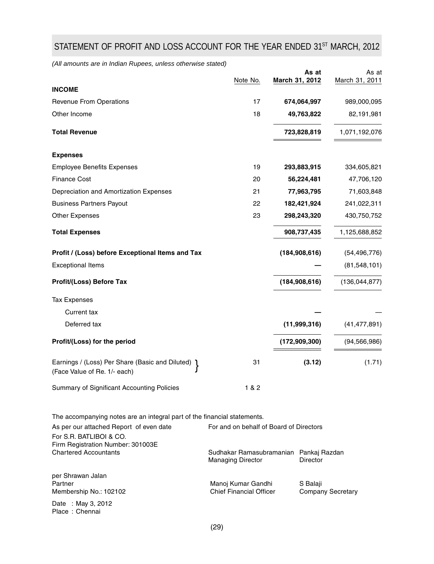## STATEMENT OF PROFIT AND LOSS ACCOUNT FOR THE YEAR ENDED 31ST MARCH, 2012

*(All amounts are in Indian Rupees, unless otherwise stated)*

|                                                                                                                                                | Note No.                                                           |          | As at<br>March 31, 2012 | As at<br>March 31, 2011  |
|------------------------------------------------------------------------------------------------------------------------------------------------|--------------------------------------------------------------------|----------|-------------------------|--------------------------|
| <b>INCOME</b>                                                                                                                                  |                                                                    |          |                         |                          |
| <b>Revenue From Operations</b>                                                                                                                 | 17                                                                 |          | 674,064,997             | 989,000,095              |
| Other Income                                                                                                                                   | 18                                                                 |          | 49,763,822              | 82,191,981               |
| <b>Total Revenue</b>                                                                                                                           |                                                                    |          | 723,828,819             | 1,071,192,076            |
| <b>Expenses</b>                                                                                                                                |                                                                    |          |                         |                          |
| <b>Employee Benefits Expenses</b>                                                                                                              | 19                                                                 |          | 293,883,915             | 334,605,821              |
| <b>Finance Cost</b>                                                                                                                            | 20                                                                 |          | 56,224,481              | 47,706,120               |
| Depreciation and Amortization Expenses                                                                                                         | 21                                                                 |          | 77,963,795              | 71,603,848               |
| <b>Business Partners Payout</b>                                                                                                                | 22                                                                 |          | 182,421,924             | 241,022,311              |
| <b>Other Expenses</b>                                                                                                                          | 23                                                                 |          | 298,243,320             | 430,750,752              |
| <b>Total Expenses</b>                                                                                                                          |                                                                    |          | 908,737,435             | 1,125,688,852            |
| Profit / (Loss) before Exceptional Items and Tax                                                                                               |                                                                    |          | (184, 908, 616)         | (54, 496, 776)           |
| <b>Exceptional Items</b>                                                                                                                       |                                                                    |          |                         | (81, 548, 101)           |
| Profit/(Loss) Before Tax                                                                                                                       |                                                                    |          | (184, 908, 616)         | (136, 044, 877)          |
| <b>Tax Expenses</b>                                                                                                                            |                                                                    |          |                         |                          |
| Current tax                                                                                                                                    |                                                                    |          |                         |                          |
| Deferred tax                                                                                                                                   |                                                                    |          | (11,999,316)            | (41, 477, 891)           |
| Profit/(Loss) for the period                                                                                                                   |                                                                    |          | (172, 909, 300)         | (94, 566, 986)           |
| Earnings / (Loss) Per Share (Basic and Diluted)<br>(Face Value of Re. 1/- each)                                                                | 31                                                                 |          | (3.12)                  | (1.71)                   |
| Summary of Significant Accounting Policies                                                                                                     | 1 & 2                                                              |          |                         |                          |
| The accompanying notes are an integral part of the financial statements.<br>As per our attached Report of even date<br>For S.R. BATLIBOI & CO. | For and on behalf of Board of Directors                            |          |                         |                          |
| Firm Registration Number: 301003E<br><b>Chartered Accountants</b>                                                                              | Sudhakar Ramasubramanian Pankaj Razdan<br><b>Managing Director</b> | Director |                         |                          |
| per Shrawan Jalan<br>Partner<br>Membership No.: 102102<br>Date: May 3, 2012                                                                    | Manoj Kumar Gandhi<br><b>Chief Financial Officer</b>               |          | S Balaji                | <b>Company Secretary</b> |

Place : Chennai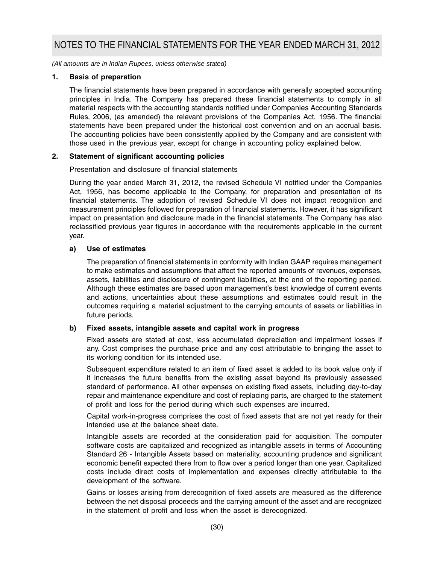*(All amounts are in Indian Rupees, unless otherwise stated)*

#### **1. Basis of preparation**

The financial statements have been prepared in accordance with generally accepted accounting principles in India. The Company has prepared these financial statements to comply in all material respects with the accounting standards notified under Companies Accounting Standards Rules, 2006, (as amended) the relevant provisions of the Companies Act, 1956. The financial statements have been prepared under the historical cost convention and on an accrual basis. The accounting policies have been consistently applied by the Company and are consistent with those used in the previous year, except for change in accounting policy explained below.

#### **2. Statement of significant accounting policies**

Presentation and disclosure of financial statements

During the year ended March 31, 2012, the revised Schedule VI notified under the Companies Act, 1956, has become applicable to the Company, for preparation and presentation of its financial statements. The adoption of revised Schedule VI does not impact recognition and measurement principles followed for preparation of financial statements. However, it has significant impact on presentation and disclosure made in the financial statements. The Company has also reclassified previous year figures in accordance with the requirements applicable in the current year.

#### **a) Use of estimates**

The preparation of financial statements in conformity with Indian GAAP requires management to make estimates and assumptions that affect the reported amounts of revenues, expenses, assets, liabilities and disclosure of contingent liabilities, at the end of the reporting period. Although these estimates are based upon management's best knowledge of current events and actions, uncertainties about these assumptions and estimates could result in the outcomes requiring a material adjustment to the carrying amounts of assets or liabilities in future periods.

#### **b) Fixed assets, intangible assets and capital work in progress**

Fixed assets are stated at cost, less accumulated depreciation and impairment losses if any. Cost comprises the purchase price and any cost attributable to bringing the asset to its working condition for its intended use.

Subsequent expenditure related to an item of fixed asset is added to its book value only if it increases the future benefits from the existing asset beyond its previously assessed standard of performance. All other expenses on existing fixed assets, including day-to-day repair and maintenance expenditure and cost of replacing parts, are charged to the statement of profit and loss for the period during which such expenses are incurred.

Capital work-in-progress comprises the cost of fixed assets that are not yet ready for their intended use at the balance sheet date.

Intangible assets are recorded at the consideration paid for acquisition. The computer software costs are capitalized and recognized as intangible assets in terms of Accounting Standard 26 - Intangible Assets based on materiality, accounting prudence and significant economic benefit expected there from to flow over a period longer than one year. Capitalized costs include direct costs of implementation and expenses directly attributable to the development of the software.

Gains or losses arising from derecognition of fixed assets are measured as the difference between the net disposal proceeds and the carrying amount of the asset and are recognized in the statement of profit and loss when the asset is derecognized.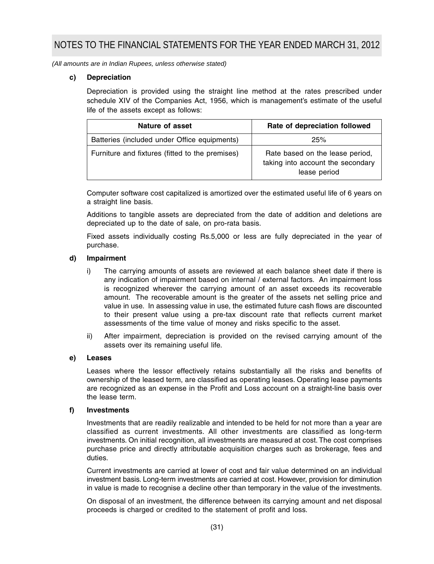*(All amounts are in Indian Rupees, unless otherwise stated)*

#### **c) Depreciation**

Depreciation is provided using the straight line method at the rates prescribed under schedule XIV of the Companies Act, 1956, which is management's estimate of the useful life of the assets except as follows:

| Nature of asset                                 | Rate of depreciation followed                                                        |
|-------------------------------------------------|--------------------------------------------------------------------------------------|
| Batteries (included under Office equipments)    | 25%                                                                                  |
| Furniture and fixtures (fitted to the premises) | Rate based on the lease period,<br>taking into account the secondary<br>lease period |

Computer software cost capitalized is amortized over the estimated useful life of 6 years on a straight line basis.

Additions to tangible assets are depreciated from the date of addition and deletions are depreciated up to the date of sale, on pro-rata basis.

Fixed assets individually costing Rs.5,000 or less are fully depreciated in the year of purchase.

#### **d) Impairment**

- i) The carrying amounts of assets are reviewed at each balance sheet date if there is any indication of impairment based on internal / external factors. An impairment loss is recognized wherever the carrying amount of an asset exceeds its recoverable amount. The recoverable amount is the greater of the assets net selling price and value in use. In assessing value in use, the estimated future cash flows are discounted to their present value using a pre-tax discount rate that reflects current market assessments of the time value of money and risks specific to the asset.
- ii) After impairment, depreciation is provided on the revised carrying amount of the assets over its remaining useful life.

#### **e) Leases**

Leases where the lessor effectively retains substantially all the risks and benefits of ownership of the leased term, are classified as operating leases. Operating lease payments are recognized as an expense in the Profit and Loss account on a straight-line basis over the lease term.

#### **f) Investments**

Investments that are readily realizable and intended to be held for not more than a year are classified as current investments. All other investments are classified as long-term investments. On initial recognition, all investments are measured at cost. The cost comprises purchase price and directly attributable acquisition charges such as brokerage, fees and duties.

Current investments are carried at lower of cost and fair value determined on an individual investment basis. Long-term investments are carried at cost. However, provision for diminution in value is made to recognise a decline other than temporary in the value of the investments.

On disposal of an investment, the difference between its carrying amount and net disposal proceeds is charged or credited to the statement of profit and loss.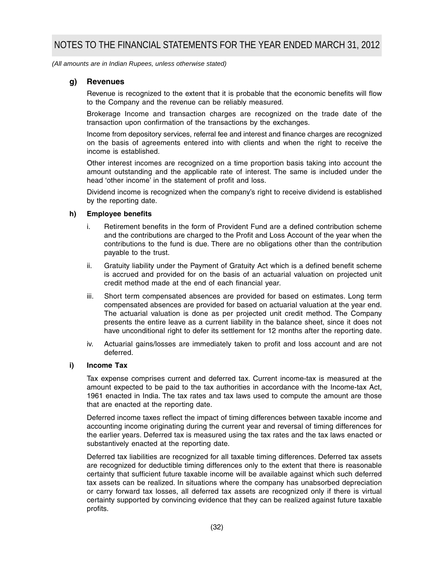*(All amounts are in Indian Rupees, unless otherwise stated)*

#### **g) Revenues**

Revenue is recognized to the extent that it is probable that the economic benefits will flow to the Company and the revenue can be reliably measured.

Brokerage Income and transaction charges are recognized on the trade date of the transaction upon confirmation of the transactions by the exchanges.

Income from depository services, referral fee and interest and finance charges are recognized on the basis of agreements entered into with clients and when the right to receive the income is established.

Other interest incomes are recognized on a time proportion basis taking into account the amount outstanding and the applicable rate of interest. The same is included under the head 'other income' in the statement of profit and loss.

Dividend income is recognized when the company's right to receive dividend is established by the reporting date.

#### **h) Employee benefits**

- i. Retirement benefits in the form of Provident Fund are a defined contribution scheme and the contributions are charged to the Profit and Loss Account of the year when the contributions to the fund is due. There are no obligations other than the contribution payable to the trust.
- ii. Gratuity liability under the Payment of Gratuity Act which is a defined benefit scheme is accrued and provided for on the basis of an actuarial valuation on projected unit credit method made at the end of each financial year.
- iii. Short term compensated absences are provided for based on estimates. Long term compensated absences are provided for based on actuarial valuation at the year end. The actuarial valuation is done as per projected unit credit method. The Company presents the entire leave as a current liability in the balance sheet, since it does not have unconditional right to defer its settlement for 12 months after the reporting date.
- iv. Actuarial gains/losses are immediately taken to profit and loss account and are not deferred.

#### **i) Income Tax**

Tax expense comprises current and deferred tax. Current income-tax is measured at the amount expected to be paid to the tax authorities in accordance with the Income-tax Act, 1961 enacted in India. The tax rates and tax laws used to compute the amount are those that are enacted at the reporting date.

Deferred income taxes reflect the impact of timing differences between taxable income and accounting income originating during the current year and reversal of timing differences for the earlier years. Deferred tax is measured using the tax rates and the tax laws enacted or substantively enacted at the reporting date.

Deferred tax liabilities are recognized for all taxable timing differences. Deferred tax assets are recognized for deductible timing differences only to the extent that there is reasonable certainty that sufficient future taxable income will be available against which such deferred tax assets can be realized. In situations where the company has unabsorbed depreciation or carry forward tax losses, all deferred tax assets are recognized only if there is virtual certainty supported by convincing evidence that they can be realized against future taxable profits.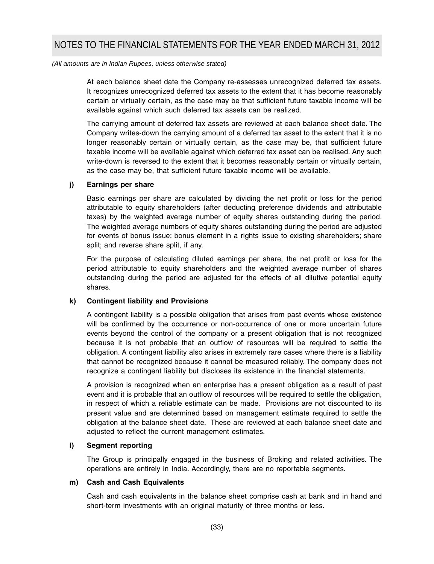*(All amounts are in Indian Rupees, unless otherwise stated)*

At each balance sheet date the Company re-assesses unrecognized deferred tax assets. It recognizes unrecognized deferred tax assets to the extent that it has become reasonably certain or virtually certain, as the case may be that sufficient future taxable income will be available against which such deferred tax assets can be realized.

The carrying amount of deferred tax assets are reviewed at each balance sheet date. The Company writes-down the carrying amount of a deferred tax asset to the extent that it is no longer reasonably certain or virtually certain, as the case may be, that sufficient future taxable income will be available against which deferred tax asset can be realised. Any such write-down is reversed to the extent that it becomes reasonably certain or virtually certain, as the case may be, that sufficient future taxable income will be available.

#### **j) Earnings per share**

Basic earnings per share are calculated by dividing the net profit or loss for the period attributable to equity shareholders (after deducting preference dividends and attributable taxes) by the weighted average number of equity shares outstanding during the period. The weighted average numbers of equity shares outstanding during the period are adjusted for events of bonus issue; bonus element in a rights issue to existing shareholders; share split; and reverse share split, if any.

For the purpose of calculating diluted earnings per share, the net profit or loss for the period attributable to equity shareholders and the weighted average number of shares outstanding during the period are adjusted for the effects of all dilutive potential equity shares.

#### **k) Contingent liability and Provisions**

A contingent liability is a possible obligation that arises from past events whose existence will be confirmed by the occurrence or non-occurrence of one or more uncertain future events beyond the control of the company or a present obligation that is not recognized because it is not probable that an outflow of resources will be required to settle the obligation. A contingent liability also arises in extremely rare cases where there is a liability that cannot be recognized because it cannot be measured reliably. The company does not recognize a contingent liability but discloses its existence in the financial statements.

A provision is recognized when an enterprise has a present obligation as a result of past event and it is probable that an outflow of resources will be required to settle the obligation, in respect of which a reliable estimate can be made. Provisions are not discounted to its present value and are determined based on management estimate required to settle the obligation at the balance sheet date. These are reviewed at each balance sheet date and adjusted to reflect the current management estimates.

#### **l) Segment reporting**

The Group is principally engaged in the business of Broking and related activities. The operations are entirely in India. Accordingly, there are no reportable segments.

#### **m) Cash and Cash Equivalents**

Cash and cash equivalents in the balance sheet comprise cash at bank and in hand and short-term investments with an original maturity of three months or less.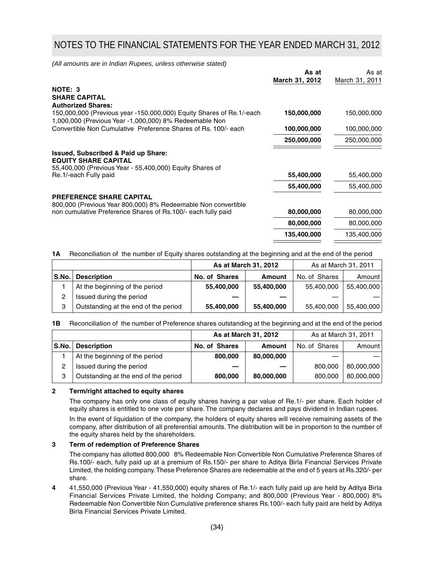*(All amounts are in Indian Rupees, unless otherwise stated)*

|                                                                                                                                                             | As at<br>March 31, 2012 | As at<br>March 31, 2011 |
|-------------------------------------------------------------------------------------------------------------------------------------------------------------|-------------------------|-------------------------|
| NOTE: 3                                                                                                                                                     |                         |                         |
| <b>SHARE CAPITAL</b>                                                                                                                                        |                         |                         |
| <b>Authorized Shares:</b><br>150,000,000 (Previous year -150,000,000) Equity Shares of Re.1/-each<br>1,000,000 (Previous Year -1,000,000) 8% Redeemable Non | 150,000,000             | 150,000,000             |
| Convertible Non Cumulative Preference Shares of Rs. 100/- each                                                                                              | 100,000,000             | 100,000,000             |
|                                                                                                                                                             | 250,000,000             | 250,000,000             |
| <b>Issued, Subscribed &amp; Paid up Share:</b><br><b>EQUITY SHARE CAPITAL</b>                                                                               |                         |                         |
| 55,400,000 (Previous Year - 55,400,000) Equity Shares of                                                                                                    |                         |                         |
| Re.1/-each Fully paid                                                                                                                                       | 55,400,000              | 55,400,000              |
|                                                                                                                                                             | 55,400,000              | 55,400,000              |
| <b>PREFERENCE SHARE CAPITAL</b>                                                                                                                             |                         |                         |
| 800,000 (Previous Year 800,000) 8% Redeemable Non convertible                                                                                               |                         |                         |
| non cumulative Preference Shares of Rs.100/- each fully paid                                                                                                | 80,000,000              | 80,000,000              |
|                                                                                                                                                             | 80,000,000              | 80,000,000              |
|                                                                                                                                                             | 135,400,000             | 135,400,000             |

**1A** Reconciliation of the number of Equity shares outstanding at the beginning and at the end of the period

|       |                                      | As at March 31, 2012 |               | As at March 31, 2011 |            |
|-------|--------------------------------------|----------------------|---------------|----------------------|------------|
| S.No. | <b>Description</b>                   | No. of Shares        | <b>Amount</b> | No. of Shares        | Amount     |
|       | At the beginning of the period       | 55,400,000           | 55,400,000    | 55,400,000           | 55,400,000 |
| 2     | Issued during the period             |                      |               |                      |            |
| 3     | Outstanding at the end of the period | 55,400,000           | 55,400,000    | 55,400,000           | 55,400,000 |

**1B** Reconciliation of the number of Preference shares outstanding at the beginning and at the end of the period

|       |                                      | As at March 31, 2012 |               | As at March 31, 2011 |            |
|-------|--------------------------------------|----------------------|---------------|----------------------|------------|
| S.No. | <b>Description</b>                   | No. of Shares        | <b>Amount</b> | No. of Shares        | Amount     |
|       | At the beginning of the period       | 800,000              | 80,000,000    |                      |            |
| 2     | Issued during the period             |                      |               | 800,000              | 80,000,000 |
| 3     | Outstanding at the end of the period | 800,000              | 80,000,000    | 800,000              | 80,000,000 |

#### **2 Term/right attached to equity shares**

The company has only one class of equity shares having a par value of Re.1/- per share. Each holder of equity shares is entitled to one vote per share. The company declares and pays dividend in Indian rupees.

In the event of liquidation of the company, the holders of equity shares will receive remaining assets of the company, after distribution of all preferential amounts. The distribution will be in proportion to the number of the equity shares held by the shareholders.

#### **3 Term of redemption of Preference Shares**

The company has allotted 800,000 8% Redeemable Non Convertible Non Cumulative Preference Shares of Rs.100/- each, fully paid up at a premium of Rs.150/- per share to Aditya Birla Financial Services Private Limited, the holding company. These Preference Shares are redeemable at the end of 5 years at Rs.320/- per share.

**4** 41,550,000 (Previous Year - 41,550,000) equity shares of Re.1/- each fully paid up are held by Aditya Birla Financial Services Private Limited, the holding Company; and 800,000 (Previous Year - 800,000) 8% Redeemable Non Convertible Non Cumulative preference shares Rs.100/- each fully paid are held by Aditya Birla Financial Services Private Limited.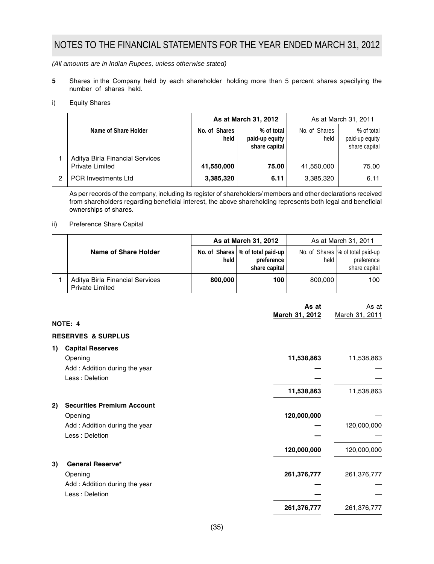*(All amounts are in Indian Rupees, unless otherwise stated)*

- **5** Shares in the Company held by each shareholder holding more than 5 percent shares specifying the number of shares held.
- i) Equity Shares

|   |                                                           | As at March 31, 2012  |                                               | As at March 31, 2011  |                                               |  |
|---|-----------------------------------------------------------|-----------------------|-----------------------------------------------|-----------------------|-----------------------------------------------|--|
|   | Name of Share Holder                                      | No. of Shares<br>held | % of total<br>paid-up equity<br>share capital | No. of Shares<br>held | % of total<br>paid-up equity<br>share capital |  |
|   | Aditya Birla Financial Services<br><b>Private Limited</b> | 41.550.000            | 75.00                                         | 41.550.000            | 75.00                                         |  |
| 2 | <b>PCR Investments Ltd</b>                                | 3,385,320             | 6.11                                          | 3,385,320             | 6.11                                          |  |

As per records of the company, including its register of shareholders/ members and other declarations received from shareholders regarding beneficial interest, the above shareholding represents both legal and beneficial ownerships of shares.

#### ii) Preference Share Capital

|  |                                                           | As at March 31, 2012 |                                                                   | As at March 31, 2011 |                                                                    |  |
|--|-----------------------------------------------------------|----------------------|-------------------------------------------------------------------|----------------------|--------------------------------------------------------------------|--|
|  | Name of Share Holder                                      | held                 | No. of Shares   % of total paid-up<br>preference<br>share capital | held                 | No. of Shares  % of total paid-up  <br>preference<br>share capital |  |
|  | Aditya Birla Financial Services<br><b>Private Limited</b> | 800.000              | 100                                                               | 800,000              | 100                                                                |  |

|                                         | As at          | As at          |
|-----------------------------------------|----------------|----------------|
| NOTE: 4                                 | March 31, 2012 | March 31, 2011 |
| <b>RESERVES &amp; SURPLUS</b>           |                |                |
| <b>Capital Reserves</b><br>1)           |                |                |
| Opening                                 | 11,538,863     | 11,538,863     |
| Add: Addition during the year           |                |                |
| Less : Deletion                         |                |                |
|                                         | 11,538,863     | 11,538,863     |
| <b>Securities Premium Account</b><br>2) |                |                |
| Opening                                 | 120,000,000    |                |
| Add: Addition during the year           |                | 120,000,000    |
| Less : Deletion                         |                |                |
|                                         | 120,000,000    | 120,000,000    |
| <b>General Reserve*</b><br>3)           |                |                |
| Opening                                 | 261,376,777    | 261,376,777    |
| Add: Addition during the year           |                |                |
| Less: Deletion                          |                |                |
|                                         | 261,376,777    | 261,376,777    |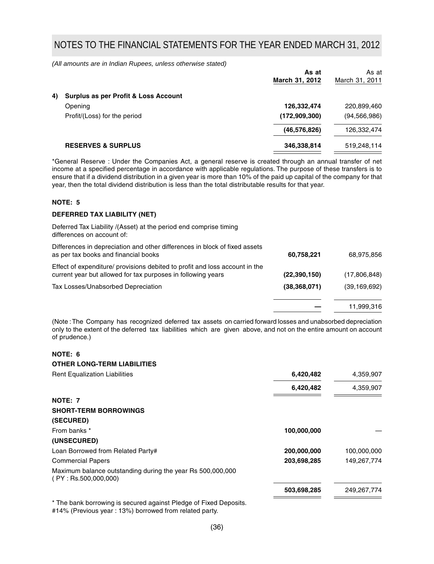*(All amounts are in Indian Rupees, unless otherwise stated)*

| As at<br>March 31, 2012                                                                                          | As at<br>March 31, 2011 |
|------------------------------------------------------------------------------------------------------------------|-------------------------|
|                                                                                                                  |                         |
| 126,332,474                                                                                                      | 220,899,460             |
| (172, 909, 300)                                                                                                  | (94, 566, 986)          |
| (46, 576, 826)                                                                                                   | 126,332,474             |
| 346,338,814                                                                                                      | 519,248,114             |
| Surplus as per Profit & Loss Account<br>Opening<br>Profit/(Loss) for the period<br><b>RESERVES &amp; SURPLUS</b> |                         |

\*General Reserve : Under the Companies Act, a general reserve is created through an annual transfer of net income at a specified percentage in accordance with applicable regulations. The purpose of these transfers is to ensure that if a dividend distribution in a given year is more than 10% of the paid up capital of the company for that year, then the total dividend distribution is less than the total distributable results for that year.

## **NOTE: 5**

### **DEFERRED TAX LIABILITY (NET)**

| Deferred Tax Liability /(Asset) at the period end comprise timing<br>differences on account of:                                             |                |                |
|---------------------------------------------------------------------------------------------------------------------------------------------|----------------|----------------|
| Differences in depreciation and other differences in block of fixed assets<br>as per tax books and financial books                          | 60,758,221     | 68,975,856     |
| Effect of expenditure/ provisions debited to profit and loss account in the<br>current year but allowed for tax purposes in following years | (22,390,150)   | (17,806,848)   |
| Tax Losses/Unabsorbed Depreciation                                                                                                          | (38, 368, 071) | (39, 169, 692) |
|                                                                                                                                             |                | 11,999,316     |
|                                                                                                                                             |                |                |

(Note : The Company has recognized deferred tax assets on carried forward losses and unabsorbed depreciation only to the extent of the deferred tax liabilities which are given above, and not on the entire amount on account of prudence.)

## **NOTE: 6**

| <b>OTHER LONG-TERM LIABILITIES</b>                                                 |             |             |
|------------------------------------------------------------------------------------|-------------|-------------|
| <b>Rent Equalization Liabilities</b>                                               | 6,420,482   | 4,359,907   |
|                                                                                    | 6,420,482   | 4,359,907   |
| NOTE: 7                                                                            |             |             |
| <b>SHORT-TERM BORROWINGS</b>                                                       |             |             |
| (SECURED)                                                                          |             |             |
| From banks *                                                                       | 100,000,000 |             |
| (UNSECURED)                                                                        |             |             |
| Loan Borrowed from Related Party#                                                  | 200,000,000 | 100,000,000 |
| <b>Commercial Papers</b>                                                           | 203,698,285 | 149,267,774 |
| Maximum balance outstanding during the year Rs 500,000,000<br>(PY: Rs.500,000,000) |             |             |
|                                                                                    | 503,698,285 | 249,267,774 |
|                                                                                    |             |             |

\* The bank borrowing is secured against Pledge of Fixed Deposits. #14% (Previous year : 13%) borrowed from related party.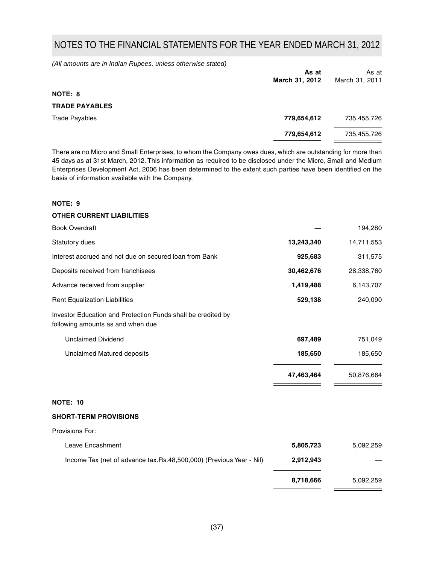*(All amounts are in Indian Rupees, unless otherwise stated)*

|                       | As at<br>March 31, 2012 | As at<br>March 31, 2011 |
|-----------------------|-------------------------|-------------------------|
| NOTE: 8               |                         |                         |
| <b>TRADE PAYABLES</b> |                         |                         |
| <b>Trade Payables</b> | 779,654,612             | 735,455,726             |
|                       | 779,654,612             | 735,455,726             |
|                       |                         |                         |

There are no Micro and Small Enterprises, to whom the Company owes dues, which are outstanding for more than 45 days as at 31st March, 2012. This information as required to be disclosed under the Micro, Small and Medium Enterprises Development Act, 2006 has been determined to the extent such parties have been identified on the basis of information available with the Company.

## **NOTE: 9**

## **OTHER CURRENT LIABILITIES**

| <b>Book Overdraft</b>                                                                             |            | 194,280    |
|---------------------------------------------------------------------------------------------------|------------|------------|
| <b>Statutory dues</b>                                                                             | 13,243,340 | 14,711,553 |
| Interest accrued and not due on secured loan from Bank                                            | 925,683    | 311,575    |
| Deposits received from franchisees                                                                | 30,462,676 | 28,338,760 |
| Advance received from supplier                                                                    | 1,419,488  | 6,143,707  |
| <b>Rent Equalization Liabilities</b>                                                              | 529,138    | 240,090    |
| Investor Education and Protection Funds shall be credited by<br>following amounts as and when due |            |            |
| <b>Unclaimed Dividend</b>                                                                         | 697,489    | 751,049    |
| Unclaimed Matured deposits                                                                        | 185,650    | 185,650    |
|                                                                                                   | 47,463,464 | 50,876,664 |
| <b>NOTE: 10</b>                                                                                   |            |            |
| <b>SHORT-TERM PROVISIONS</b>                                                                      |            |            |
| Provisions For:                                                                                   |            |            |
| Leave Encashment                                                                                  | 5,805,723  | 5,092,259  |
| Income Tax (net of advance tax.Rs.48,500,000) (Previous Year - Nil)                               | 2,912,943  |            |
|                                                                                                   |            |            |

 **8,718,666** 5,092,259

 $\overline{\phantom{a}}$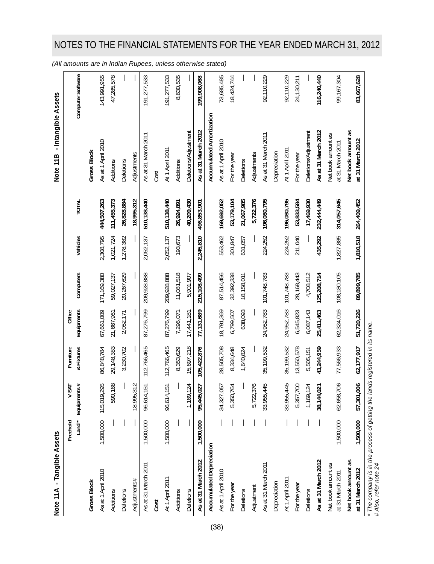| u       |
|---------|
| ن<br>حا |
|         |
|         |
|         |
|         |
|         |
| ì<br>ς  |
| ç       |
| ē       |
|         |
|         |
|         |
|         |
|         |
|         |
|         |
|         |
|         |
| ċ       |

| Note 11A - Tangible Assets                                                                           |             |                          |              |            |              |           |               | - Intangible Assets<br>Note 11 <sub>B</sub> |                   |
|------------------------------------------------------------------------------------------------------|-------------|--------------------------|--------------|------------|--------------|-----------|---------------|---------------------------------------------|-------------------|
|                                                                                                      | Freehold    | <b>INS</b><br>>          | Furniture    | Office     |              |           |               |                                             |                   |
|                                                                                                      | $L$ and $*$ | Equipments#              | & Fixtures   | Equipments | Computers    | Vehicles  | <b>TOTAL</b>  |                                             | Computer Software |
| <b>Gross Block</b>                                                                                   |             |                          |              |            |              |           |               | <b>Gross Block</b>                          |                   |
| As at 1 April 2010                                                                                   | 1,500,000   | 295<br>115,019,          | 86,848,784   | 67,661,009 | 171,169,380  | 2,308,795 | 444,507,263   | As at 1 April 2010                          | 143,991,955       |
| Additions                                                                                            |             | 590,168                  | 29,148,383   | 21,667,961 | 59,027,137   | 1,021,724 | 111, 455, 373 | Additions                                   | 47,285,578        |
| Deletions                                                                                            |             |                          | 3,230,702    | 2,052,171  | 20,267,629   | 1,278,382 | 26,828,884    | Deletions                                   |                   |
| Adjustments#                                                                                         |             | 312<br>18,995,           |              |            |              |           | 18,995,312    | Adjustments                                 |                   |
| As at 31 March 2011                                                                                  | 1,500,000   | $-151$<br>96,614,        | 112,766,465  | 87,276,799 | 209,928,888  | 2,052,137 | 510, 138, 440 | As at 31 March 2011                         | 191,277,533       |
| Cost                                                                                                 |             |                          |              |            |              |           |               | Cost                                        |                   |
| At 1 April 2011                                                                                      | 1,500,000   | 96,614,151               | 112,766,465  | 87,276,799 | 209,928,888  | 2,052,137 | 510,138,440   | At 1 April 2011                             | 191,277,533       |
| Additions                                                                                            |             |                          | 8,353,629    | 7,296,071  | 11,081,518   | 193,673   | 26,924,891    | Additions                                   | 8,630,535         |
| Deletions                                                                                            |             | 1,169,124                | 15,697,218   | 17,441,181 | 5,901,907    |           | 40,209,430    | Deletions/Adjustment                        |                   |
| As at 31 March 2012                                                                                  | 1,500,000   | 027<br>95,445,           | 105,422,876  | 77,131,689 | 215,108,499  | 2,245,810 | 496,853,901   | As at 31 March 2012                         | 199,908,068       |
| Accumulated Depreciation                                                                             |             |                          |              |            |              |           |               | Accumulated Amortization                    |                   |
| As at 1 April 2010                                                                                   |             | 057<br>34,327,           | 28,505,708   | 18,791,369 | 87,514,456   | 553,462   | 169,692,052   | As at 1 April 2010                          | 73,685,485        |
| For the year                                                                                         |             | 5,350,764                | 8,334,648    | 6,799,507  | 32,392,338   | 301,847   | 53,179,104    | For the year                                | 18,424,744        |
| Deletions                                                                                            |             |                          | 1,640,824    | 638,093    | 18,158,011   | 631,057   | 21,067,985    | Deletions                                   |                   |
| Adjustment                                                                                           |             | 5,722,376                |              |            |              |           | 5,722,376     | Adjustments                                 |                   |
| As at 31 March 2011                                                                                  |             | 445<br>33,955,           | 35,199,532   | 24,952,783 | 101,748,783  | 224,252   | 196,080,795   | As at 31 March 2011                         | 92,110,229        |
| Depreciation                                                                                         |             |                          |              |            |              |           |               | Depreciation                                |                   |
| At 1 April 2011                                                                                      |             | 445<br>33,955,           | 35, 199, 532 | 24,952,783 | 101,748,783  | 224,252   | 196,080,795   | At 1 April 2011                             | 92,110,229        |
| For the year                                                                                         |             | 5,357,700                | 13,550,578   | 6,545,823  | 28, 168, 443 | 211,040   | 53,833,584    | For the year                                | 24, 130, 211      |
| Deletions                                                                                            |             | 1,169,124                | 5,505,151    | 6,087,143  | 4,708,512    |           | 17,469,930    | Deletions/Adjustment                        |                   |
| As at 31 March 2012                                                                                  |             | $\overline{0}$<br>38,144 | 43,244,959   | 25,411,463 | 125,208,714  | 435,292   | 232,444,449   | As at 31 March 2012                         | 116,240,440       |
| Net book amount as<br>at 31 March 2011                                                               | 1,500,000   | 706<br>62,658,           | 77,566,933   | 62,324,016 | 108,180,105  | 1,827,885 | 314,057,645   | Net book amount as<br>at 31 March 2011      | 99,167,304        |
| Net book amount as<br>at 31 March 2012                                                               | 1,500,000   | 606<br>57,301,           | 62,177,917   | 51,720,226 | 89,899,785   | 1,810,518 | 264,409,452   | Net book amount as<br>at 31 March 2012      | 83,667,628        |
| * The company is in the process of getting the lands registered in its name.<br>#Also, refer note 24 |             |                          |              |            |              |           |               |                                             |                   |

*(All amounts are in Indian Rupees, unless otherwise stated)*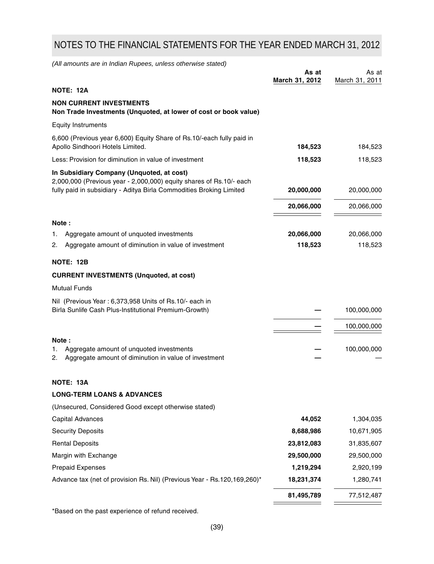*(All amounts are in Indian Rupees, unless otherwise stated)*

|                                                                                                                                                                                         | As at<br>March 31, 2012 | As at<br>March 31, 2011 |
|-----------------------------------------------------------------------------------------------------------------------------------------------------------------------------------------|-------------------------|-------------------------|
| <b>NOTE: 12A</b>                                                                                                                                                                        |                         |                         |
| <b>NON CURRENT INVESTMENTS</b><br>Non Trade Investments (Unquoted, at lower of cost or book value)                                                                                      |                         |                         |
| <b>Equity Instruments</b>                                                                                                                                                               |                         |                         |
| 6,600 (Previous year 6,600) Equity Share of Rs.10/-each fully paid in<br>Apollo Sindhoori Hotels Limited.                                                                               | 184,523                 | 184,523                 |
| Less: Provision for diminution in value of investment                                                                                                                                   | 118,523                 | 118,523                 |
| In Subsidiary Company (Unquoted, at cost)<br>2,000,000 (Previous year - 2,000,000) equity shares of Rs.10/- each<br>fully paid in subsidiary - Aditya Birla Commodities Broking Limited | 20,000,000              | 20,000,000              |
|                                                                                                                                                                                         | 20,066,000              | 20,066,000              |
|                                                                                                                                                                                         |                         |                         |
| Note:                                                                                                                                                                                   |                         |                         |
| Aggregate amount of unquoted investments<br>1.<br>Aggregate amount of diminution in value of investment<br>2.                                                                           | 20,066,000<br>118,523   | 20,066,000<br>118,523   |
|                                                                                                                                                                                         |                         |                         |
| <b>NOTE: 12B</b>                                                                                                                                                                        |                         |                         |
| <b>CURRENT INVESTMENTS (Unquoted, at cost)</b>                                                                                                                                          |                         |                         |
| <b>Mutual Funds</b>                                                                                                                                                                     |                         |                         |
| Nil (Previous Year: 6,373,958 Units of Rs.10/- each in<br>Birla Sunlife Cash Plus-Institutional Premium-Growth)                                                                         |                         | 100,000,000             |
|                                                                                                                                                                                         |                         | 100,000,000             |
| Note:<br>Aggregate amount of unquoted investments<br>1.<br>Aggregate amount of diminution in value of investment<br>2.                                                                  |                         | 100,000,000             |
| NOTE: 13A                                                                                                                                                                               |                         |                         |
| <b>LONG-TERM LOANS &amp; ADVANCES</b>                                                                                                                                                   |                         |                         |
| (Unsecured, Considered Good except otherwise stated)                                                                                                                                    |                         |                         |
| Capital Advances                                                                                                                                                                        | 44,052                  | 1,304,035               |
| <b>Security Deposits</b>                                                                                                                                                                | 8,688,986               | 10,671,905              |
| <b>Rental Deposits</b>                                                                                                                                                                  | 23,812,083              | 31,835,607              |
| Margin with Exchange                                                                                                                                                                    | 29,500,000              | 29,500,000              |
| <b>Prepaid Expenses</b>                                                                                                                                                                 | 1,219,294               | 2,920,199               |
| Advance tax (net of provision Rs. Nil) (Previous Year - Rs. 120, 169, 260)*                                                                                                             | 18,231,374              | 1,280,741               |
|                                                                                                                                                                                         | 81,495,789              | 77,512,487              |
| *Based on the past experience of refund received.                                                                                                                                       |                         |                         |

(39)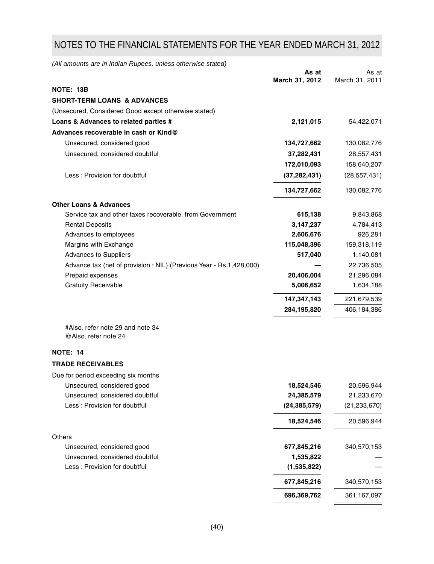*(All amounts are in Indian Rupees, unless otherwise stated)*

|                                                                     | As at<br>March 31, 2012 | As at<br>March 31, 2011 |
|---------------------------------------------------------------------|-------------------------|-------------------------|
| NOTE: 13B                                                           |                         |                         |
| <b>SHORT-TERM LOANS &amp; ADVANCES</b>                              |                         |                         |
| (Unsecured, Considered Good except otherwise stated)                |                         |                         |
| Loans & Advances to related parties #                               | 2,121,015               | 54,422,071              |
| Advances recoverable in cash or Kind@                               |                         |                         |
| Unsecured, considered good                                          | 134,727,662             | 130,082,776             |
| Unsecured, considered doubtful                                      | 37,282,431              | 28,557,431              |
|                                                                     | 172,010,093             | 158,640,207             |
| Less: Provision for doubtful                                        | (37, 282, 431)          | (28, 557, 431)          |
|                                                                     |                         |                         |
|                                                                     | 134,727,662             | 130,082,776             |
| <b>Other Loans &amp; Advances</b>                                   |                         |                         |
| Service tax and other taxes recoverable, from Government            | 615,138                 | 9,843,868               |
| <b>Rental Deposits</b>                                              | 3,147,237               | 4,784,413               |
| Advances to employees                                               | 2,606,676               | 926,281                 |
| Margins with Exchange                                               | 115,048,396             | 159,318,119             |
| Advances to Suppliers                                               | 517,040                 | 1,140,081               |
| Advance tax (net of provision : NIL) (Previous Year - Rs.1,428,000) |                         | 22,736,505              |
| Prepaid expenses                                                    | 20,406,004              | 21,296,084              |
| <b>Gratuity Receivable</b>                                          | 5,006,652               | 1,634,188               |
|                                                                     | 147,347,143             | 221,679,539             |
|                                                                     | 284,195,820             | 406,184,386             |
| #Also, refer note 29 and note 34<br>@Also, refer note 24            |                         |                         |
| <b>NOTE: 14</b>                                                     |                         |                         |
| <b>TRADE RECEIVABLES</b>                                            |                         |                         |
| Due for period exceeding six months                                 |                         |                         |
| Unsecured, considered good                                          | 18,524,546              | 20,596,944              |
| Unsecured, considered doubtful                                      | 24,385,579              | 21,233,670              |
| Less : Provision for doubtful                                       | (24, 385, 579)          | (21, 233, 670)          |
|                                                                     | 18,524,546              | 20,596,944              |
| Others                                                              |                         |                         |
| Unsecured, considered good                                          | 677,845,216             | 340,570,153             |
| Unsecured, considered doubtful                                      | 1,535,822               |                         |
| Less: Provision for doubtful                                        | (1,535,822)             |                         |
|                                                                     | 677,845,216             | 340,570,153             |

**696,369,762** 361,167,097

 $=$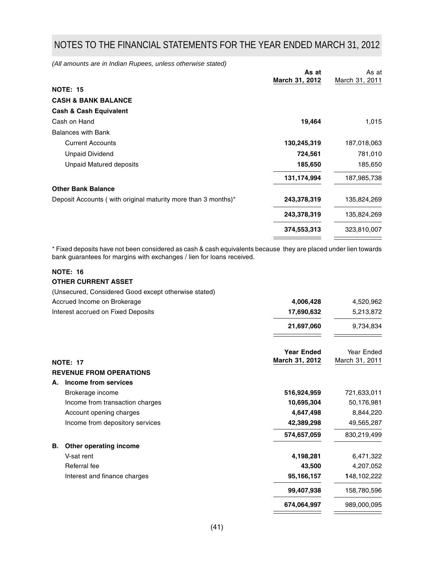*(All amounts are in Indian Rupees, unless otherwise stated)*

|                                                               | As at          | As at          |
|---------------------------------------------------------------|----------------|----------------|
|                                                               | March 31, 2012 | March 31, 2011 |
| <b>NOTE: 15</b>                                               |                |                |
| <b>CASH &amp; BANK BALANCE</b>                                |                |                |
| <b>Cash &amp; Cash Equivalent</b>                             |                |                |
| Cash on Hand                                                  | 19,464         | 1,015          |
| <b>Balances with Bank</b>                                     |                |                |
| <b>Current Accounts</b>                                       | 130,245,319    | 187,018,063    |
| <b>Unpaid Dividend</b>                                        | 724,561        | 781,010        |
| <b>Unpaid Matured deposits</b>                                | 185,650        | 185,650        |
|                                                               | 131,174,994    | 187,985,738    |
| <b>Other Bank Balance</b>                                     |                |                |
| Deposit Accounts (with original maturity more than 3 months)* | 243,378,319    | 135,824,269    |
|                                                               | 243,378,319    | 135,824,269    |
|                                                               | 374,553,313    | 323,810,007    |
|                                                               |                |                |

\* Fixed deposits have not been considered as cash & cash equivalents because they are placed under lien towards bank guarantees for margins with exchanges / lien for loans received.

## **NOTE: 16 OTHER CURRENT ASSET**

(Unsecured, Considered Good except otherwise stated)

| Accrued Income on Brokerage        | 4,006,428                           | 4,520,962                    |
|------------------------------------|-------------------------------------|------------------------------|
| Interest accrued on Fixed Deposits | 17,690,632                          | 5,213,872                    |
|                                    | 21,697,060                          | 9,734,834                    |
|                                    | <b>Year Ended</b><br>March 31, 2012 | Year Ended<br>March 31, 2011 |
| <b>NOTE: 17</b>                    |                                     |                              |
| <b>REVENUE FROM OPERATIONS</b>     |                                     |                              |
| Income from services<br>А.         |                                     |                              |
| Brokerage income                   | 516,924,959                         | 721,633,011                  |
| Income from transaction charges    | 10,695,304                          | 50,176,981                   |
| Account opening charges            | 4,647,498                           | 8,844,220                    |
| Income from depository services    | 42,389,298                          | 49,565,287                   |
|                                    | 574,657,059                         | 830,219,499                  |
| Other operating income<br>В.       |                                     |                              |
| V-sat rent                         | 4,198,281                           | 6,471,322                    |
| Referral fee                       | 43,500                              | 4,207,052                    |
| Interest and finance charges       | 95,166,157                          | 148,102,222                  |
|                                    | 99,407,938                          | 158,780,596                  |
|                                    | 674,064,997                         | 989,000,095                  |
|                                    |                                     |                              |

 $\equiv$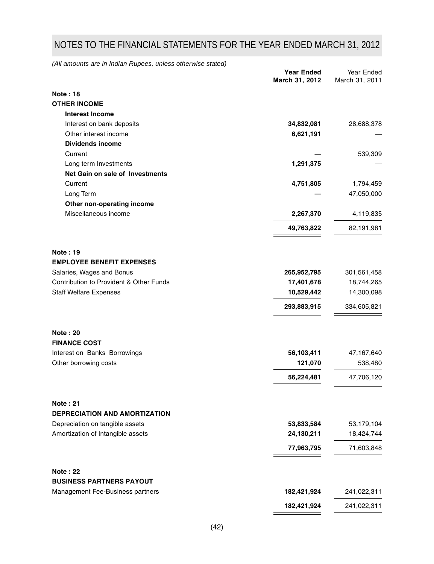*(All amounts are in Indian Rupees, unless otherwise stated)*

|                                         | <b>Year Ended</b><br>March 31, 2012 | Year Ended<br>March 31, 2011 |
|-----------------------------------------|-------------------------------------|------------------------------|
| <b>Note: 18</b>                         |                                     |                              |
| <b>OTHER INCOME</b>                     |                                     |                              |
| <b>Interest Income</b>                  |                                     |                              |
| Interest on bank deposits               | 34,832,081                          | 28,688,378                   |
| Other interest income                   | 6,621,191                           |                              |
| <b>Dividends income</b>                 |                                     |                              |
| Current                                 |                                     | 539,309                      |
| Long term Investments                   | 1,291,375                           |                              |
| Net Gain on sale of Investments         |                                     |                              |
| Current                                 | 4,751,805                           | 1,794,459                    |
| Long Term                               |                                     | 47,050,000                   |
| Other non-operating income              |                                     |                              |
| Miscellaneous income                    | 2,267,370                           | 4,119,835                    |
|                                         | 49,763,822                          | 82,191,981                   |
| <b>Note: 19</b>                         |                                     |                              |
| <b>EMPLOYEE BENEFIT EXPENSES</b>        |                                     |                              |
| Salaries, Wages and Bonus               | 265,952,795                         | 301,561,458                  |
| Contribution to Provident & Other Funds | 17,401,678                          | 18,744,265                   |
| <b>Staff Welfare Expenses</b>           | 10,529,442                          | 14,300,098                   |
|                                         | 293,883,915                         | 334,605,821                  |
| <b>Note: 20</b>                         |                                     |                              |
| <b>FINANCE COST</b>                     |                                     |                              |
| Interest on Banks Borrowings            | 56,103,411                          | 47,167,640                   |
| Other borrowing costs                   | 121,070                             | 538,480                      |
|                                         | 56,224,481                          | 47,706,120                   |
| <b>Note: 21</b>                         |                                     |                              |
| DEPRECIATION AND AMORTIZATION           |                                     |                              |
| Depreciation on tangible assets         | 53,833,584                          | 53,179,104                   |
| Amortization of Intangible assets       | 24,130,211                          | 18,424,744                   |
|                                         | 77,963,795                          | 71,603,848                   |
| <b>Note: 22</b>                         |                                     |                              |
| <b>BUSINESS PARTNERS PAYOUT</b>         |                                     |                              |
| Management Fee-Business partners        | 182,421,924                         | 241,022,311                  |
|                                         | 182,421,924                         | 241,022,311                  |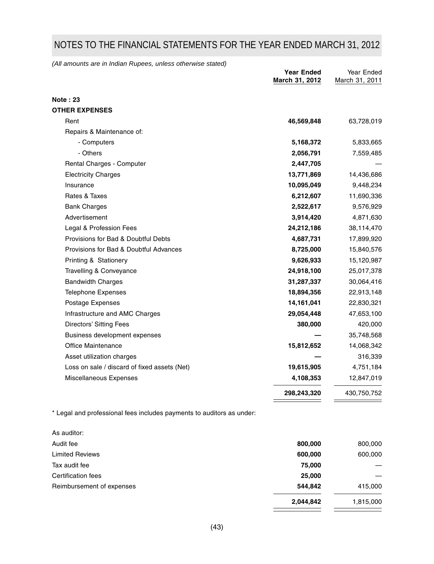*(All amounts are in Indian Rupees, unless otherwise stated)*

|                                              | <b>Year Ended</b><br>March 31, 2012 | Year Ended<br>March 31, 2011 |
|----------------------------------------------|-------------------------------------|------------------------------|
| <b>Note: 23</b>                              |                                     |                              |
| <b>OTHER EXPENSES</b>                        |                                     |                              |
| Rent                                         | 46,569,848                          | 63,728,019                   |
| Repairs & Maintenance of:                    |                                     |                              |
| - Computers                                  | 5,168,372                           | 5,833,665                    |
| - Others                                     | 2,056,791                           | 7,559,485                    |
| Rental Charges - Computer                    | 2,447,705                           |                              |
| <b>Electricity Charges</b>                   | 13,771,869                          | 14,436,686                   |
| Insurance                                    | 10,095,049                          | 9,448,234                    |
| Rates & Taxes                                | 6,212,607                           | 11,690,336                   |
| <b>Bank Charges</b>                          | 2,522,617                           | 9,576,929                    |
| Advertisement                                | 3,914,420                           | 4,871,630                    |
| Legal & Profession Fees                      | 24,212,186                          | 38,114,470                   |
| Provisions for Bad & Doubtful Debts          | 4,687,731                           | 17,899,920                   |
| Provisions for Bad & Doubtful Advances       | 8,725,000                           | 15,840,576                   |
| Printing & Stationery                        | 9,626,933                           | 15,120,987                   |
| Travelling & Conveyance                      | 24,918,100                          | 25,017,378                   |
| <b>Bandwidth Charges</b>                     | 31,287,337                          | 30,064,416                   |
| <b>Telephone Expenses</b>                    | 18,894,356                          | 22,913,148                   |
| Postage Expenses                             | 14,161,041                          | 22,830,321                   |
| Infrastructure and AMC Charges               | 29,054,448                          | 47,653,100                   |
| Directors' Sitting Fees                      | 380,000                             | 420,000                      |
| Business development expenses                |                                     | 35,748,568                   |
| <b>Office Maintenance</b>                    | 15,812,652                          | 14,068,342                   |
| Asset utilization charges                    |                                     | 316,339                      |
| Loss on sale / discard of fixed assets (Net) | 19,615,905                          | 4,751,184                    |
| Miscellaneous Expenses                       | 4,108,353                           | 12,847,019                   |
|                                              | 298,243,320                         | 430,750,752                  |

\* Legal and professional fees includes payments to auditors as under:

| As auditor:               |           |           |
|---------------------------|-----------|-----------|
| Audit fee                 | 800,000   | 800,000   |
| <b>Limited Reviews</b>    | 600,000   | 600,000   |
| Tax audit fee             | 75,000    |           |
| Certification fees        | 25,000    |           |
| Reimbursement of expenses | 544,842   | 415,000   |
|                           | 2,044,842 | 1,815,000 |
|                           |           |           |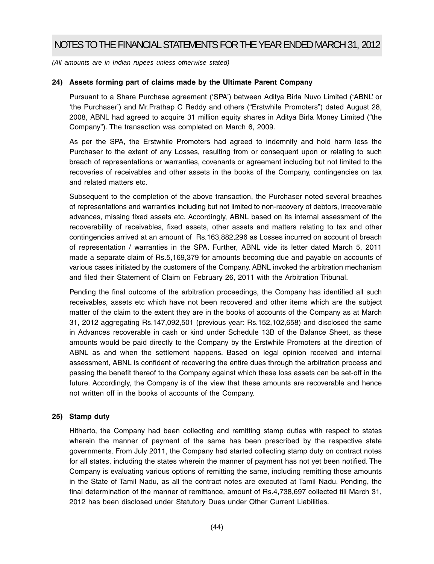*(All amounts are in Indian rupees unless otherwise stated)*

## **24) Assets forming part of claims made by the Ultimate Parent Company**

Pursuant to a Share Purchase agreement ('SPA') between Aditya Birla Nuvo Limited ('ABNL' or 'the Purchaser') and Mr.Prathap C Reddy and others ("Erstwhile Promoters") dated August 28, 2008, ABNL had agreed to acquire 31 million equity shares in Aditya Birla Money Limited ("the Company"). The transaction was completed on March 6, 2009.

As per the SPA, the Erstwhile Promoters had agreed to indemnify and hold harm less the Purchaser to the extent of any Losses, resulting from or consequent upon or relating to such breach of representations or warranties, covenants or agreement including but not limited to the recoveries of receivables and other assets in the books of the Company, contingencies on tax and related matters etc.

Subsequent to the completion of the above transaction, the Purchaser noted several breaches of representations and warranties including but not limited to non-recovery of debtors, irrecoverable advances, missing fixed assets etc. Accordingly, ABNL based on its internal assessment of the recoverability of receivables, fixed assets, other assets and matters relating to tax and other contingencies arrived at an amount of Rs.163,882,296 as Losses incurred on account of breach of representation / warranties in the SPA. Further, ABNL vide its letter dated March 5, 2011 made a separate claim of Rs.5,169,379 for amounts becoming due and payable on accounts of various cases initiated by the customers of the Company. ABNL invoked the arbitration mechanism and filed their Statement of Claim on February 26, 2011 with the Arbitration Tribunal.

Pending the final outcome of the arbitration proceedings, the Company has identified all such receivables, assets etc which have not been recovered and other items which are the subject matter of the claim to the extent they are in the books of accounts of the Company as at March 31, 2012 aggregating Rs.147,092,501 (previous year: Rs.152,102,658) and disclosed the same in Advances recoverable in cash or kind under Schedule 13B of the Balance Sheet, as these amounts would be paid directly to the Company by the Erstwhile Promoters at the direction of ABNL as and when the settlement happens. Based on legal opinion received and internal assessment, ABNL is confident of recovering the entire dues through the arbitration process and passing the benefit thereof to the Company against which these loss assets can be set-off in the future. Accordingly, the Company is of the view that these amounts are recoverable and hence not written off in the books of accounts of the Company.

## **25) Stamp duty**

Hitherto, the Company had been collecting and remitting stamp duties with respect to states wherein the manner of payment of the same has been prescribed by the respective state governments. From July 2011, the Company had started collecting stamp duty on contract notes for all states, including the states wherein the manner of payment has not yet been notified. The Company is evaluating various options of remitting the same, including remitting those amounts in the State of Tamil Nadu, as all the contract notes are executed at Tamil Nadu. Pending, the final determination of the manner of remittance, amount of Rs.4,738,697 collected till March 31, 2012 has been disclosed under Statutory Dues under Other Current Liabilities.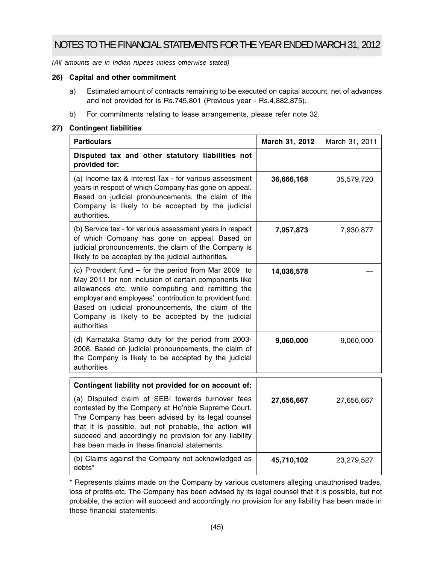*(All amounts are in Indian rupees unless otherwise stated)*

## **26) Capital and other commitment**

- a) Estimated amount of contracts remaining to be executed on capital account, net of advances and not provided for is Rs.745,801 (Previous year - Rs.4,882,875).
- b) For commitments relating to lease arrangements, please refer note 32.

## **27) Contingent liabilities**

| <b>Particulars</b>                                                                                                                                                                                                                                                                                                                                     | March 31, 2012 | March 31, 2011 |
|--------------------------------------------------------------------------------------------------------------------------------------------------------------------------------------------------------------------------------------------------------------------------------------------------------------------------------------------------------|----------------|----------------|
| Disputed tax and other statutory liabilities not<br>provided for:                                                                                                                                                                                                                                                                                      |                |                |
| (a) Income tax & Interest Tax - for various assessment<br>years in respect of which Company has gone on appeal.<br>Based on judicial pronouncements, the claim of the<br>Company is likely to be accepted by the judicial<br>authorities.                                                                                                              | 36,666,168     | 35,579,720     |
| (b) Service tax - for various assessment years in respect<br>of which Company has gone on appeal. Based on<br>judicial pronouncements, the claim of the Company is<br>likely to be accepted by the judicial authorities.                                                                                                                               | 7,957,873      | 7,930,877      |
| (c) Provident fund – for the period from Mar 2009 to<br>May 2011 for non inclusion of certain components like<br>allowances etc. while computing and remitting the<br>employer and employees' contribution to provident fund.<br>Based on judicial pronouncements, the claim of the<br>Company is likely to be accepted by the judicial<br>authorities | 14,036,578     |                |
| (d) Karnataka Stamp duty for the period from 2003-<br>2008. Based on judicial pronouncements, the claim of<br>the Company is likely to be accepted by the judicial<br>authorities                                                                                                                                                                      | 9,060,000      | 9,060,000      |
| Contingent liability not provided for on account of:                                                                                                                                                                                                                                                                                                   |                |                |
| (a) Disputed claim of SEBI towards turnover fees<br>contested by the Company at Ho'nble Supreme Court.<br>The Company has been advised by its legal counsel<br>that it is possible, but not probable, the action will                                                                                                                                  | 27,656,667     | 27,656,667     |

**45,710,102** 23,279,527 succeed and accordingly no provision for any liability has been made in these financial statements. (b) Claims against the Company not acknowledged as debts\*

\* Represents claims made on the Company by various customers alleging unauthorised trades, loss of profits etc. The Company has been advised by its legal counsel that it is possible, but not probable, the action will succeed and accordingly no provision for any liability has been made in these financial statements.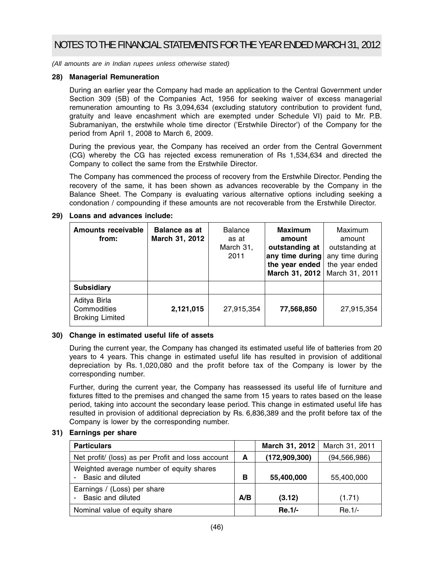*(All amounts are in Indian rupees unless otherwise stated)*

## **28) Managerial Remuneration**

During an earlier year the Company had made an application to the Central Government under Section 309 (5B) of the Companies Act, 1956 for seeking waiver of excess managerial remuneration amounting to Rs 3,094,634 (excluding statutory contribution to provident fund, gratuity and leave encashment which are exempted under Schedule VI) paid to Mr. P.B. Subramaniyan, the erstwhile whole time director ('Erstwhile Director') of the Company for the period from April 1, 2008 to March 6, 2009.

During the previous year, the Company has received an order from the Central Government (CG) whereby the CG has rejected excess remuneration of Rs 1,534,634 and directed the Company to collect the same from the Erstwhile Director.

The Company has commenced the process of recovery from the Erstwhile Director. Pending the recovery of the same, it has been shown as advances recoverable by the Company in the Balance Sheet. The Company is evaluating various alternative options including seeking a condonation / compounding if these amounts are not recoverable from the Erstwhile Director.

| <b>Amounts receivable</b><br>from:                    | <b>Balance as at</b><br>March 31, 2012 | <b>Balance</b><br>as at<br>March 31,<br>2011 | <b>Maximum</b><br>amount<br>outstanding at<br>any time during<br>the year ended<br>March 31, 2012 | Maximum<br>amount<br>outstanding at<br>any time during<br>the year ended<br>March 31, 2011 |
|-------------------------------------------------------|----------------------------------------|----------------------------------------------|---------------------------------------------------------------------------------------------------|--------------------------------------------------------------------------------------------|
| <b>Subsidiary</b>                                     |                                        |                                              |                                                                                                   |                                                                                            |
| Aditya Birla<br>Commodities<br><b>Broking Limited</b> | 2,121,015                              | 27,915,354                                   | 77,568,850                                                                                        | 27,915,354                                                                                 |

## **30) Change in estimated useful life of assets**

During the current year, the Company has changed its estimated useful life of batteries from 20 years to 4 years. This change in estimated useful life has resulted in provision of additional depreciation by Rs. 1,020,080 and the profit before tax of the Company is lower by the corresponding number.

Further, during the current year, the Company has reassessed its useful life of furniture and fixtures fitted to the premises and changed the same from 15 years to rates based on the lease period, taking into account the secondary lease period. This change in estimated useful life has resulted in provision of additional depreciation by Rs. 6,836,389 and the profit before tax of the Company is lower by the corresponding number.

## **31) Earnings per share**

| <b>Particulars</b>                                            |     | March 31, 2012  | March 31, 2011 |
|---------------------------------------------------------------|-----|-----------------|----------------|
| Net profit/ (loss) as per Profit and loss account             | A   | (172, 909, 300) | (94, 566, 986) |
| Weighted average number of equity shares<br>Basic and diluted | в   | 55,400,000      | 55,400,000     |
| Earnings / (Loss) per share<br>Basic and diluted              | A/B | (3.12)          | (1.71)         |
| Nominal value of equity share                                 |     | Re.1/-          | $Re.1/-$       |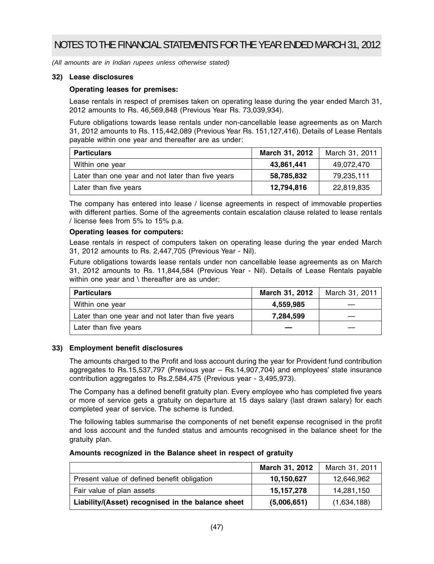## **32) Lease disclosures**

## **Operating leases for premises:**

Lease rentals in respect of premises taken on operating lease during the year ended March 31, 2012 amounts to Rs. 46,569,848 (Previous Year Rs. 73,039,934).

Future obligations towards lease rentals under non-cancellable lease agreements as on March 31, 2012 amounts to Rs. 115,442,089 (Previous Year Rs. 151,127,416). Details of Lease Rentals payable within one year and thereafter are as under:

| <b>Particulars</b>                                | March 31, 2012 | March 31, 2011 |
|---------------------------------------------------|----------------|----------------|
| Within one year                                   | 43,861,441     | 49,072,470     |
| Later than one year and not later than five years | 58,785,832     | 79,235,111     |
| Later than five years                             | 12,794,816     | 22,819,835     |

The company has entered into lease / license agreements in respect of immovable properties with different parties. Some of the agreements contain escalation clause related to lease rentals / license fees from 5% to 15% p.a.

## **Operating leases for computers:**

Lease rentals in respect of computers taken on operating lease during the year ended March 31, 2012 amounts to Rs. 2,447,705 (Previous Year - Nil).

Future obligations towards lease rentals under non cancellable lease agreements as on March 31, 2012 amounts to Rs. 11,844,584 (Previous Year - Nil). Details of Lease Rentals payable within one year and \ thereafter are as under:

| <b>Particulars</b>                                | March 31, 2012 | March 31, 2011 |
|---------------------------------------------------|----------------|----------------|
| Within one year                                   | 4,559,985      |                |
| Later than one year and not later than five years | 7.284.599      |                |
| Later than five years                             |                |                |

## **33) Employment benefit disclosures**

The amounts charged to the Profit and loss account during the year for Provident fund contribution aggregates to Rs.15,537,797 (Previous year – Rs.14,907,704) and employees' state insurance contribution aggregates to Rs.2,584,475 (Previous year - 3,495,973).

The Company has a defined benefit gratuity plan. Every employee who has completed five years or more of service gets a gratuity on departure at 15 days salary (last drawn salary) for each completed year of service. The scheme is funded.

The following tables summarise the components of net benefit expense recognised in the profit and loss account and the funded status and amounts recognised in the balance sheet for the gratuity plan.

## **Amounts recognized in the Balance sheet in respect of gratuity**

|                                                   | March 31, 2012 | March 31, 2011 |
|---------------------------------------------------|----------------|----------------|
| Present value of defined benefit obligation       | 10,150,627     | 12,646,962     |
| Fair value of plan assets                         | 15, 157, 278   | 14,281,150     |
| Liability/(Asset) recognised in the balance sheet | (5,006,651)    | (1,634,188)    |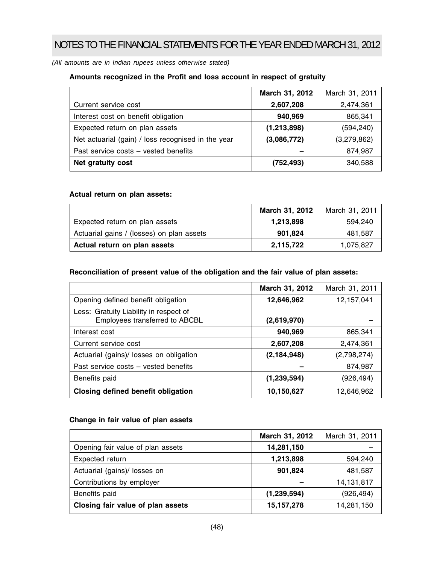*(All amounts are in Indian rupees unless otherwise stated)*

## **Amounts recognized in the Profit and loss account in respect of gratuity**

|                                                    | March 31, 2012 | March 31, 2011 |
|----------------------------------------------------|----------------|----------------|
| Current service cost                               | 2,607,208      | 2,474,361      |
| Interest cost on benefit obligation                | 940,969        | 865,341        |
| Expected return on plan assets                     | (1,213,898)    | (594, 240)     |
| Net actuarial (gain) / loss recognised in the year | (3,086,772)    | (3,279,862)    |
| Past service costs - vested benefits               |                | 874,987        |
| Net gratuity cost                                  | (752, 493)     | 340,588        |

## **Actual return on plan assets:**

|                                           | March 31, 2012 | March 31, 2011 |
|-------------------------------------------|----------------|----------------|
| Expected return on plan assets            | 1,213,898      | 594.240        |
| Actuarial gains / (losses) on plan assets | 901.824        | 481.587        |
| Actual return on plan assets              | 2,115,722      | 1,075,827      |

## **Reconciliation of present value of the obligation and the fair value of plan assets:**

|                                                                          | March 31, 2012 | March 31, 2011 |
|--------------------------------------------------------------------------|----------------|----------------|
| Opening defined benefit obligation                                       | 12,646,962     | 12,157,041     |
| Less: Gratuity Liability in respect of<br>Employees transferred to ABCBL | (2,619,970)    |                |
| Interest cost                                                            | 940,969        | 865,341        |
| Current service cost                                                     | 2,607,208      | 2,474,361      |
| Actuarial (gains)/ losses on obligation                                  | (2, 184, 948)  | (2,798,274)    |
| Past service costs - vested benefits                                     |                | 874,987        |
| Benefits paid                                                            | (1,239,594)    | (926, 494)     |
| Closing defined benefit obligation                                       | 10,150,627     | 12,646,962     |

## **Change in fair value of plan assets**

|                                   | March 31, 2012 | March 31, 2011 |
|-----------------------------------|----------------|----------------|
| Opening fair value of plan assets | 14,281,150     |                |
| Expected return                   | 1,213,898      | 594,240        |
| Actuarial (gains)/ losses on      | 901,824        | 481,587        |
| Contributions by employer         |                | 14,131,817     |
| Benefits paid                     | (1, 239, 594)  | (926,494)      |
| Closing fair value of plan assets | 15, 157, 278   | 14,281,150     |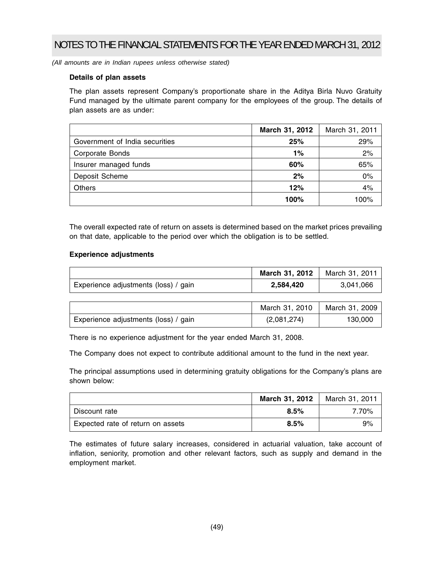*(All amounts are in Indian rupees unless otherwise stated)*

## **Details of plan assets**

The plan assets represent Company's proportionate share in the Aditya Birla Nuvo Gratuity Fund managed by the ultimate parent company for the employees of the group. The details of plan assets are as under:

|                                | March 31, 2012 | March 31, 2011 |
|--------------------------------|----------------|----------------|
| Government of India securities | 25%            | 29%            |
| Corporate Bonds                | 1%             | 2%             |
| Insurer managed funds          | 60%            | 65%            |
| Deposit Scheme                 | 2%             | 0%             |
| Others                         | 12%            | 4%             |
|                                | 100%           | 100%           |

The overall expected rate of return on assets is determined based on the market prices prevailing on that date, applicable to the period over which the obligation is to be settled.

## **Experience adjustments**

|                                      | March 31, 2012 | March 31, 2011 |
|--------------------------------------|----------------|----------------|
| Experience adjustments (loss) / gain | 2.584.420      | 3.041.066      |

|                                      | March 31, 2010 | March 31, 2009 |
|--------------------------------------|----------------|----------------|
| Experience adjustments (loss) / gain | (2,081,274)    | 130,000        |

There is no experience adjustment for the year ended March 31, 2008.

The Company does not expect to contribute additional amount to the fund in the next year.

The principal assumptions used in determining gratuity obligations for the Company's plans are shown below:

|                                   | March 31, 2012 | March 31, 2011 |
|-----------------------------------|----------------|----------------|
| Discount rate                     | 8.5%           | 7.70%          |
| Expected rate of return on assets | 8.5%           | 9%             |

The estimates of future salary increases, considered in actuarial valuation, take account of inflation, seniority, promotion and other relevant factors, such as supply and demand in the employment market.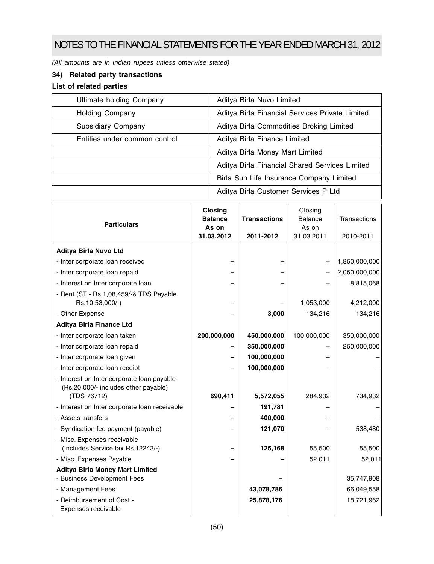*(All amounts are in Indian rupees unless otherwise stated)*

## **34) Related party transactions**

## **List of related parties**

| Ultimate holding Company                                              | Aditya Birla Nuvo Limited                       |
|-----------------------------------------------------------------------|-------------------------------------------------|
| <b>Holding Company</b>                                                | Aditya Birla Financial Services Private Limited |
| Aditya Birla Commodities Broking Limited<br><b>Subsidiary Company</b> |                                                 |
| Entities under common control<br>Aditya Birla Finance Limited         |                                                 |
|                                                                       | Aditya Birla Money Mart Limited                 |
|                                                                       | Aditya Birla Financial Shared Services Limited  |
|                                                                       | Birla Sun Life Insurance Company Limited        |
|                                                                       | Aditya Birla Customer Services P Ltd            |

| <b>Particulars</b>                                                                                | <b>Closing</b><br><b>Balance</b><br>As on<br>31.03.2012 | <b>Transactions</b><br>2011-2012 | Closing<br><b>Balance</b><br>As on<br>31.03.2011 | Transactions<br>2010-2011 |
|---------------------------------------------------------------------------------------------------|---------------------------------------------------------|----------------------------------|--------------------------------------------------|---------------------------|
| Aditya Birla Nuvo Ltd                                                                             |                                                         |                                  |                                                  |                           |
| - Inter corporate loan received                                                                   |                                                         |                                  |                                                  | 1,850,000,000             |
| - Inter corporate loan repaid                                                                     |                                                         |                                  |                                                  | 2,050,000,000             |
| - Interest on Inter corporate loan                                                                |                                                         |                                  |                                                  | 8,815,068                 |
| - Rent (ST - Rs.1,08,459/-& TDS Payable<br>Rs.10,53,000/-)                                        |                                                         |                                  | 1,053,000                                        | 4,212,000                 |
| - Other Expense                                                                                   |                                                         | 3,000                            | 134,216                                          | 134,216                   |
| <b>Aditya Birla Finance Ltd</b>                                                                   |                                                         |                                  |                                                  |                           |
| - Inter corporate loan taken                                                                      | 200,000,000                                             | 450,000,000                      | 100,000,000                                      | 350,000,000               |
| - Inter corporate loan repaid                                                                     |                                                         | 350,000,000                      |                                                  | 250,000,000               |
| - Inter corporate loan given                                                                      |                                                         | 100,000,000                      |                                                  |                           |
| - Inter corporate loan receipt                                                                    |                                                         | 100,000,000                      |                                                  |                           |
| - Interest on Inter corporate loan payable<br>(Rs.20,000/- includes other payable)<br>(TDS 76712) | 690,411                                                 | 5,572,055                        | 284,932                                          | 734,932                   |
| - Interest on Inter corporate loan receivable                                                     |                                                         | 191,781                          |                                                  |                           |
| - Assets transfers                                                                                |                                                         | 400,000                          |                                                  |                           |
| - Syndication fee payment (payable)                                                               |                                                         | 121,070                          |                                                  | 538,480                   |
| - Misc. Expenses receivable<br>(Includes Service tax Rs.12243/-)                                  |                                                         | 125,168                          | 55,500                                           | 55,500                    |
| - Misc. Expenses Payable                                                                          |                                                         |                                  | 52,011                                           | 52,011                    |
| <b>Aditya Birla Money Mart Limited</b><br>- Business Development Fees                             |                                                         |                                  |                                                  | 35,747,908                |
| - Management Fees                                                                                 |                                                         | 43,078,786                       |                                                  | 66,049,558                |
| - Reimbursement of Cost -<br>Expenses receivable                                                  |                                                         | 25,878,176                       |                                                  | 18,721,962                |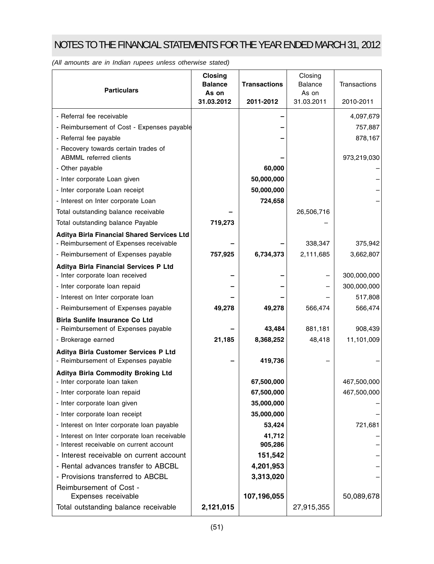| <b>Particulars</b>                                                          | <b>Closing</b><br><b>Balance</b><br>As on<br>31.03.2012 | <b>Transactions</b><br>2011-2012 | Closing<br>Balance<br>As on<br>31.03.2011 | Transactions<br>2010-2011 |
|-----------------------------------------------------------------------------|---------------------------------------------------------|----------------------------------|-------------------------------------------|---------------------------|
|                                                                             |                                                         |                                  |                                           |                           |
| - Referral fee receivable                                                   |                                                         |                                  |                                           | 4,097,679                 |
| - Reimbursement of Cost - Expenses payable                                  |                                                         |                                  |                                           | 757,887                   |
| - Referral fee payable                                                      |                                                         |                                  |                                           | 878,167                   |
| - Recovery towards certain trades of<br><b>ABMML</b> referred clients       |                                                         |                                  |                                           | 973,219,030               |
| - Other payable                                                             |                                                         | 60,000                           |                                           |                           |
| - Inter corporate Loan given                                                |                                                         | 50,000,000                       |                                           |                           |
| - Inter corporate Loan receipt                                              |                                                         | 50,000,000                       |                                           |                           |
| - Interest on Inter corporate Loan                                          |                                                         | 724,658                          |                                           |                           |
| Total outstanding balance receivable                                        |                                                         |                                  | 26,506,716                                |                           |
| Total outstanding balance Payable                                           | 719,273                                                 |                                  |                                           |                           |
| Aditya Birla Financial Shared Services Ltd                                  |                                                         |                                  |                                           |                           |
| - Reimbursement of Expenses receivable                                      |                                                         |                                  | 338,347                                   | 375,942                   |
| - Reimbursement of Expenses payable                                         | 757,925                                                 | 6,734,373                        | 2,111,685                                 | 3,662,807                 |
| Aditya Birla Financial Services P Ltd<br>- Inter corporate loan received    |                                                         |                                  |                                           | 300,000,000               |
| - Inter corporate loan repaid                                               |                                                         |                                  |                                           | 300,000,000               |
| - Interest on Inter corporate loan                                          |                                                         |                                  |                                           | 517,808                   |
| - Reimbursement of Expenses payable                                         | 49,278                                                  | 49,278                           | 566,474                                   | 566,474                   |
| <b>Birla Sunlife Insurance Co Ltd</b>                                       |                                                         |                                  |                                           |                           |
| - Reimbursement of Expenses payable                                         |                                                         | 43,484                           | 881,181                                   | 908,439                   |
| - Brokerage earned                                                          | 21,185                                                  | 8,368,252                        | 48,418                                    | 11,101,009                |
| Aditya Birla Customer Services P Ltd<br>- Reimbursement of Expenses payable |                                                         | 419,736                          |                                           |                           |
| Aditya Birla Commodity Broking Ltd                                          |                                                         |                                  |                                           |                           |
| - Inter corporate loan taken                                                |                                                         | 67,500,000                       |                                           | 467,500,000               |
| - Inter corporate loan repaid                                               |                                                         | 67,500,000                       |                                           | 467,500,000               |
| - Inter corporate loan given                                                |                                                         | 35,000,000                       |                                           |                           |
| - Inter corporate loan receipt                                              |                                                         | 35,000,000                       |                                           |                           |
| - Interest on Inter corporate loan payable                                  |                                                         | 53,424                           |                                           | 721,681                   |
| - Interest on Inter corporate loan receivable                               |                                                         | 41,712                           |                                           |                           |
| - Interest receivable on current account                                    |                                                         | 905,286                          |                                           |                           |
| - Interest receivable on current account                                    |                                                         | 151,542                          |                                           |                           |
| - Rental advances transfer to ABCBL                                         |                                                         | 4,201,953                        |                                           |                           |
| - Provisions transferred to ABCBL                                           |                                                         | 3,313,020                        |                                           |                           |
| Reimbursement of Cost -<br>Expenses receivable                              |                                                         | 107,196,055                      |                                           | 50,089,678                |
| Total outstanding balance receivable                                        | 2,121,015                                               |                                  | 27,915,355                                |                           |

*(All amounts are in Indian rupees unless otherwise stated)*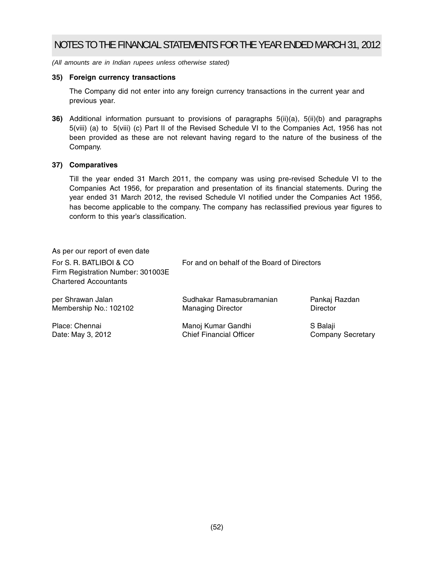*(All amounts are in Indian rupees unless otherwise stated)*

## **35) Foreign currency transactions**

The Company did not enter into any foreign currency transactions in the current year and previous year.

**36)** Additional information pursuant to provisions of paragraphs 5(ii)(a), 5(ii)(b) and paragraphs 5(viii) (a) to 5(viii) (c) Part II of the Revised Schedule VI to the Companies Act, 1956 has not been provided as these are not relevant having regard to the nature of the business of the Company.

## **37) Comparatives**

Till the year ended 31 March 2011, the company was using pre-revised Schedule VI to the Companies Act 1956, for preparation and presentation of its financial statements. During the year ended 31 March 2012, the revised Schedule VI notified under the Companies Act 1956, has become applicable to the company. The company has reclassified previous year figures to conform to this year's classification.

| As per our report of even date                                                                |                                             |                          |  |
|-----------------------------------------------------------------------------------------------|---------------------------------------------|--------------------------|--|
| For S. R. BATLIBOI & CO.<br>Firm Registration Number: 301003E<br><b>Chartered Accountants</b> | For and on behalf of the Board of Directors |                          |  |
| per Shrawan Jalan                                                                             | Sudhakar Ramasubramanian                    | Pankaj Razdan            |  |
| Membership No.: 102102                                                                        | <b>Managing Director</b>                    | Director                 |  |
| Place: Chennai                                                                                | Manoj Kumar Gandhi                          | S Balaji                 |  |
| Date: May 3, 2012                                                                             | <b>Chief Financial Officer</b>              | <b>Company Secretary</b> |  |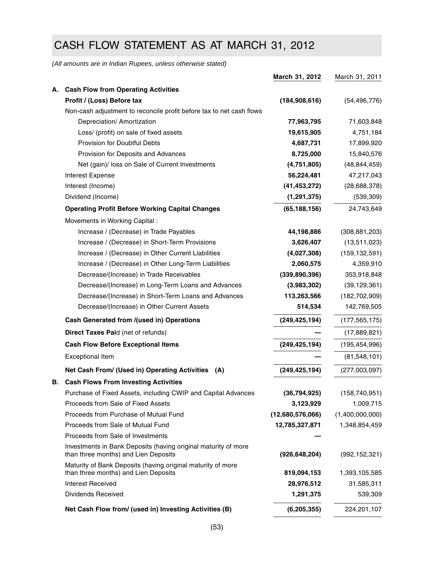# CASH FLOW STATEMENT AS AT MARCH 31, 2012

*(All amounts are in Indian Rupees, unless otherwise stated)*

|    |                                                                                                        | March 31, 2012            | March 31, 2011        |
|----|--------------------------------------------------------------------------------------------------------|---------------------------|-----------------------|
| А. | <b>Cash Flow from Operating Activities</b>                                                             |                           |                       |
|    | Profit / (Loss) Before tax                                                                             | (184, 908, 616)           | (54, 496, 776)        |
|    | Non-cash adjustment to reconcile profit before tax to net cash flows                                   |                           |                       |
|    | Depreciation/ Amortization                                                                             | 77,963,795                | 71,603,848            |
|    | Loss/ (profit) on sale of fixed assets                                                                 | 19,615,905                | 4,751,184             |
|    | Provision for Doubtful Debts                                                                           | 4,687,731                 | 17,899,920            |
|    | Provision for Deposits and Advances                                                                    | 8,725,000                 | 15,840,576            |
|    | Net (gain)/ loss on Sale of Current Investments                                                        | (4,751,805)               | (48, 844, 459)        |
|    | Interest Expense                                                                                       | 56,224,481                | 47,217,043            |
|    | Interest (Income)                                                                                      | (41, 453, 272)            | (28, 688, 378)        |
|    | Dividend (Income)                                                                                      | (1, 291, 375)             | (539, 309)            |
|    | <b>Operating Profit Before Working Capital Changes</b>                                                 | (65, 188, 156)            | 24,743,649            |
|    | Movements in Working Capital :                                                                         |                           |                       |
|    | Increase / (Decrease) in Trade Payables                                                                | 44,198,886                | (308, 881, 203)       |
|    | Increase / (Decrease) in Short-Term Provisions                                                         | 3,626,407                 | (13,511,023)          |
|    | Increase / (Decrease) in Other Current Liabilities                                                     | (4,027,308)               | (159, 132, 591)       |
|    | Increase / (Decrease) in Other Long-Term Liabilities                                                   | 2,060,575                 | 4,359,910             |
|    | Decrease/(Increase) in Trade Receivables                                                               | (339, 890, 396)           | 353,918,848           |
|    | Decrease/(Increase) in Long-Term Loans and Advances                                                    | (3,983,302)               | (39, 129, 361)        |
|    | Decrease/(Increase) in Short-Term Loans and Advances                                                   | 113,263,566               | (182, 702, 909)       |
|    | Decrease/(Increase) in Other Current Assets                                                            | 514,534                   | 142,769,505           |
|    | Cash Generated from /(used in) Operations                                                              | (249, 425, 194)           | (177, 565, 175)       |
|    | <b>Direct Taxes Paid (net of refunds)</b>                                                              |                           | (17,889,821)          |
|    | <b>Cash Flow Before Exceptional Items</b>                                                              | (249, 425, 194)           | (195, 454, 996)       |
|    | <b>Exceptional Item</b>                                                                                |                           | (81, 548, 101)        |
|    | Net Cash From/ (Used in) Operating Activities<br>(A)                                                   | (249, 425, 194)           | (277,003,097)         |
| В. | <b>Cash Flows From Investing Activities</b>                                                            |                           |                       |
|    | Purchase of Fixed Assets, including CWIP and Capital Advances                                          | (36, 794, 925)            | (158, 740, 951)       |
|    | Proceeds from Sale of Fixed Assets                                                                     | 3,123,929                 | 1,009,715             |
|    | Proceeds from Purchase of Mutual Fund                                                                  | (12,680,576,066)          | (1,400,000,000)       |
|    | Proceeds from Sale of Mutual Fund                                                                      | 12,785,327,871            | 1,348,854,459         |
|    | Proceeds from Sale of Investments                                                                      |                           |                       |
|    | Investments in Bank Deposits (having original maturity of more<br>than three months) and Lien Deposits | (926, 648, 204)           | (992, 152, 321)       |
|    | Maturity of Bank Deposits (having original maturity of more<br>than three months) and Lien Deposits    |                           |                       |
|    | <b>Interest Received</b>                                                                               | 819,094,153<br>28,976,512 | 1,393,105,585         |
|    | Dividends Received                                                                                     | 1,291,375                 | 31,585,311<br>539,309 |
|    | Net Cash Flow from/ (used in) Investing Activities (B)                                                 | (6, 205, 355)             | 224,201,107           |
|    |                                                                                                        |                           |                       |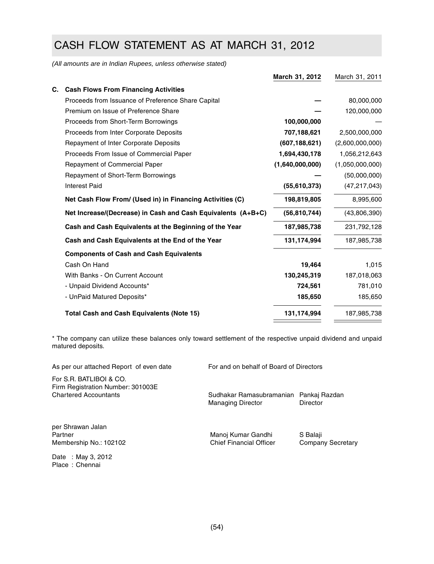# CASH FLOW STATEMENT AS AT MARCH 31, 2012

*(All amounts are in Indian Rupees, unless otherwise stated)*

|    |                                                              | March 31, 2012  | March 31, 2011  |
|----|--------------------------------------------------------------|-----------------|-----------------|
| C. | <b>Cash Flows From Financing Activities</b>                  |                 |                 |
|    | Proceeds from Issuance of Preference Share Capital           |                 | 80,000,000      |
|    | Premium on Issue of Preference Share                         |                 | 120,000,000     |
|    | Proceeds from Short-Term Borrowings                          | 100,000,000     |                 |
|    | Proceeds from Inter Corporate Deposits                       | 707,188,621     | 2,500,000,000   |
|    | Repayment of Inter Corporate Deposits                        | (607, 188, 621) | (2,600,000,000) |
|    | Proceeds From Issue of Commercial Paper                      | 1,694,430,178   | 1,056,212,643   |
|    | <b>Repayment of Commercial Paper</b>                         | (1,640,000,000) | (1,050,000,000) |
|    | Repayment of Short-Term Borrowings                           |                 | (50,000,000)    |
|    | <b>Interest Paid</b>                                         | (55,610,373)    | (47, 217, 043)  |
|    | Net Cash Flow From/ (Used in) in Financing Activities (C)    | 198,819,805     | 8,995,600       |
|    | Net Increase/(Decrease) in Cash and Cash Equivalents (A+B+C) | (56, 810, 744)  | (43,806,390)    |
|    | Cash and Cash Equivalents at the Beginning of the Year       | 187,985,738     | 231,792,128     |
|    | Cash and Cash Equivalents at the End of the Year             | 131,174,994     | 187,985,738     |
|    | <b>Components of Cash and Cash Equivalents</b>               |                 |                 |
|    | Cash On Hand                                                 | 19,464          | 1,015           |
|    | With Banks - On Current Account                              | 130,245,319     | 187,018,063     |
|    | - Unpaid Dividend Accounts*                                  | 724,561         | 781,010         |
|    | - UnPaid Matured Deposits*                                   | 185,650         | 185,650         |
|    | <b>Total Cash and Cash Equivalents (Note 15)</b>             | 131,174,994     | 187,985,738     |
|    |                                                              |                 |                 |

\* The company can utilize these balances only toward settlement of the respective unpaid dividend and unpaid matured deposits.

| As per our attached Report of even date                                                      | For and on behalf of Board of Directors                            |                                      |
|----------------------------------------------------------------------------------------------|--------------------------------------------------------------------|--------------------------------------|
| For S.R. BATLIBOI & CO.<br>Firm Registration Number: 301003E<br><b>Chartered Accountants</b> | Sudhakar Ramasubramanian Pankaj Razdan<br><b>Managing Director</b> | Director                             |
| per Shrawan Jalan<br>Partner<br>Membership No.: 102102                                       | Manoj Kumar Gandhi<br><b>Chief Financial Officer</b>               | S Balaji<br><b>Company Secretary</b> |
| Date: May 3, 2012<br>Place: Chennai                                                          |                                                                    |                                      |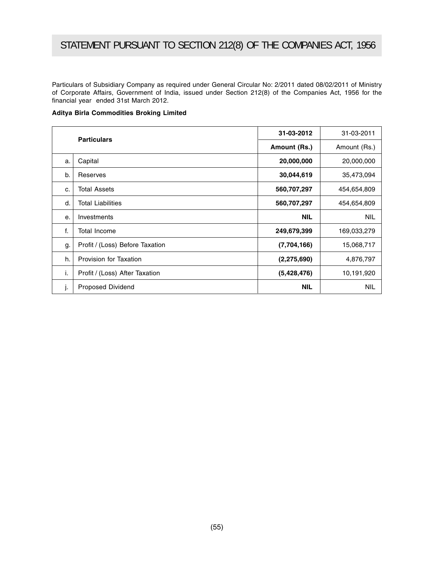Particulars of Subsidiary Company as required under General Circular No: 2/2011 dated 08/02/2011 of Ministry of Corporate Affairs, Government of India, issued under Section 212(8) of the Companies Act, 1956 for the financial year ended 31st March 2012.

|  | Aditya Birla Commodities Broking Limited |  |
|--|------------------------------------------|--|
|  |                                          |  |

|    | <b>Particulars</b>              | 31-03-2012    | 31-03-2011   |
|----|---------------------------------|---------------|--------------|
|    |                                 | Amount (Rs.)  | Amount (Rs.) |
| a. | Capital                         | 20,000,000    | 20,000,000   |
| b. | Reserves                        | 30,044,619    | 35,473,094   |
| c. | <b>Total Assets</b>             | 560,707,297   | 454,654,809  |
| d. | <b>Total Liabilities</b>        | 560,707,297   | 454,654,809  |
| е. | Investments                     | <b>NIL</b>    | <b>NIL</b>   |
| f. | Total Income                    | 249,679,399   | 169,033,279  |
| g. | Profit / (Loss) Before Taxation | (7,704,166)   | 15,068,717   |
| h. | Provision for Taxation          | (2, 275, 690) | 4,876,797    |
| i. | Profit / (Loss) After Taxation  | (5,428,476)   | 10,191,920   |
| j. | Proposed Dividend               | <b>NIL</b>    | <b>NIL</b>   |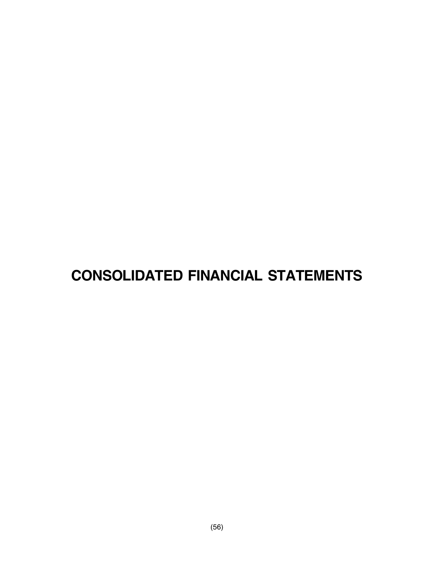# **CONSOLIDATED FINANCIAL STATEMENTS**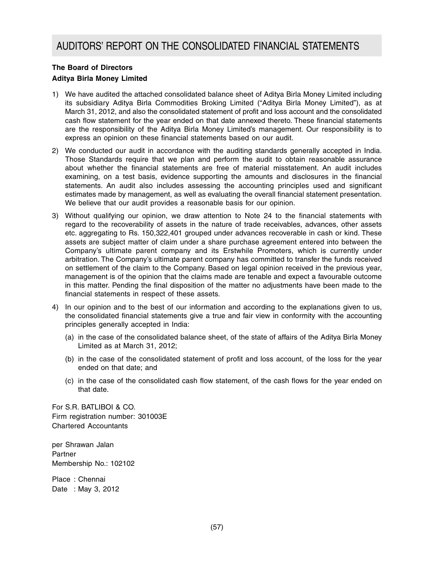## **The Board of Directors**

## **Aditya Birla Money Limited**

- 1) We have audited the attached consolidated balance sheet of Aditya Birla Money Limited including its subsidiary Aditya Birla Commodities Broking Limited ("Aditya Birla Money Limited"), as at March 31, 2012, and also the consolidated statement of profit and loss account and the consolidated cash flow statement for the year ended on that date annexed thereto. These financial statements are the responsibility of the Aditya Birla Money Limited's management. Our responsibility is to express an opinion on these financial statements based on our audit.
- 2) We conducted our audit in accordance with the auditing standards generally accepted in India. Those Standards require that we plan and perform the audit to obtain reasonable assurance about whether the financial statements are free of material misstatement. An audit includes examining, on a test basis, evidence supporting the amounts and disclosures in the financial statements. An audit also includes assessing the accounting principles used and significant estimates made by management, as well as evaluating the overall financial statement presentation. We believe that our audit provides a reasonable basis for our opinion.
- 3) Without qualifying our opinion, we draw attention to Note 24 to the financial statements with regard to the recoverability of assets in the nature of trade receivables, advances, other assets etc. aggregating to Rs. 150,322,401 grouped under advances recoverable in cash or kind. These assets are subject matter of claim under a share purchase agreement entered into between the Company's ultimate parent company and its Erstwhile Promoters, which is currently under arbitration. The Company's ultimate parent company has committed to transfer the funds received on settlement of the claim to the Company. Based on legal opinion received in the previous year, management is of the opinion that the claims made are tenable and expect a favourable outcome in this matter. Pending the final disposition of the matter no adjustments have been made to the financial statements in respect of these assets.
- 4) In our opinion and to the best of our information and according to the explanations given to us, the consolidated financial statements give a true and fair view in conformity with the accounting principles generally accepted in India:
	- (a) in the case of the consolidated balance sheet, of the state of affairs of the Aditya Birla Money Limited as at March 31, 2012;
	- (b) in the case of the consolidated statement of profit and loss account, of the loss for the year ended on that date; and
	- (c) in the case of the consolidated cash flow statement, of the cash flows for the year ended on that date.

For S.R. BATLIBOI & CO. Firm registration number: 301003E Chartered Accountants

per Shrawan Jalan Partner Membership No.: 102102

Place : Chennai Date : May 3, 2012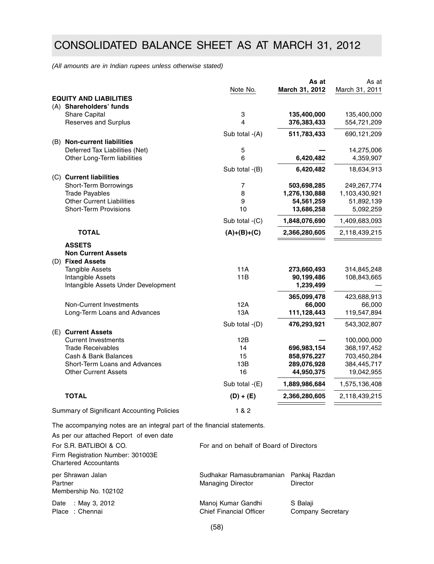# CONSOLIDATED BALANCE SHEET AS AT MARCH 31, 2012

*(All amounts are in Indian rupees unless otherwise stated)*

|                                                                                          | Note No.       | As at<br>March 31, 2012 | As at<br>March 31, 2011 |
|------------------------------------------------------------------------------------------|----------------|-------------------------|-------------------------|
| <b>EQUITY AND LIABILITIES</b>                                                            |                |                         |                         |
| (A) Shareholders' funds                                                                  |                |                         |                         |
| Share Capital                                                                            | 3              | 135,400,000             | 135,400,000             |
| Reserves and Surplus                                                                     | $\overline{4}$ | 376,383,433             | 554,721,209             |
|                                                                                          | Sub total -(A) | 511,783,433             | 690, 121, 209           |
| (B) Non-current liabilities                                                              |                |                         |                         |
| Deferred Tax Liabilities (Net)                                                           | 5              |                         | 14,275,006              |
| Other Long-Term liabilities                                                              | 6              | 6,420,482               | 4,359,907               |
|                                                                                          | Sub total -(B) | 6,420,482               | 18,634,913              |
| (C) Current liabilities                                                                  |                |                         |                         |
| Short-Term Borrowings                                                                    | $\overline{7}$ | 503,698,285             | 249,267,774             |
| <b>Trade Payables</b>                                                                    | 8              | 1,276,130,888           | 1,103,430,921           |
| <b>Other Current Liabilities</b>                                                         | 9              | 54,561,259              | 51,892,139              |
| <b>Short-Term Provisions</b>                                                             | 10             | 13,686,258              | 5,092,259               |
|                                                                                          | Sub total -(C) | 1,848,076,690           | 1,409,683,093           |
| <b>TOTAL</b>                                                                             | $(A)+(B)+(C)$  | 2,366,280,605           | 2,118,439,215           |
| <b>ASSETS</b><br><b>Non Current Assets</b><br>(D) Fixed Assets<br><b>Tangible Assets</b> | 11A            | 273,660,493             | 314,845,248             |
| Intangible Assets                                                                        | 11B            | 90,199,486              | 108,843,665             |
| Intangible Assets Under Development                                                      |                | 1,239,499               |                         |
|                                                                                          |                | 365,099,478             | 423,688,913             |
| Non-Current Investments                                                                  | 12A            | 66,000                  | 66,000                  |
| Long-Term Loans and Advances                                                             | 13A            | 111,128,443             | 119,547,894             |
|                                                                                          | Sub total -(D) | 476,293,921             | 543,302,807             |
| (E) Current Assets<br><b>Current Investments</b>                                         | 12B            |                         | 100,000,000             |
| <b>Trade Receivables</b>                                                                 | 14             | 696,983,154             | 368,197,452             |
| Cash & Bank Balances                                                                     | 15             | 858,976,227             | 703,450,284             |
| Short-Term Loans and Advances                                                            | 13B            | 289,076,928             | 384,445,717             |
| <b>Other Current Assets</b>                                                              | 16             | 44,950,375              | 19,042,955              |
|                                                                                          | Sub total -(E) | 1,889,986,684           | 1,575,136,408           |
| <b>TOTAL</b>                                                                             | $(D) + (E)$    | 2,366,280,605           | 2,118,439,215           |
| Summary of Significant Accounting Policies                                               | 1 & 2          |                         |                         |
|                                                                                          |                |                         |                         |

The accompanying notes are an integral part of the financial statements.

As per our attached Report of even date

| For S.R. BATLIBOI & CO.                                           | For and on behalf of Board of Directors                            |                                      |
|-------------------------------------------------------------------|--------------------------------------------------------------------|--------------------------------------|
| Firm Registration Number: 301003E<br><b>Chartered Accountants</b> |                                                                    |                                      |
| per Shrawan Jalan<br>Partner<br>Membership No. 102102             | Sudhakar Ramasubramanian Pankaj Razdan<br><b>Managing Director</b> | <b>Director</b>                      |
| : May 3, 2012<br>Date<br>Place: Chennai                           | Manoj Kumar Gandhi<br><b>Chief Financial Officer</b>               | S Balaji<br><b>Company Secretary</b> |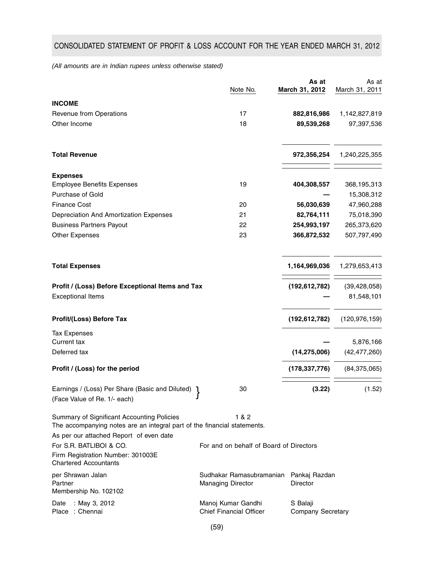## CONSOLIDATED STATEMENT OF PROFIT & LOSS ACCOUNT FOR THE YEAR ENDED MARCH 31, 2012

*(All amounts are in Indian rupees unless otherwise stated)*

|                                                                                                                                                                   | Note No.                                             | As at<br>March 31, 2012              | As at<br>March 31, 2011 |
|-------------------------------------------------------------------------------------------------------------------------------------------------------------------|------------------------------------------------------|--------------------------------------|-------------------------|
| <b>INCOME</b>                                                                                                                                                     |                                                      |                                      |                         |
| Revenue from Operations                                                                                                                                           | 17                                                   | 882,816,986                          | 1,142,827,819           |
| Other Income                                                                                                                                                      | 18                                                   | 89,539,268                           | 97,397,536              |
| <b>Total Revenue</b>                                                                                                                                              |                                                      | 972,356,254                          | 1,240,225,355           |
| <b>Expenses</b>                                                                                                                                                   |                                                      |                                      |                         |
| <b>Employee Benefits Expenses</b>                                                                                                                                 | 19                                                   | 404,308,557                          | 368, 195, 313           |
| Purchase of Gold                                                                                                                                                  |                                                      |                                      | 15,308,312              |
| <b>Finance Cost</b>                                                                                                                                               | 20                                                   | 56,030,639                           | 47,960,288              |
| Depreciation And Amortization Expenses                                                                                                                            | 21                                                   | 82,764,111                           | 75,018,390              |
| <b>Business Partners Payout</b>                                                                                                                                   | 22                                                   | 254,993,197                          | 265,373,620             |
| <b>Other Expenses</b>                                                                                                                                             | 23                                                   | 366,872,532                          | 507,797,490             |
| <b>Total Expenses</b>                                                                                                                                             |                                                      | 1,164,969,036                        | 1,279,653,413           |
| Profit / (Loss) Before Exceptional Items and Tax                                                                                                                  |                                                      | (192, 612, 782)                      | (39, 428, 058)          |
| <b>Exceptional Items</b>                                                                                                                                          |                                                      |                                      | 81,548,101              |
| Profit/(Loss) Before Tax                                                                                                                                          |                                                      | (192, 612, 782)                      | (120, 976, 159)         |
| <b>Tax Expenses</b>                                                                                                                                               |                                                      |                                      |                         |
| <b>Current tax</b>                                                                                                                                                |                                                      |                                      | 5,876,166               |
| Deferred tax                                                                                                                                                      |                                                      | (14, 275, 006)                       | (42, 477, 260)          |
| Profit / (Loss) for the period                                                                                                                                    |                                                      | (178, 337, 776)                      | (84, 375, 065)          |
| Earnings / (Loss) Per Share (Basic and Diluted)<br>(Face Value of Re. 1/- each)                                                                                   | 30                                                   | (3.22)                               | (1.52)                  |
| Summary of Significant Accounting Policies<br>The accompanying notes are an integral part of the financial statements.<br>As per our attached Report of even date | 1 & 2                                                |                                      |                         |
| For S.R. BATLIBOI & CO.<br>Firm Registration Number: 301003E<br><b>Chartered Accountants</b>                                                                      | For and on behalf of Board of Directors              |                                      |                         |
| per Shrawan Jalan<br>Partner<br>Membership No. 102102                                                                                                             | Sudhakar Ramasubramanian<br><b>Managing Director</b> | Pankaj Razdan<br>Director            |                         |
| : May 3, 2012<br>Date<br>Place : Chennai                                                                                                                          | Manoj Kumar Gandhi<br><b>Chief Financial Officer</b> | S Balaji<br><b>Company Secretary</b> |                         |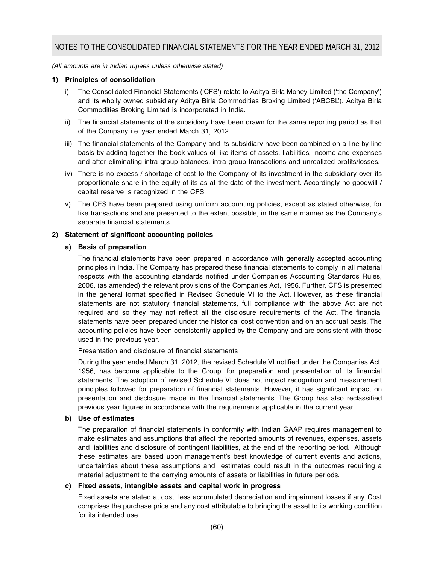#### *(All amounts are in Indian rupees unless otherwise stated)*

### **1) Principles of consolidation**

- i) The Consolidated Financial Statements ('CFS') relate to Aditya Birla Money Limited ('the Company') and its wholly owned subsidiary Aditya Birla Commodities Broking Limited ('ABCBL'). Aditya Birla Commodities Broking Limited is incorporated in India.
- ii) The financial statements of the subsidiary have been drawn for the same reporting period as that of the Company i.e. year ended March 31, 2012.
- iii) The financial statements of the Company and its subsidiary have been combined on a line by line basis by adding together the book values of like items of assets, liabilities, income and expenses and after eliminating intra-group balances, intra-group transactions and unrealized profits/losses.
- iv) There is no excess / shortage of cost to the Company of its investment in the subsidiary over its proportionate share in the equity of its as at the date of the investment. Accordingly no goodwill / capital reserve is recognized in the CFS.
- v) The CFS have been prepared using uniform accounting policies, except as stated otherwise, for like transactions and are presented to the extent possible, in the same manner as the Company's separate financial statements.

### **2) Statement of significant accounting policies**

### **a) Basis of preparation**

The financial statements have been prepared in accordance with generally accepted accounting principles in India. The Company has prepared these financial statements to comply in all material respects with the accounting standards notified under Companies Accounting Standards Rules, 2006, (as amended) the relevant provisions of the Companies Act, 1956. Further, CFS is presented in the general format specified in Revised Schedule VI to the Act. However, as these financial statements are not statutory financial statements, full compliance with the above Act are not required and so they may not reflect all the disclosure requirements of the Act. The financial statements have been prepared under the historical cost convention and on an accrual basis. The accounting policies have been consistently applied by the Company and are consistent with those used in the previous year.

#### Presentation and disclosure of financial statements

During the year ended March 31, 2012, the revised Schedule VI notified under the Companies Act, 1956, has become applicable to the Group, for preparation and presentation of its financial statements. The adoption of revised Schedule VI does not impact recognition and measurement principles followed for preparation of financial statements. However, it has significant impact on presentation and disclosure made in the financial statements. The Group has also reclassified previous year figures in accordance with the requirements applicable in the current year.

#### **b) Use of estimates**

The preparation of financial statements in conformity with Indian GAAP requires management to make estimates and assumptions that affect the reported amounts of revenues, expenses, assets and liabilities and disclosure of contingent liabilities, at the end of the reporting period. Although these estimates are based upon management's best knowledge of current events and actions, uncertainties about these assumptions and estimates could result in the outcomes requiring a material adjustment to the carrying amounts of assets or liabilities in future periods.

## **c) Fixed assets, intangible assets and capital work in progress**

Fixed assets are stated at cost, less accumulated depreciation and impairment losses if any. Cost comprises the purchase price and any cost attributable to bringing the asset to its working condition for its intended use.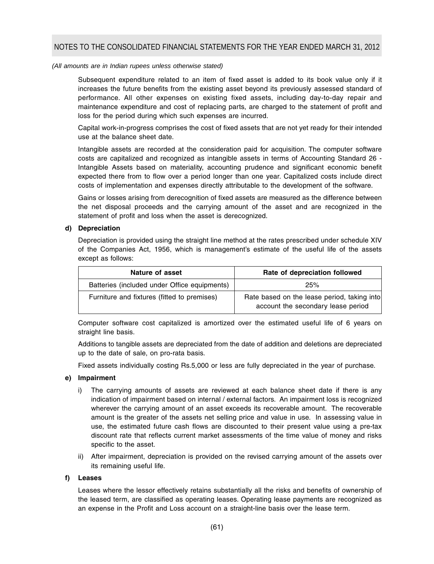Subsequent expenditure related to an item of fixed asset is added to its book value only if it increases the future benefits from the existing asset beyond its previously assessed standard of performance. All other expenses on existing fixed assets, including day-to-day repair and maintenance expenditure and cost of replacing parts, are charged to the statement of profit and loss for the period during which such expenses are incurred.

Capital work-in-progress comprises the cost of fixed assets that are not yet ready for their intended use at the balance sheet date.

Intangible assets are recorded at the consideration paid for acquisition. The computer software costs are capitalized and recognized as intangible assets in terms of Accounting Standard 26 - Intangible Assets based on materiality, accounting prudence and significant economic benefit expected there from to flow over a period longer than one year. Capitalized costs include direct costs of implementation and expenses directly attributable to the development of the software.

Gains or losses arising from derecognition of fixed assets are measured as the difference between the net disposal proceeds and the carrying amount of the asset and are recognized in the statement of profit and loss when the asset is derecognized.

### **d) Depreciation**

Depreciation is provided using the straight line method at the rates prescribed under schedule XIV of the Companies Act, 1956, which is management's estimate of the useful life of the assets except as follows:

| Nature of asset                              | Rate of depreciation followed                                                     |
|----------------------------------------------|-----------------------------------------------------------------------------------|
| Batteries (included under Office equipments) | 25%                                                                               |
| Furniture and fixtures (fitted to premises)  | Rate based on the lease period, taking into<br>account the secondary lease period |

Computer software cost capitalized is amortized over the estimated useful life of 6 years on straight line basis.

Additions to tangible assets are depreciated from the date of addition and deletions are depreciated up to the date of sale, on pro-rata basis.

Fixed assets individually costing Rs.5,000 or less are fully depreciated in the year of purchase.

## **e) Impairment**

- i) The carrying amounts of assets are reviewed at each balance sheet date if there is any indication of impairment based on internal / external factors. An impairment loss is recognized wherever the carrying amount of an asset exceeds its recoverable amount. The recoverable amount is the greater of the assets net selling price and value in use. In assessing value in use, the estimated future cash flows are discounted to their present value using a pre-tax discount rate that reflects current market assessments of the time value of money and risks specific to the asset.
- ii) After impairment, depreciation is provided on the revised carrying amount of the assets over its remaining useful life.

#### **f) Leases**

Leases where the lessor effectively retains substantially all the risks and benefits of ownership of the leased term, are classified as operating leases. Operating lease payments are recognized as an expense in the Profit and Loss account on a straight-line basis over the lease term.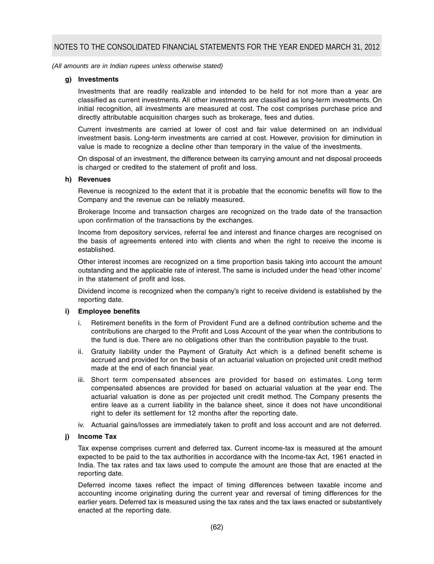#### **g) Investments**

Investments that are readily realizable and intended to be held for not more than a year are classified as current investments. All other investments are classified as long-term investments. On initial recognition, all investments are measured at cost. The cost comprises purchase price and directly attributable acquisition charges such as brokerage, fees and duties.

Current investments are carried at lower of cost and fair value determined on an individual investment basis. Long-term investments are carried at cost. However, provision for diminution in value is made to recognize a decline other than temporary in the value of the investments.

On disposal of an investment, the difference between its carrying amount and net disposal proceeds is charged or credited to the statement of profit and loss.

#### **h) Revenues**

Revenue is recognized to the extent that it is probable that the economic benefits will flow to the Company and the revenue can be reliably measured.

Brokerage Income and transaction charges are recognized on the trade date of the transaction upon confirmation of the transactions by the exchanges.

Income from depository services, referral fee and interest and finance charges are recognised on the basis of agreements entered into with clients and when the right to receive the income is established.

Other interest incomes are recognized on a time proportion basis taking into account the amount outstanding and the applicable rate of interest. The same is included under the head 'other income' in the statement of profit and loss.

Dividend income is recognized when the company's right to receive dividend is established by the reporting date.

#### **i) Employee benefits**

- i. Retirement benefits in the form of Provident Fund are a defined contribution scheme and the contributions are charged to the Profit and Loss Account of the year when the contributions to the fund is due. There are no obligations other than the contribution payable to the trust.
- ii. Gratuity liability under the Payment of Gratuity Act which is a defined benefit scheme is accrued and provided for on the basis of an actuarial valuation on projected unit credit method made at the end of each financial year.
- iii. Short term compensated absences are provided for based on estimates. Long term compensated absences are provided for based on actuarial valuation at the year end. The actuarial valuation is done as per projected unit credit method. The Company presents the entire leave as a current liability in the balance sheet, since it does not have unconditional right to defer its settlement for 12 months after the reporting date.
- iv. Actuarial gains/losses are immediately taken to profit and loss account and are not deferred.

## **j) Income Tax**

Tax expense comprises current and deferred tax. Current income-tax is measured at the amount expected to be paid to the tax authorities in accordance with the Income-tax Act, 1961 enacted in India. The tax rates and tax laws used to compute the amount are those that are enacted at the reporting date.

Deferred income taxes reflect the impact of timing differences between taxable income and accounting income originating during the current year and reversal of timing differences for the earlier years. Deferred tax is measured using the tax rates and the tax laws enacted or substantively enacted at the reporting date.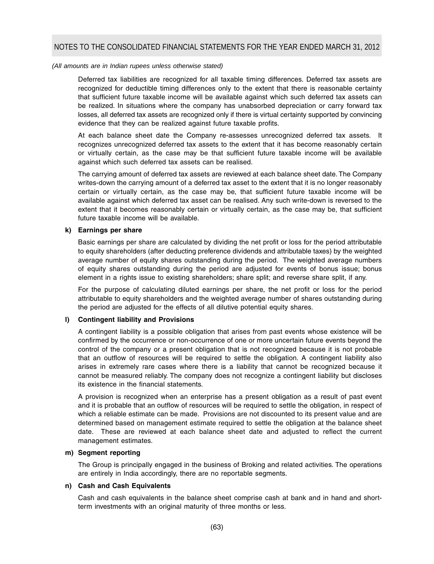Deferred tax liabilities are recognized for all taxable timing differences. Deferred tax assets are recognized for deductible timing differences only to the extent that there is reasonable certainty that sufficient future taxable income will be available against which such deferred tax assets can be realized. In situations where the company has unabsorbed depreciation or carry forward tax losses, all deferred tax assets are recognized only if there is virtual certainty supported by convincing evidence that they can be realized against future taxable profits.

At each balance sheet date the Company re-assesses unrecognized deferred tax assets. It recognizes unrecognized deferred tax assets to the extent that it has become reasonably certain or virtually certain, as the case may be that sufficient future taxable income will be available against which such deferred tax assets can be realised.

The carrying amount of deferred tax assets are reviewed at each balance sheet date. The Company writes-down the carrying amount of a deferred tax asset to the extent that it is no longer reasonably certain or virtually certain, as the case may be, that sufficient future taxable income will be available against which deferred tax asset can be realised. Any such write-down is reversed to the extent that it becomes reasonably certain or virtually certain, as the case may be, that sufficient future taxable income will be available.

### **k) Earnings per share**

Basic earnings per share are calculated by dividing the net profit or loss for the period attributable to equity shareholders (after deducting preference dividends and attributable taxes) by the weighted average number of equity shares outstanding during the period. The weighted average numbers of equity shares outstanding during the period are adjusted for events of bonus issue; bonus element in a rights issue to existing shareholders; share split; and reverse share split, if any.

For the purpose of calculating diluted earnings per share, the net profit or loss for the period attributable to equity shareholders and the weighted average number of shares outstanding during the period are adjusted for the effects of all dilutive potential equity shares.

## **l) Contingent liability and Provisions**

A contingent liability is a possible obligation that arises from past events whose existence will be confirmed by the occurrence or non-occurrence of one or more uncertain future events beyond the control of the company or a present obligation that is not recognized because it is not probable that an outflow of resources will be required to settle the obligation. A contingent liability also arises in extremely rare cases where there is a liability that cannot be recognized because it cannot be measured reliably. The company does not recognize a contingent liability but discloses its existence in the financial statements.

A provision is recognized when an enterprise has a present obligation as a result of past event and it is probable that an outflow of resources will be required to settle the obligation, in respect of which a reliable estimate can be made. Provisions are not discounted to its present value and are determined based on management estimate required to settle the obligation at the balance sheet date. These are reviewed at each balance sheet date and adjusted to reflect the current management estimates.

## **m) Segment reporting**

The Group is principally engaged in the business of Broking and related activities. The operations are entirely in India accordingly, there are no reportable segments.

## **n) Cash and Cash Equivalents**

Cash and cash equivalents in the balance sheet comprise cash at bank and in hand and shortterm investments with an original maturity of three months or less.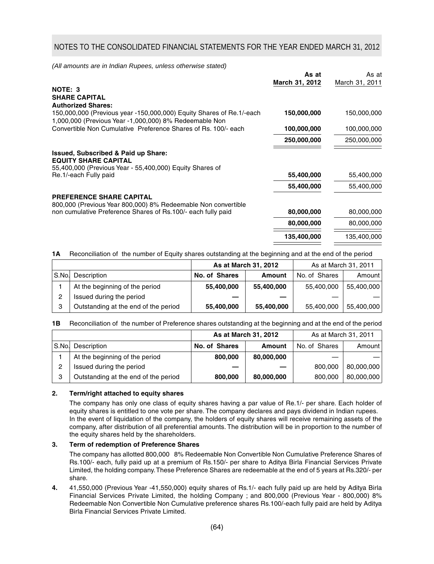|                                                                                                                                | As at<br>March 31, 2012 | As at<br>March 31, 2011 |
|--------------------------------------------------------------------------------------------------------------------------------|-------------------------|-------------------------|
| NOTE: 3<br><b>SHARE CAPITAL</b>                                                                                                |                         |                         |
| <b>Authorized Shares:</b>                                                                                                      |                         |                         |
| 150,000,000 (Previous year -150,000,000) Equity Shares of Re.1/-each<br>1,000,000 (Previous Year -1,000,000) 8% Redeemable Non | 150,000,000             | 150,000,000             |
| Convertible Non Cumulative Preference Shares of Rs. 100/- each                                                                 | 100,000,000             | 100,000,000             |
|                                                                                                                                | 250,000,000             | 250,000,000             |
| <b>Issued, Subscribed &amp; Paid up Share:</b><br><b>EQUITY SHARE CAPITAL</b>                                                  |                         |                         |
| 55,400,000 (Previous Year - 55,400,000) Equity Shares of                                                                       |                         |                         |
| Re.1/-each Fully paid                                                                                                          | 55,400,000              | 55,400,000              |
|                                                                                                                                | 55,400,000              | 55,400,000              |
| <b>PREFERENCE SHARE CAPITAL</b>                                                                                                |                         |                         |
| 800,000 (Previous Year 800,000) 8% Redeemable Non convertible                                                                  |                         |                         |
| non cumulative Preference Shares of Rs.100/- each fully paid                                                                   | 80,000,000              | 80,000,000              |
|                                                                                                                                | 80,000,000              | 80,000,000              |
|                                                                                                                                | 135,400,000             | 135,400,000             |

**1A** Reconciliation of the number of Equity shares outstanding at the beginning and at the end of the period

|       |                                      |               | As at March 31, 2012 | As at March 31, 2011 |            |
|-------|--------------------------------------|---------------|----------------------|----------------------|------------|
| S.No. | Description                          | No. of Shares | <b>Amount</b>        | No. of Shares        | Amount     |
|       | At the beginning of the period       | 55,400,000    | 55,400,000           | 55,400,000           | 55,400,000 |
|       | Issued during the period             |               |                      |                      |            |
| 3     | Outstanding at the end of the period | 55,400,000    | 55,400,000           | 55,400,000           | 55,400,000 |

**1B** Reconciliation of the number of Preference shares outstanding at the beginning and at the end of the period

|       |                                      |               | As at March 31, 2012 | As at March 31, 2011 |            |
|-------|--------------------------------------|---------------|----------------------|----------------------|------------|
| S.No. | Description                          | No. of Shares | <b>Amount</b>        | No. of Shares        | Amount     |
|       | At the beginning of the period       | 800,000       | 80,000,000           |                      |            |
| ົ     | Issued during the period             |               |                      | 800,000              | 80,000,000 |
| 3     | Outstanding at the end of the period | 800,000       | 80,000,000           | 800.000              | 80,000,000 |

#### **2. Term/right attached to equity shares**

The company has only one class of equity shares having a par value of Re.1/- per share. Each holder of equity shares is entitled to one vote per share. The company declares and pays dividend in Indian rupees. In the event of liquidation of the company, the holders of equity shares will receive remaining assets of the company, after distribution of all preferential amounts. The distribution will be in proportion to the number of the equity shares held by the shareholders.

## **3. Term of redemption of Preference Shares**

The company has allotted 800,000 8% Redeemable Non Convertible Non Cumulative Preference Shares of Rs.100/- each, fully paid up at a premium of Rs.150/- per share to Aditya Birla Financial Services Private Limited, the holding company. These Preference Shares are redeemable at the end of 5 years at Rs.320/- per share.

**4.** 41,550,000 (Previous Year -41,550,000) equity shares of Rs.1/- each fully paid up are held by Aditya Birla Financial Services Private Limited, the holding Company ; and 800,000 (Previous Year - 800,000) 8% Redeemable Non Convertible Non Cumulative preference shares Rs.100/-each fully paid are held by Aditya Birla Financial Services Private Limited.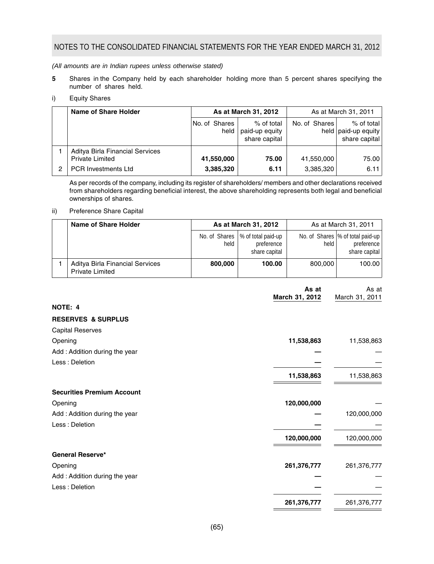*(All amounts are in Indian rupees unless otherwise stated)*

- **5** Shares in the Company held by each shareholder holding more than 5 percent shares specifying the number of shares held.
- i) Equity Shares

| Name of Share Holder                                                             | As at March 31, 2012    |                                               | As at March 31, 2011    |                                                      |
|----------------------------------------------------------------------------------|-------------------------|-----------------------------------------------|-------------------------|------------------------------------------------------|
|                                                                                  | No. of Shares<br>held   | % of total<br>paid-up equity<br>share capital | No. of Shares           | % of total<br>held   paid-up equity<br>share capital |
| Aditya Birla Financial Services<br><b>Private Limited</b><br>PCR Investments Ltd | 41,550,000<br>3,385,320 | 75.00<br>6.11                                 | 41,550,000<br>3,385,320 | 75.00<br>6.11                                        |

As per records of the company, including its register of shareholders/ members and other declarations received from shareholders regarding beneficial interest, the above shareholding represents both legal and beneficial ownerships of shares.

## ii) Preference Share Capital

| Name of Share Holder                                      |         | As at March 31, 2012                                              |         | As at March 31, 2011                                               |
|-----------------------------------------------------------|---------|-------------------------------------------------------------------|---------|--------------------------------------------------------------------|
|                                                           | held    | No. of Shares   % of total paid-up<br>preference<br>share capital | held    | No. of Shares  % of total paid-up  <br>preference<br>share capital |
| Aditya Birla Financial Services<br><b>Private Limited</b> | 800.000 | 100.00                                                            | 800,000 | 100.00                                                             |

|                                   | As at<br>March 31, 2012 | As at<br>March 31, 2011 |
|-----------------------------------|-------------------------|-------------------------|
| NOTE: 4                           |                         |                         |
| <b>RESERVES &amp; SURPLUS</b>     |                         |                         |
| <b>Capital Reserves</b>           |                         |                         |
| Opening                           | 11,538,863              | 11,538,863              |
| Add: Addition during the year     |                         |                         |
| Less: Deletion                    |                         |                         |
|                                   | 11,538,863              | 11,538,863              |
| <b>Securities Premium Account</b> |                         |                         |
| Opening                           | 120,000,000             |                         |
| Add: Addition during the year     |                         | 120,000,000             |
| Less: Deletion                    |                         |                         |
|                                   | 120,000,000             | 120,000,000             |
| <b>General Reserve*</b>           |                         |                         |
| Opening                           | 261,376,777             | 261,376,777             |
| Add: Addition during the year     |                         |                         |
| Less: Deletion                    |                         |                         |
|                                   | 261,376,777             | 261,376,777             |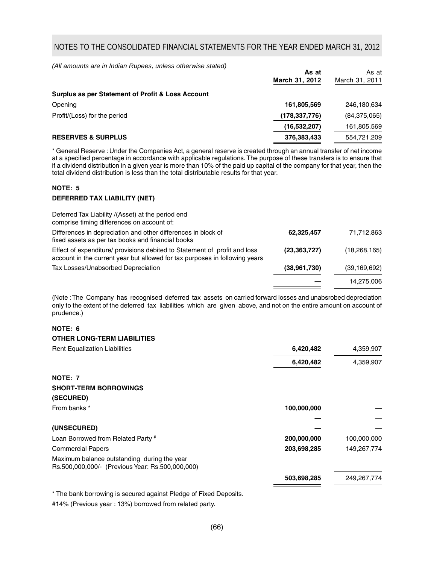*(All amounts are in Indian Rupees, unless otherwise stated)*

|                                                   | As at           | As at          |
|---------------------------------------------------|-----------------|----------------|
|                                                   | March 31, 2012  | March 31, 2011 |
| Surplus as per Statement of Profit & Loss Account |                 |                |
| Opening                                           | 161,805,569     | 246,180,634    |
| Profit/(Loss) for the period                      | (178, 337, 776) | (84, 375, 065) |
|                                                   | (16, 532, 207)  | 161,805,569    |
| <b>RESERVES &amp; SURPLUS</b>                     | 376,383,433     | 554,721,209    |

\* General Reserve : Under the Companies Act, a general reserve is created through an annual transfer of net income at a specified percentage in accordance with applicable regulations. The purpose of these transfers is to ensure that if a dividend distribution in a given year is more than 10% of the paid up capital of the company for that year, then the total dividend distribution is less than the total distributable results for that year.

## **NOTE: 5**

#### **DEFERRED TAX LIABILITY (NET)**

| Deferred Tax Liability /(Asset) at the period end<br>comprise timing differences on account of:                                                          |                |                |
|----------------------------------------------------------------------------------------------------------------------------------------------------------|----------------|----------------|
| Differences in depreciation and other differences in block of<br>fixed assets as per tax books and financial books                                       | 62,325,457     | 71,712,863     |
| Effect of expenditure/ provisions debited to Statement of profit and loss<br>account in the current year but allowed for tax purposes in following years | (23, 363, 727) | (18, 268, 165) |
| Tax Losses/Unabsorbed Depreciation                                                                                                                       | (38,961,730)   | (39, 169, 692) |
|                                                                                                                                                          |                | 14.275.006     |

(Note : The Company has recognised deferred tax assets on carried forward losses and unabsrobed depreciation only to the extent of the deferred tax liabilities which are given above, and not on the entire amount on account of prudence.)

## **NOTE: 6**

#### **OTHER LONG-TERM LIABILITIES**

| 6,420,482   | 4,359,907   |
|-------------|-------------|
| 6,420,482   | 4,359,907   |
|             |             |
|             |             |
|             |             |
| 100,000,000 |             |
|             |             |
|             |             |
| 200,000,000 | 100,000,000 |
| 203,698,285 | 149,267,774 |
|             |             |
| 503,698,285 | 249,267,774 |
|             |             |

\* The bank borrowing is secured against Pledge of Fixed Deposits.

#14% (Previous year : 13%) borrowed from related party.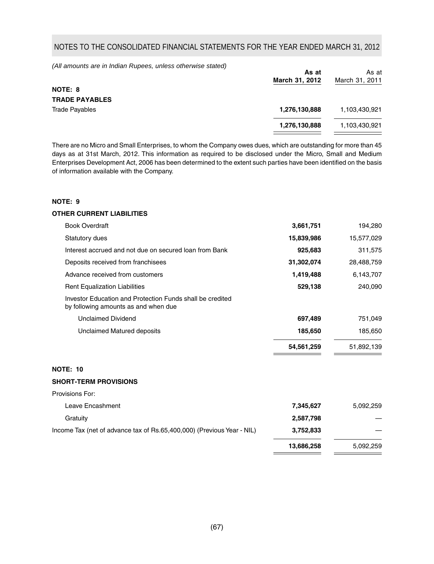*(All amounts are in Indian Rupees, unless otherwise stated)*

|                       | As at<br>March 31, 2012 | As at<br>March 31, 2011 |
|-----------------------|-------------------------|-------------------------|
| NOTE: 8               |                         |                         |
| <b>TRADE PAYABLES</b> |                         |                         |
| <b>Trade Pavables</b> | 1,276,130,888           | 1,103,430,921           |
|                       | 1,276,130,888           | 1,103,430,921           |
|                       |                         |                         |

There are no Micro and Small Enterprises, to whom the Company owes dues, which are outstanding for more than 45 days as at 31st March, 2012. This information as required to be disclosed under the Micro, Small and Medium Enterprises Development Act, 2006 has been determined to the extent such parties have been identified on the basis of information available with the Company.

## **NOTE: 9**

#### **OTHER CURRENT LIABILITIES**

| <b>Book Overdraft</b>                                                                             | 3,661,751  | 194,280    |
|---------------------------------------------------------------------------------------------------|------------|------------|
| Statutory dues                                                                                    | 15,839,986 | 15,577,029 |
| Interest accrued and not due on secured loan from Bank                                            | 925,683    | 311,575    |
| Deposits received from franchisees                                                                | 31,302,074 | 28,488,759 |
| Advance received from customers                                                                   | 1,419,488  | 6,143,707  |
| <b>Rent Equalization Liabilities</b>                                                              | 529,138    | 240,090    |
| Investor Education and Protection Funds shall be credited<br>by following amounts as and when due |            |            |
| <b>Unclaimed Dividend</b>                                                                         | 697,489    | 751,049    |
| Unclaimed Matured deposits                                                                        | 185,650    | 185,650    |
|                                                                                                   | 54,561,259 | 51,892,139 |

### **NOTE: 10**

#### **SHORT-TERM PROVISIONS**

| Provisions For:                                                        |            |           |
|------------------------------------------------------------------------|------------|-----------|
| Leave Encashment                                                       | 7,345,627  | 5,092,259 |
| Gratuity                                                               | 2,587,798  |           |
| Income Tax (net of advance tax of Rs.65,400,000) (Previous Year - NIL) | 3,752,833  |           |
|                                                                        | 13,686,258 | 5,092,259 |
|                                                                        |            |           |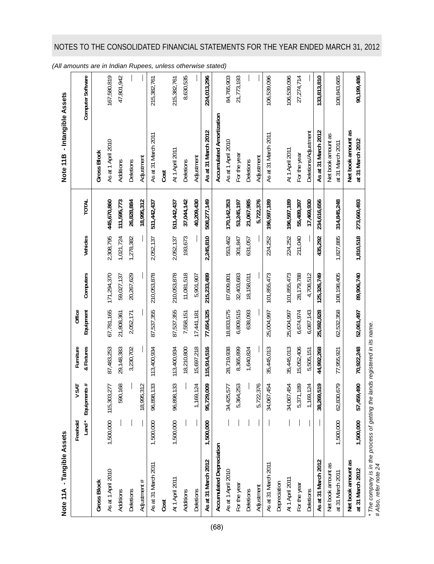| Note 11A - Tangible Assets             |             |                        |             |            |             |           |               | - Intangible Assets<br>Note 11 <sub>B</sub> |                   |
|----------------------------------------|-------------|------------------------|-------------|------------|-------------|-----------|---------------|---------------------------------------------|-------------------|
|                                        | Freehold    | <b>NSAT</b>            | Furniture   | Office     |             |           |               |                                             |                   |
|                                        | $L$ and $*$ | Equipments#            | & Fixtures  | Equipment  | Computers   | Vehicles  | TOTAL         |                                             | Computer Software |
| <b>Gross Block</b>                     |             |                        |             |            |             |           |               | <b>Gross Block</b>                          |                   |
| As at 1 April 2010                     |             | 1,500,000 115,303,277  | 87,483,253  | 67,781,165 | 171,294,370 | 2,308,795 | 445,670,860   | As at 1 April 2010                          | 167,580,819       |
| Additions                              |             | 590,168                | 29,148,383  | 21,808,361 | 59,027,137  | 1,021,724 | 111,595,773   | Additions                                   | 47,801,942        |
| Deletions                              |             |                        | 3,230,702   | 2,052,171  | 20,267,629  | 1,278,382 | 26,828,884    | Deletions                                   |                   |
| Adjustment #                           |             | 18,995,312             |             |            |             |           | 18,995,312    | Adjustment                                  |                   |
| As at 31 March 2011                    | 1,500,000   | 96,898,133             | 113,400,934 | 87,537,355 | 210,053,878 | 2,052,137 | 511,442,437   | As at 31 March 2011                         | 215,382,761       |
| Cost                                   |             |                        |             |            |             |           |               | Cost                                        |                   |
| At 1 April 2011                        | 1,500,000   | 33<br>96,898,1         | 113,400,934 | 87,537,355 | 210,053,878 | 2,052,137 | 511,442,437   | At 1 April 2011                             | 215,382,761       |
| Additions                              |             |                        | 18,210,800  | 7,558,151  | 11,081,518  | 193,673   | 37,044,142    | Deletions                                   | 8,630,535         |
| Deletions                              |             | 1,169,124              | 15,697,218  | 17,441,181 | 5,901,907   |           | 40,209,430    | Adjustment                                  |                   |
| As at 31 March 2012                    | 1,500,000   | 95,729,009             | 115,914,516 | 77,654,325 | 215,233,489 | 2,245,810 | 508,277,149   | As at 31 March 2012                         | 224,013,296       |
| Accumulated Depreciation               |             |                        |             |            |             |           |               | Accumulated Amortization                    |                   |
| As at 1 April 2010                     |             | 34,425,577             | 28,719,938  | 18,833,575 | 87,609,801  | 553,462   | 170, 142, 353 | As at 1 April 2010                          | 84,765,903        |
| For the year                           |             | 5,364,253              | 8,365,899   | 6,809,515  | 32,403,683  | 301,847   | 53,245,197    | For the year                                | 21,773,193        |
| Deletions                              |             |                        | 1,640,824   | 638,093    | 18,158,011  | 631,057   | 21,067,985    | Deletions                                   |                   |
| Adjustment                             |             | 5,722,376              |             |            |             |           | 5,722,376     | Adjustment                                  |                   |
| As at 31 March 2011                    |             | <b>154</b><br>34,067,4 | 35,445,013  | 25,004,997 | 101,855,473 | 224,252   | 196,597,189   | As at 31 March 2011                         | 106,539,096       |
| Depreciation                           |             |                        |             |            |             |           |               |                                             |                   |
| At 1 April 2011                        |             | 54<br>34,067,4         | 35,445,013  | 25,004,997 | 101,855,473 | 224,252   | 196,597,189   | At 1 April 2011                             | 106,539,096       |
| For the year                           |             | 5,371,189              | 15,052,406  | 6,674,974  | 28,179,788  | 211,040   | 55,489,397    | For the year                                | 27, 274, 714      |
| Deletions                              |             | 1,169,124              | 5,505,151   | 6,087,143  | 4,708,512   |           | 17,469,930    | <b>Deletions/Adjustment</b>                 |                   |
| As at 31 March 2012                    |             | 38,269,519             | 44,992,268  | 25,592,828 | 125,326,749 | 435,292   | 234,616,656   | As at 31 March 2012                         | 133,813,810       |
| Net book amount as<br>at 31 March 2011 | 1,500,000   | 62,830,679             | 77,955,921  | 62,532,358 | 108,198,405 | 1,827,885 | 314,845,248   | Net book amount as<br>at 31 March 2011      | 108,843,665       |
| Net book amount as<br>at 31 March 2012 | 1,500,000   | 57,459,490             | 70,922,248  | 52,061,497 | 89,906,740  | 1,810,518 | 273,660,493   | Net book amount as<br>at 31 March 2012      | 90,199,486        |

\* The company is in the process of getting the lands registered in its name.<br># Also, refer note 24 *\* The company is in the process of getting the lands registered in its name.*

*# Also, refer note 24*

## NOTES TO THE CONSOLIDATED FINANCIAL STATEMENTS FOR THE YEAR ENDED MARCH 31, 2012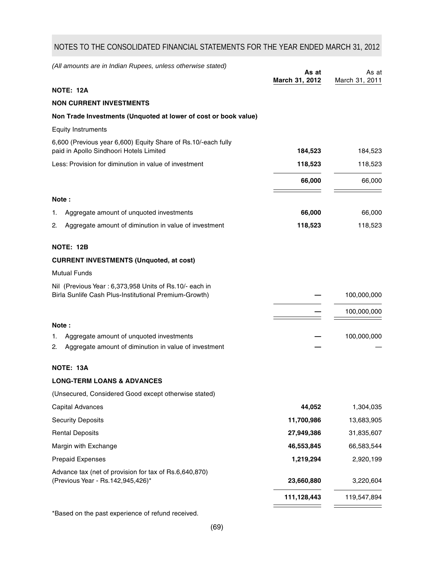| (All amounts are in Indian Rupees, unless otherwise stated) |  |
|-------------------------------------------------------------|--|
|                                                             |  |

|                                                                                                                 | As at<br>March 31, 2012 | As at<br>March 31, 2011 |
|-----------------------------------------------------------------------------------------------------------------|-------------------------|-------------------------|
| <b>NOTE: 12A</b>                                                                                                |                         |                         |
| <b>NON CURRENT INVESTMENTS</b>                                                                                  |                         |                         |
| Non Trade Investments (Unquoted at lower of cost or book value)                                                 |                         |                         |
| <b>Equity Instruments</b>                                                                                       |                         |                         |
| 6,600 (Previous year 6,600) Equity Share of Rs.10/-each fully<br>paid in Apollo Sindhoori Hotels Limited        | 184,523                 | 184,523                 |
| Less: Provision for diminution in value of investment                                                           | 118,523                 | 118,523                 |
|                                                                                                                 | 66,000                  | 66,000                  |
| Note:                                                                                                           |                         |                         |
| Aggregate amount of unquoted investments<br>1.                                                                  | 66,000                  | 66,000                  |
| 2.<br>Aggregate amount of diminution in value of investment                                                     | 118,523                 | 118,523                 |
| <b>NOTE: 12B</b>                                                                                                |                         |                         |
| <b>CURRENT INVESTMENTS (Unquoted, at cost)</b>                                                                  |                         |                         |
| <b>Mutual Funds</b>                                                                                             |                         |                         |
| Nil (Previous Year: 6,373,958 Units of Rs.10/- each in<br>Birla Sunlife Cash Plus-Institutional Premium-Growth) |                         | 100,000,000             |
|                                                                                                                 |                         | 100,000,000             |
| Note:                                                                                                           |                         |                         |
| Aggregate amount of unquoted investments<br>1.<br>Aggregate amount of diminution in value of investment<br>2.   |                         | 100,000,000             |
| NOTE: 13A                                                                                                       |                         |                         |
| <b>LONG-TERM LOANS &amp; ADVANCES</b>                                                                           |                         |                         |
| (Unsecured, Considered Good except otherwise stated)                                                            |                         |                         |
| Capital Advances                                                                                                | 44,052                  | 1,304,035               |
| <b>Security Deposits</b>                                                                                        | 11,700,986              | 13,683,905              |
| <b>Rental Deposits</b>                                                                                          | 27,949,386              | 31,835,607              |
| Margin with Exchange                                                                                            | 46,553,845              | 66,583,544              |
| <b>Prepaid Expenses</b>                                                                                         | 1,219,294               | 2,920,199               |
| Advance tax (net of provision for tax of Rs.6,640,870)                                                          |                         |                         |
| (Previous Year - Rs. 142, 945, 426)*                                                                            | 23,660,880              | 3,220,604               |
|                                                                                                                 | 111,128,443             | 119,547,894             |
|                                                                                                                 |                         |                         |

\*Based on the past experience of refund received.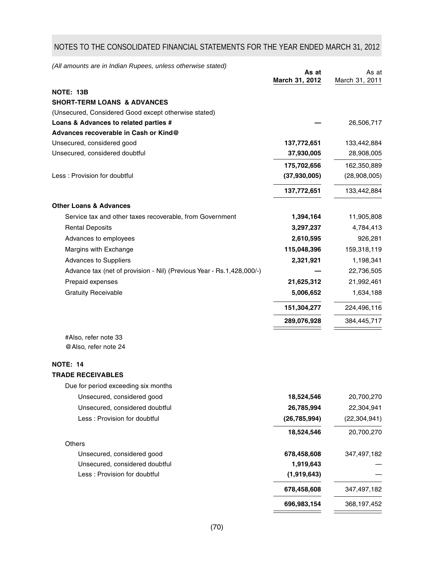*(All amounts are in Indian Rupees, unless otherwise stated)*

|                                                                       | As at<br>March 31, 2012 | As at<br>March 31, 2011 |
|-----------------------------------------------------------------------|-------------------------|-------------------------|
| NOTE: 13B                                                             |                         |                         |
| <b>SHORT-TERM LOANS &amp; ADVANCES</b>                                |                         |                         |
| (Unsecured, Considered Good except otherwise stated)                  |                         |                         |
| Loans & Advances to related parties #                                 |                         | 26,506,717              |
| Advances recoverable in Cash or Kind@                                 |                         |                         |
| Unsecured, considered good                                            | 137,772,651             | 133,442,884             |
| Unsecured, considered doubtful                                        | 37,930,005              | 28,908,005              |
|                                                                       | 175,702,656             | 162,350,889             |
| Less: Provision for doubtful                                          | (37, 930, 005)          | (28,908,005)            |
|                                                                       | 137,772,651             | 133,442,884             |
| <b>Other Loans &amp; Advances</b>                                     |                         |                         |
| Service tax and other taxes recoverable, from Government              | 1,394,164               | 11,905,808              |
| <b>Rental Deposits</b>                                                | 3,297,237               | 4,784,413               |
| Advances to employees                                                 | 2,610,595               | 926,281                 |
| Margins with Exchange                                                 | 115,048,396             | 159,318,119             |
| Advances to Suppliers                                                 | 2,321,921               | 1,198,341               |
| Advance tax (net of provision - Nil) (Previous Year - Rs.1,428,000/-) |                         | 22,736,505              |
| Prepaid expenses                                                      | 21,625,312              | 21,992,461              |
| <b>Gratuity Receivable</b>                                            | 5,006,652               | 1,634,188               |
|                                                                       | 151,304,277             | 224,496,116             |
|                                                                       | 289,076,928             | 384,445,717             |
| #Also, refer note 33                                                  |                         |                         |
| @Also, refer note 24                                                  |                         |                         |
| <b>NOTE: 14</b>                                                       |                         |                         |
| <b>TRADE RECEIVABLES</b>                                              |                         |                         |
| Due for period exceeding six months                                   |                         |                         |
| Unsecured, considered good                                            | 18,524,546              | 20,700,270              |
| Unsecured, considered doubtful                                        | 26,785,994              | 22,304,941              |
| Less : Provision for doubtful                                         | (26, 785, 994)          | (22, 304, 941)          |
|                                                                       | 18,524,546              | 20,700,270              |
| Others                                                                |                         |                         |
| Unsecured, considered good                                            | 678,458,608             | 347,497,182             |
| Unsecured, considered doubtful                                        | 1,919,643               |                         |
| Less : Provision for doubtful                                         | (1,919,643)             |                         |
|                                                                       | 678,458,608             | 347,497,182             |
|                                                                       | 696,983,154             | 368,197,452             |
|                                                                       |                         |                         |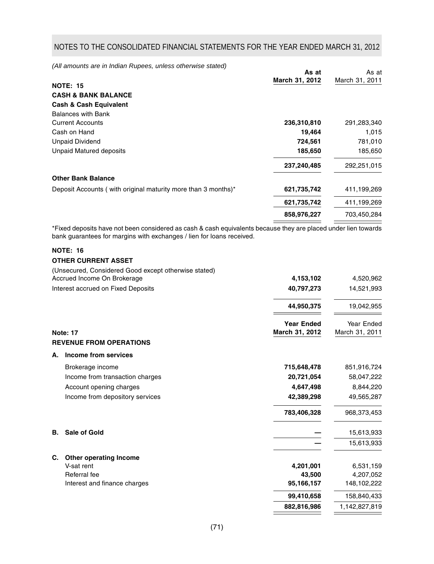*(All amounts are in Indian Rupees, unless otherwise stated)*

|                                                               | As at          | As at          |
|---------------------------------------------------------------|----------------|----------------|
| <b>NOTE: 15</b>                                               | March 31, 2012 | March 31, 2011 |
| <b>CASH &amp; BANK BALANCE</b>                                |                |                |
| <b>Cash &amp; Cash Equivalent</b>                             |                |                |
| <b>Balances with Bank</b>                                     |                |                |
| <b>Current Accounts</b>                                       | 236,310,810    | 291,283,340    |
| Cash on Hand                                                  | 19,464         | 1,015          |
| <b>Unpaid Dividend</b>                                        | 724,561        | 781,010        |
| Unpaid Matured deposits                                       | 185,650        | 185,650        |
|                                                               | 237,240,485    | 292,251,015    |
| <b>Other Bank Balance</b>                                     |                |                |
| Deposit Accounts (with original maturity more than 3 months)* | 621,735,742    | 411,199,269    |
|                                                               | 621,735,742    | 411,199,269    |
|                                                               | 858,976,227    | 703,450,284    |
|                                                               |                |                |

\*Fixed deposits have not been considered as cash & cash equivalents because they are placed under lien towards bank guarantees for margins with exchanges / lien for loans received.

## **NOTE: 16**

## **OTHER CURRENT ASSET**

(Unsecured, Considered Good except otherwise stated)

| Accrued Income On Brokerage        | 4.153.102  | 4,520,962  |
|------------------------------------|------------|------------|
| Interest accrued on Fixed Deposits | 40.797.273 | 14,521,993 |
|                                    |            |            |

|                 |                                 | 44,950,375                          | 19,042,955                   |
|-----------------|---------------------------------|-------------------------------------|------------------------------|
| <b>Note: 17</b> |                                 | <b>Year Ended</b><br>March 31, 2012 | Year Ended<br>March 31, 2011 |
|                 | <b>REVENUE FROM OPERATIONS</b>  |                                     |                              |
| А.              | Income from services            |                                     |                              |
|                 | Brokerage income                | 715,648,478                         | 851,916,724                  |
|                 | Income from transaction charges | 20,721,054                          | 58,047,222                   |
|                 | Account opening charges         | 4,647,498                           | 8,844,220                    |
|                 | Income from depository services | 42,389,298                          | 49,565,287                   |
|                 |                                 | 783,406,328                         | 968,373,453                  |
| В.              | <b>Sale of Gold</b>             |                                     | 15,613,933                   |
|                 |                                 |                                     | 15,613,933                   |
| C.              | Other operating Income          |                                     |                              |
|                 | V-sat rent                      | 4,201,001                           | 6,531,159                    |
|                 | Referral fee                    | 43,500                              | 4,207,052                    |
|                 | Interest and finance charges    | 95,166,157                          | 148,102,222                  |
|                 |                                 | 99,410,658                          | 158,840,433                  |
|                 |                                 | 882,816,986                         | 1,142,827,819                |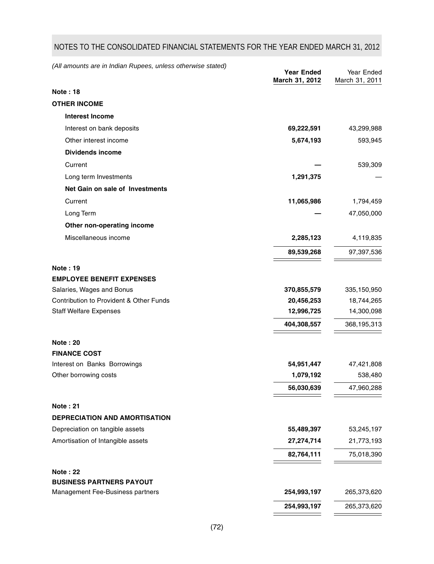| (All amounts are in Indian Rupees, unless otherwise stated) | <b>Year Ended</b> | Year Ended     |
|-------------------------------------------------------------|-------------------|----------------|
|                                                             | March 31, 2012    | March 31, 2011 |
| <b>Note: 18</b>                                             |                   |                |
| <b>OTHER INCOME</b>                                         |                   |                |
| <b>Interest Income</b>                                      |                   |                |
| Interest on bank deposits                                   | 69,222,591        | 43,299,988     |
| Other interest income                                       | 5,674,193         | 593,945        |
| <b>Dividends income</b>                                     |                   |                |
| Current                                                     |                   | 539,309        |
| Long term Investments                                       | 1,291,375         |                |
| Net Gain on sale of Investments                             |                   |                |
| Current                                                     | 11,065,986        | 1,794,459      |
| Long Term                                                   |                   | 47,050,000     |
| Other non-operating income                                  |                   |                |
| Miscellaneous income                                        | 2,285,123         | 4,119,835      |
|                                                             | 89,539,268        | 97,397,536     |
| Note: 19                                                    |                   |                |
| <b>EMPLOYEE BENEFIT EXPENSES</b>                            |                   |                |
| Salaries, Wages and Bonus                                   | 370,855,579       | 335,150,950    |
| Contribution to Provident & Other Funds                     | 20,456,253        | 18,744,265     |
| <b>Staff Welfare Expenses</b>                               | 12,996,725        | 14,300,098     |
|                                                             | 404,308,557       | 368,195,313    |
| <b>Note: 20</b>                                             |                   |                |
| <b>FINANCE COST</b>                                         |                   |                |
| Interest on Banks Borrowings                                | 54,951,447        | 47,421,808     |
| Other borrowing costs                                       | 1,079,192         | 538,480        |
|                                                             | 56,030,639        | 47,960,288     |
| <b>Note: 21</b>                                             |                   |                |
| <b>DEPRECIATION AND AMORTISATION</b>                        |                   |                |
| Depreciation on tangible assets                             | 55,489,397        | 53,245,197     |
| Amortisation of Intangible assets                           | 27,274,714        | 21,773,193     |
|                                                             | 82,764,111        | 75,018,390     |
| <b>Note: 22</b>                                             |                   |                |
| <b>BUSINESS PARTNERS PAYOUT</b>                             |                   |                |
| Management Fee-Business partners                            | 254,993,197       | 265,373,620    |
|                                                             | 254,993,197       | 265,373,620    |

÷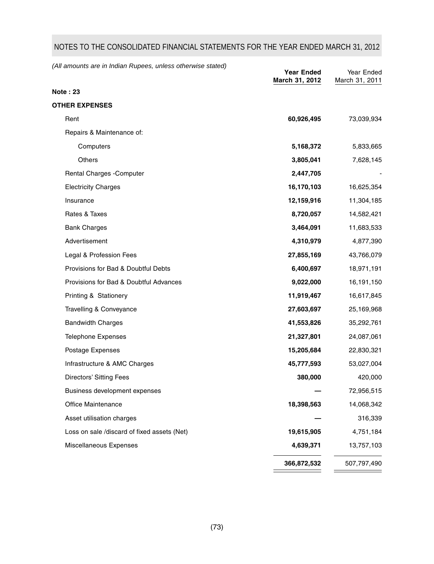**Note : 23 OTHER EXPENSES** Rent **60,926,495** 73,039,934 Repairs & Maintenance of: Computers **5,168,372** 5,833,665 Others **3,805,041** 7,628,145 Rental Charges -Computer **2,447,705** Electricity Charges **16,170,103** 16,625,354 Insurance **12,159,916** 11,304,185 Rates & Taxes **8,720,057** 14,582,421 Bank Charges **3,464,091** 11,683,533 Advertisement **4,310,979** 4,877,390 Legal & Profession Fees **27,855,169** 43,766,079 Provisions for Bad & Doubtful Debts **6,400,697** 18,971,191 Provisions for Bad & Doubtful Advances **9,022,000** 16,191,150 Printing & Stationery **11,919,467** 16,617,845 Travelling & Conveyance **27,603,697** 25,169,968 Bandwidth Charges **41,553,826** 35,292,761 Telephone Expenses **21,327,801** 24,087,061 Postage Expenses **15,205,684** 22,830,321 Infrastructure & AMC Charges **45,777,593** 53,027,004 Directors' Sitting Fees **380,000** 420,000 Business development expenses **—** 72,956,515 Office Maintenance **18,398,563** 14,068,342 Asset utilisation charges **—** 316,339 Loss on sale /discard of fixed assets (Net) **19,615,905** 4,751,184 Miscellaneous Expenses **4,639,371** 13,757,103 **366,872,532** 507,797,490 *(All amounts are in Indian Rupees, unless otherwise stated)* **Year Ended** Year Ended **March 31, 2012** March 31, 2011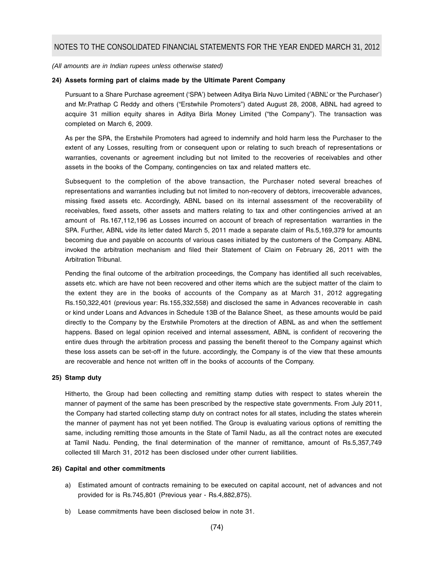*(All amounts are in Indian rupees unless otherwise stated)*

#### **24) Assets forming part of claims made by the Ultimate Parent Company**

Pursuant to a Share Purchase agreement ('SPA') between Aditya Birla Nuvo Limited ('ABNL' or 'the Purchaser') and Mr.Prathap C Reddy and others ("Erstwhile Promoters") dated August 28, 2008, ABNL had agreed to acquire 31 million equity shares in Aditya Birla Money Limited ("the Company"). The transaction was completed on March 6, 2009.

As per the SPA, the Erstwhile Promoters had agreed to indemnify and hold harm less the Purchaser to the extent of any Losses, resulting from or consequent upon or relating to such breach of representations or warranties, covenants or agreement including but not limited to the recoveries of receivables and other assets in the books of the Company, contingencies on tax and related matters etc.

Subsequent to the completion of the above transaction, the Purchaser noted several breaches of representations and warranties including but not limited to non-recovery of debtors, irrecoverable advances, missing fixed assets etc. Accordingly, ABNL based on its internal assessment of the recoverability of receivables, fixed assets, other assets and matters relating to tax and other contingencies arrived at an amount of Rs.167,112,196 as Losses incurred on account of breach of representation warranties in the SPA. Further, ABNL vide its letter dated March 5, 2011 made a separate claim of Rs.5,169,379 for amounts becoming due and payable on accounts of various cases initiated by the customers of the Company. ABNL invoked the arbitration mechanism and filed their Statement of Claim on February 26, 2011 with the Arbitration Tribunal.

Pending the final outcome of the arbitration proceedings, the Company has identified all such receivables, assets etc. which are have not been recovered and other items which are the subject matter of the claim to the extent they are in the books of accounts of the Company as at March 31, 2012 aggregating Rs.150,322,401 (previous year: Rs.155,332,558) and disclosed the same in Advances recoverable in cash or kind under Loans and Advances in Schedule 13B of the Balance Sheet, as these amounts would be paid directly to the Company by the Erstwhile Promoters at the direction of ABNL as and when the settlement happens. Based on legal opinion received and internal assessment, ABNL is confident of recovering the entire dues through the arbitration process and passing the benefit thereof to the Company against which these loss assets can be set-off in the future. accordingly, the Company is of the view that these amounts are recoverable and hence not written off in the books of accounts of the Company.

#### **25) Stamp duty**

Hitherto, the Group had been collecting and remitting stamp duties with respect to states wherein the manner of payment of the same has been prescribed by the respective state governments. From July 2011, the Company had started collecting stamp duty on contract notes for all states, including the states wherein the manner of payment has not yet been notified. The Group is evaluating various options of remitting the same, including remitting those amounts in the State of Tamil Nadu, as all the contract notes are executed at Tamil Nadu. Pending, the final determination of the manner of remittance, amount of Rs.5,357,749 collected till March 31, 2012 has been disclosed under other current liabilities.

#### **26) Capital and other commitments**

- a) Estimated amount of contracts remaining to be executed on capital account, net of advances and not provided for is Rs.745,801 (Previous year - Rs.4,882,875).
- b) Lease commitments have been disclosed below in note 31.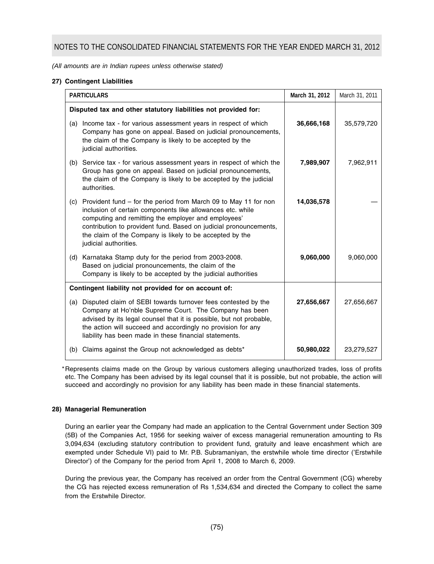*(All amounts are in Indian rupees unless otherwise stated)*

# **27) Contingent Liabilities**

| <b>PARTICULARS</b> |                                                                                                                                                                                                                                                                                                                                                | March 31, 2012 | March 31, 2011 |
|--------------------|------------------------------------------------------------------------------------------------------------------------------------------------------------------------------------------------------------------------------------------------------------------------------------------------------------------------------------------------|----------------|----------------|
|                    | Disputed tax and other statutory liabilities not provided for:                                                                                                                                                                                                                                                                                 |                |                |
| (a)                | Income tax - for various assessment years in respect of which<br>Company has gone on appeal. Based on judicial pronouncements,<br>the claim of the Company is likely to be accepted by the<br>judicial authorities.                                                                                                                            | 36,666,168     | 35,579,720     |
|                    | (b) Service tax - for various assessment years in respect of which the<br>Group has gone on appeal. Based on judicial pronouncements,<br>the claim of the Company is likely to be accepted by the judicial<br>authorities.                                                                                                                     | 7,989,907      | 7,962,911      |
| (c)                | Provident fund – for the period from March 09 to May 11 for non<br>inclusion of certain components like allowances etc. while<br>computing and remitting the employer and employees'<br>contribution to provident fund. Based on judicial pronouncements,<br>the claim of the Company is likely to be accepted by the<br>judicial authorities. | 14,036,578     |                |
|                    | (d) Karnataka Stamp duty for the period from 2003-2008.<br>Based on judicial pronouncements, the claim of the<br>Company is likely to be accepted by the judicial authorities                                                                                                                                                                  | 9,060,000      | 9,060,000      |
|                    | Contingent liability not provided for on account of:                                                                                                                                                                                                                                                                                           |                |                |
|                    | (a) Disputed claim of SEBI towards turnover fees contested by the<br>Company at Ho'nble Supreme Court. The Company has been<br>advised by its legal counsel that it is possible, but not probable,<br>the action will succeed and accordingly no provision for any<br>liability has been made in these financial statements.                   | 27,656,667     | 27,656,667     |
|                    | (b) Claims against the Group not acknowledged as debts*                                                                                                                                                                                                                                                                                        | 50,980,022     | 23,279,527     |

\*Represents claims made on the Group by various customers alleging unauthorized trades, loss of profits etc. The Company has been advised by its legal counsel that it is possible, but not probable, the action will succeed and accordingly no provision for any liability has been made in these financial statements.

# **28) Managerial Remuneration**

During an earlier year the Company had made an application to the Central Government under Section 309 (5B) of the Companies Act, 1956 for seeking waiver of excess managerial remuneration amounting to Rs 3,094,634 (excluding statutory contribution to provident fund, gratuity and leave encashment which are exempted under Schedule VI) paid to Mr. P.B. Subramaniyan, the erstwhile whole time director ('Erstwhile Director') of the Company for the period from April 1, 2008 to March 6, 2009.

During the previous year, the Company has received an order from the Central Government (CG) whereby the CG has rejected excess remuneration of Rs 1,534,634 and directed the Company to collect the same from the Erstwhile Director.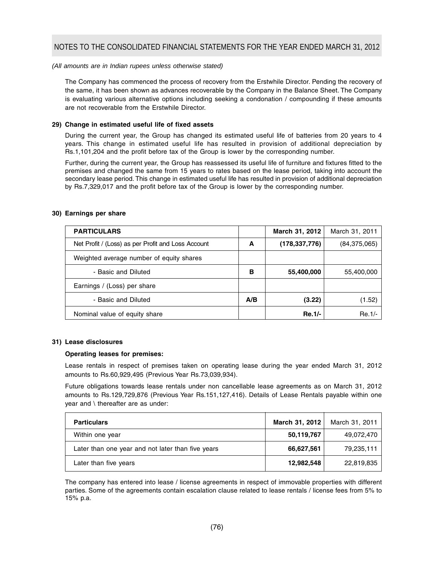## *(All amounts are in Indian rupees unless otherwise stated)*

The Company has commenced the process of recovery from the Erstwhile Director. Pending the recovery of the same, it has been shown as advances recoverable by the Company in the Balance Sheet. The Company is evaluating various alternative options including seeking a condonation / compounding if these amounts are not recoverable from the Erstwhile Director.

## **29) Change in estimated useful life of fixed assets**

During the current year, the Group has changed its estimated useful life of batteries from 20 years to 4 years. This change in estimated useful life has resulted in provision of additional depreciation by Rs.1,101,204 and the profit before tax of the Group is lower by the corresponding number.

Further, during the current year, the Group has reassessed its useful life of furniture and fixtures fitted to the premises and changed the same from 15 years to rates based on the lease period, taking into account the secondary lease period. This change in estimated useful life has resulted in provision of additional depreciation by Rs.7,329,017 and the profit before tax of the Group is lower by the corresponding number.

## **30) Earnings per share**

| <b>PARTICULARS</b>                                 |     | March 31, 2012  | March 31, 2011 |
|----------------------------------------------------|-----|-----------------|----------------|
| Net Profit / (Loss) as per Profit and Loss Account | A   | (178, 337, 776) | (84, 375, 065) |
| Weighted average number of equity shares           |     |                 |                |
| - Basic and Diluted                                | в   | 55,400,000      | 55,400,000     |
| Earnings / (Loss) per share                        |     |                 |                |
| - Basic and Diluted                                | A/B | (3.22)          | (1.52)         |
| Nominal value of equity share                      |     | <b>Re.1/-</b>   | $Re.1/-$       |

#### **31) Lease disclosures**

## **Operating leases for premises:**

Lease rentals in respect of premises taken on operating lease during the year ended March 31, 2012 amounts to Rs.60,929,495 (Previous Year Rs.73,039,934).

Future obligations towards lease rentals under non cancellable lease agreements as on March 31, 2012 amounts to Rs.129,729,876 (Previous Year Rs.151,127,416). Details of Lease Rentals payable within one year and \ thereafter are as under:

| <b>Particulars</b>                                | March 31, 2012 | March 31, 2011 |
|---------------------------------------------------|----------------|----------------|
| Within one year                                   | 50,119,767     | 49,072,470     |
| Later than one year and not later than five years | 66,627,561     | 79,235,111     |
| Later than five years                             | 12,982,548     | 22,819,835     |

The company has entered into lease / license agreements in respect of immovable properties with different parties. Some of the agreements contain escalation clause related to lease rentals / license fees from 5% to 15% p.a.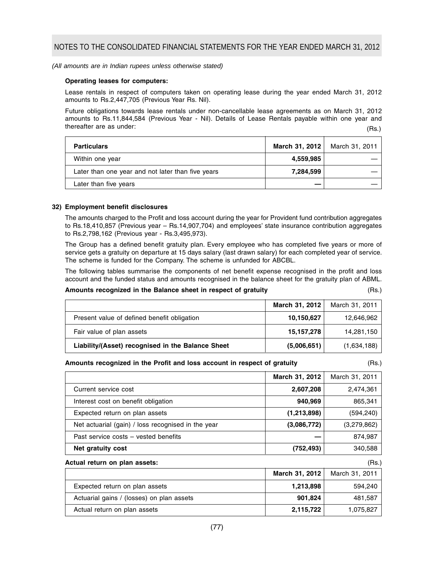## *(All amounts are in Indian rupees unless otherwise stated)*

## **Operating leases for computers:**

Lease rentals in respect of computers taken on operating lease during the year ended March 31, 2012 amounts to Rs.2,447,705 (Previous Year Rs. Nil).

Future obligations towards lease rentals under non-cancellable lease agreements as on March 31, 2012 amounts to Rs.11,844,584 (Previous Year - Nil). Details of Lease Rentals payable within one year and thereafter are as under: (Rs.)

| March 31, 2012 | March 31, 2011 |
|----------------|----------------|
| 4,559,985      |                |
| 7.284.599      |                |
|                |                |
|                |                |

#### **32) Employment benefit disclosures**

The amounts charged to the Profit and loss account during the year for Provident fund contribution aggregates to Rs.18,410,857 (Previous year – Rs.14,907,704) and employees' state insurance contribution aggregates to Rs.2,798,162 (Previous year - Rs.3,495,973).

The Group has a defined benefit gratuity plan. Every employee who has completed five years or more of service gets a gratuity on departure at 15 days salary (last drawn salary) for each completed year of service. The scheme is funded for the Company. The scheme is unfunded for ABCBL.

The following tables summarise the components of net benefit expense recognised in the profit and loss account and the funded status and amounts recognised in the balance sheet for the gratuity plan of ABML.

#### **Amounts recognized in the Balance sheet in respect of gratuity** (Rs.)

|                                                   | March 31, 2012 | March 31, 2011 |
|---------------------------------------------------|----------------|----------------|
| Present value of defined benefit obligation       | 10,150,627     | 12,646,962     |
| Fair value of plan assets                         | 15,157,278     | 14,281,150     |
| Liability/(Asset) recognised in the Balance Sheet | (5,006,651)    | (1,634,188)    |

#### **Amounts recognized in the Profit and loss account in respect of gratuity** (Rs.)

|                                                    | March 31, 2012 | March 31, 2011 |
|----------------------------------------------------|----------------|----------------|
| Current service cost                               | 2,607,208      | 2,474,361      |
| Interest cost on benefit obligation                | 940,969        | 865,341        |
| Expected return on plan assets                     | (1,213,898)    | (594, 240)     |
| Net actuarial (gain) / loss recognised in the year | (3,086,772)    | (3,279,862)    |
| Past service costs – vested benefits               |                | 874,987        |
| Net gratuity cost                                  | (752,493)      | 340,588        |

| Actual return on plan assets:             |                | (Rs.)          |
|-------------------------------------------|----------------|----------------|
|                                           | March 31, 2012 | March 31, 2011 |
| Expected return on plan assets            | 1,213,898      | 594.240        |
| Actuarial gains / (losses) on plan assets | 901,824        | 481,587        |
| Actual return on plan assets              | 2,115,722      | 1,075,827      |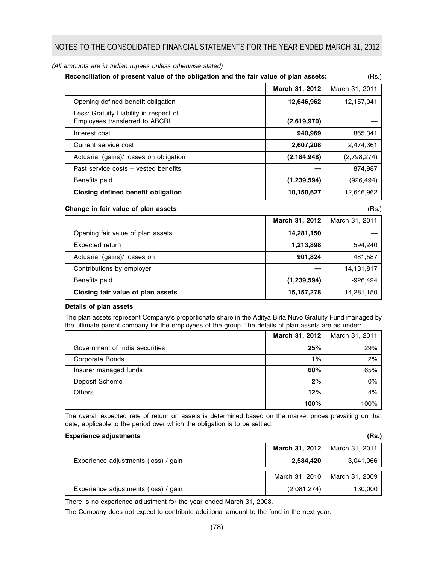*(All amounts are in Indian rupees unless otherwise stated)*

| Reconciliation of present value of the obligation and the fair value of plan assets:<br>(Rs.) |                |                |
|-----------------------------------------------------------------------------------------------|----------------|----------------|
|                                                                                               | March 31, 2012 | March 31, 2011 |
| Opening defined benefit obligation                                                            | 12,646,962     | 12,157,041     |
| Less: Gratuity Liability in respect of<br>Employees transferred to ABCBL                      | (2,619,970)    |                |
| Interest cost                                                                                 | 940,969        | 865,341        |
| Current service cost                                                                          | 2,607,208      | 2,474,361      |
| Actuarial (gains)/ losses on obligation                                                       | (2, 184, 948)  | (2,798,274)    |
| Past service costs – vested benefits                                                          |                | 874.987        |
| Benefits paid                                                                                 | (1,239,594)    | (926, 494)     |
| Closing defined benefit obligation                                                            | 10,150,627     | 12,646,962     |

# **Change in fair value of plan assets** (Rs.)

|                                   | March 31, 2012 | March 31, 2011 |
|-----------------------------------|----------------|----------------|
| Opening fair value of plan assets | 14,281,150     |                |
| Expected return                   | 1,213,898      | 594.240        |
| Actuarial (gains)/ losses on      | 901,824        | 481,587        |
| Contributions by employer         |                | 14,131,817     |
| Benefits paid                     | (1,239,594)    | $-926.494$     |
| Closing fair value of plan assets | 15,157,278     | 14,281,150     |

## **Details of plan assets**

The plan assets represent Company's proportionate share in the Aditya Birla Nuvo Gratuity Fund managed by the ultimate parent company for the employees of the group. The details of plan assets are as under:

|                                | March 31, 2012 | March 31, 2011 |
|--------------------------------|----------------|----------------|
| Government of India securities | 25%            | 29%            |
| Corporate Bonds                | $1\%$          | 2%             |
| Insurer managed funds          | 60%            | 65%            |
| Deposit Scheme                 | 2%             | 0%             |
| <b>Others</b>                  | 12%            | 4%             |
|                                | 100%           | 100%           |

The overall expected rate of return on assets is determined based on the market prices prevailing on that date, applicable to the period over which the obligation is to be settled.

| <b>Experience adjustments</b>        |                | (Rs.)          |
|--------------------------------------|----------------|----------------|
|                                      | March 31, 2012 | March 31, 2011 |
| Experience adjustments (loss) / gain | 2,584,420      | 3,041,066      |
|                                      | March 31, 2010 | March 31, 2009 |
| Experience adjustments (loss) / gain | (2,081,274)    | 130,000        |

There is no experience adjustment for the year ended March 31, 2008.

The Company does not expect to contribute additional amount to the fund in the next year.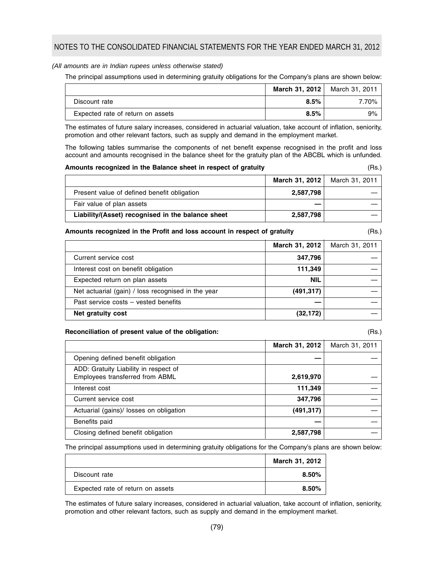## *(All amounts are in Indian rupees unless otherwise stated)*

The principal assumptions used in determining gratuity obligations for the Company's plans are shown below:

|                                   |      | March 31, 2012   March 31, 2011 |
|-----------------------------------|------|---------------------------------|
| Discount rate                     | 8.5% | 7.70%                           |
| Expected rate of return on assets | 8.5% | 9%                              |

The estimates of future salary increases, considered in actuarial valuation, take account of inflation, seniority, promotion and other relevant factors, such as supply and demand in the employment market.

The following tables summarise the components of net benefit expense recognised in the profit and loss account and amounts recognised in the balance sheet for the gratuity plan of the ABCBL which is unfunded.

| Amounts recognized in the Balance sheet in respect of gratuity |                                                   |                | (Rs.)          |
|----------------------------------------------------------------|---------------------------------------------------|----------------|----------------|
|                                                                |                                                   | March 31, 2012 | March 31, 2011 |
|                                                                | Present value of defined benefit obligation       | 2,587,798      |                |
|                                                                | Fair value of plan assets                         |                |                |
|                                                                | Liability/(Asset) recognised in the balance sheet | 2,587,798      |                |

#### **Amounts recognized in the Profit and loss account in respect of gratuity** (Rs.)

|                                                    | March 31, 2012 | March 31, 2011 |
|----------------------------------------------------|----------------|----------------|
| Current service cost                               | 347,796        |                |
| Interest cost on benefit obligation                | 111,349        |                |
| Expected return on plan assets                     | <b>NIL</b>     |                |
| Net actuarial (gain) / loss recognised in the year | (491, 317)     |                |
| Past service costs – vested benefits               |                |                |
| Net gratuity cost                                  | (32, 172)      |                |

### **Reconciliation of present value of the obligation:** (Rs.)

**March 31, 2012** March 31, 2011 Opening defined benefit obligation ADD: Gratuity Liability in respect of Employees transferred from ABML **2,619,970** Interest cost **111,349** — **Current service cost** 347,796 Actuarial (gains)/ losses on obligation **(491,317)** (491,317) Benefits paid Closing defined benefit obligation **2,587,798** 

The principal assumptions used in determining gratuity obligations for the Company's plans are shown below:

|                                   | March 31, 2012 |
|-----------------------------------|----------------|
| Discount rate                     | 8.50%          |
| Expected rate of return on assets | 8.50%          |

The estimates of future salary increases, considered in actuarial valuation, take account of inflation, seniority, promotion and other relevant factors, such as supply and demand in the employment market.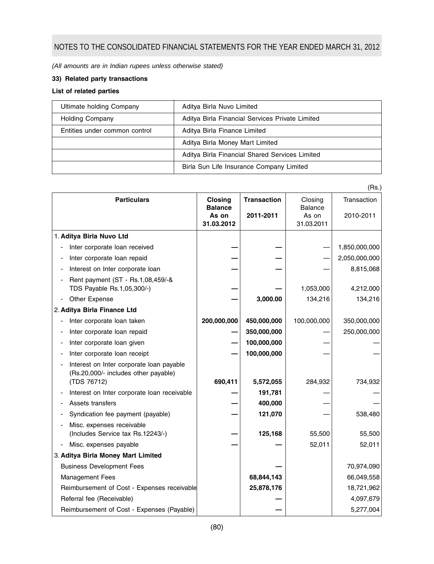*(All amounts are in Indian rupees unless otherwise stated)*

# **33) Related party transactions**

# **List of related parties**

| Ultimate holding Company      | Aditya Birla Nuvo Limited                       |
|-------------------------------|-------------------------------------------------|
| <b>Holding Company</b>        | Aditya Birla Financial Services Private Limited |
| Entities under common control | Aditya Birla Finance Limited                    |
|                               | Aditya Birla Money Mart Limited                 |
|                               | Aditya Birla Financial Shared Services Limited  |
|                               | Birla Sun Life Insurance Company Limited        |

|                                    |                                                                                  |                                  |                    |                           | (Rs.)         |
|------------------------------------|----------------------------------------------------------------------------------|----------------------------------|--------------------|---------------------------|---------------|
|                                    | <b>Particulars</b>                                                               | <b>Closing</b><br><b>Balance</b> | <b>Transaction</b> | Closing<br><b>Balance</b> | Transaction   |
|                                    |                                                                                  | As on<br>31.03.2012              | 2011-2011          | As on<br>31.03.2011       | 2010-2011     |
|                                    | 1. Aditya Birla Nuvo Ltd                                                         |                                  |                    |                           |               |
|                                    | Inter corporate loan received                                                    |                                  |                    |                           | 1,850,000,000 |
|                                    | Inter corporate loan repaid                                                      |                                  |                    |                           | 2,050,000,000 |
|                                    | Interest on Inter corporate loan                                                 |                                  |                    |                           | 8,815,068     |
|                                    | Rent payment (ST - Rs.1,08,459/-&<br>TDS Payable Rs.1,05,300/-)                  |                                  |                    | 1,053,000                 | 4,212,000     |
|                                    | Other Expense                                                                    |                                  | 3,000.00           | 134,216                   | 134,216       |
|                                    | 2. Aditya Birla Finance Ltd                                                      |                                  |                    |                           |               |
|                                    | Inter corporate loan taken                                                       | 200,000,000                      | 450,000,000        | 100,000,000               | 350,000,000   |
|                                    | Inter corporate loan repaid                                                      |                                  | 350,000,000        |                           | 250,000,000   |
|                                    | Inter corporate loan given                                                       |                                  | 100,000,000        |                           |               |
|                                    | Inter corporate loan receipt                                                     |                                  | 100,000,000        |                           |               |
|                                    | Interest on Inter corporate loan payable<br>(Rs.20,000/- includes other payable) |                                  |                    |                           |               |
|                                    | (TDS 76712)                                                                      | 690,411                          | 5,572,055          | 284,932                   | 734,932       |
|                                    | Interest on Inter corporate loan receivable                                      |                                  | 191,781            |                           |               |
|                                    | Assets transfers                                                                 |                                  | 400,000            |                           |               |
|                                    | Syndication fee payment (payable)                                                |                                  | 121,070            |                           | 538,480       |
|                                    | Misc. expenses receivable<br>(Includes Service tax Rs.12243/-)                   |                                  | 125,168            | 55,500                    | 55,500        |
|                                    | Misc. expenses payable                                                           |                                  |                    | 52,011                    | 52,011        |
| 3. Aditya Birla Money Mart Limited |                                                                                  |                                  |                    |                           |               |
|                                    | <b>Business Development Fees</b>                                                 |                                  |                    |                           | 70,974,090    |
|                                    | <b>Management Fees</b>                                                           |                                  | 68,844,143         |                           | 66,049,558    |
|                                    | Reimbursement of Cost - Expenses receivable                                      |                                  | 25,878,176         |                           | 18,721,962    |
|                                    | Referral fee (Receivable)                                                        |                                  |                    |                           | 4,097,679     |
|                                    | Reimbursement of Cost - Expenses (Payable)                                       |                                  |                    |                           | 5,277,004     |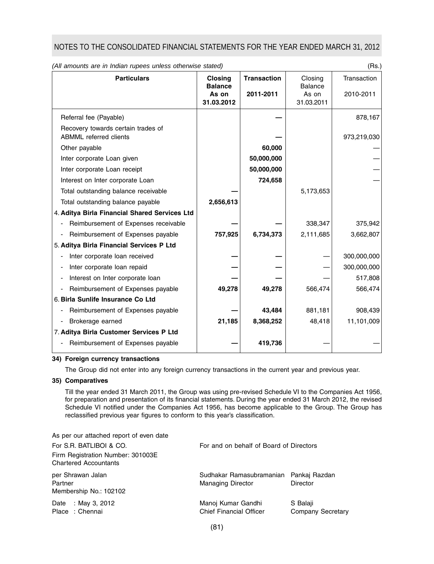| (All amounts are in Indian rupees unless otherwise stated)          |                                  |                    | (Rs.)                     |             |
|---------------------------------------------------------------------|----------------------------------|--------------------|---------------------------|-------------|
| <b>Particulars</b>                                                  | <b>Closing</b><br><b>Balance</b> | <b>Transaction</b> | Closing<br><b>Balance</b> | Transaction |
|                                                                     | As on<br>31.03.2012              | 2011-2011          | As on<br>31.03.2011       | 2010-2011   |
| Referral fee (Payable)                                              |                                  |                    |                           | 878,167     |
| Recovery towards certain trades of<br><b>ABMML</b> referred clients |                                  |                    |                           | 973,219,030 |
| Other payable                                                       |                                  | 60,000             |                           |             |
| Inter corporate Loan given                                          |                                  | 50,000,000         |                           |             |
| Inter corporate Loan receipt                                        |                                  | 50,000,000         |                           |             |
| Interest on Inter corporate Loan                                    |                                  | 724,658            |                           |             |
| Total outstanding balance receivable                                |                                  |                    | 5,173,653                 |             |
| Total outstanding balance payable                                   | 2,656,613                        |                    |                           |             |
| 4. Aditya Birla Financial Shared Services Ltd                       |                                  |                    |                           |             |
| Reimbursement of Expenses receivable<br>$\overline{\phantom{0}}$    |                                  |                    | 338,347                   | 375,942     |
| Reimbursement of Expenses payable                                   | 757,925                          | 6,734,373          | 2,111,685                 | 3,662,807   |
| 5. Aditya Birla Financial Services P Ltd                            |                                  |                    |                           |             |
| Inter corporate loan received                                       |                                  |                    |                           | 300,000,000 |
| Inter corporate loan repaid                                         |                                  |                    |                           | 300,000,000 |
| Interest on Inter corporate loan                                    |                                  |                    |                           | 517,808     |
| Reimbursement of Expenses payable                                   | 49,278                           | 49,278             | 566,474                   | 566,474     |
| 6. Birla Sunlife Insurance Co Ltd                                   |                                  |                    |                           |             |
| Reimbursement of Expenses payable                                   |                                  | 43,484             | 881,181                   | 908,439     |
| Brokerage earned<br>$\overline{\phantom{a}}$                        | 21,185                           | 8,368,252          | 48,418                    | 11,101,009  |
| 7. Aditya Birla Customer Services P Ltd                             |                                  |                    |                           |             |
| Reimbursement of Expenses payable                                   |                                  | 419,736            |                           |             |

#### **34) Foreign currency transactions**

The Group did not enter into any foreign currency transactions in the current year and previous year.

## **35) Comparatives**

Till the year ended 31 March 2011, the Group was using pre-revised Schedule VI to the Companies Act 1956, for preparation and presentation of its financial statements. During the year ended 31 March 2012, the revised Schedule VI notified under the Companies Act 1956, has become applicable to the Group. The Group has reclassified previous year figures to conform to this year's classification.

| As per our attached report of even date                           |                                                      |                                      |  |
|-------------------------------------------------------------------|------------------------------------------------------|--------------------------------------|--|
| For S.R. BATLIBOI & CO.                                           | For and on behalf of Board of Directors              |                                      |  |
| Firm Registration Number: 301003E<br><b>Chartered Accountants</b> |                                                      |                                      |  |
| per Shrawan Jalan<br>Partner<br>Membership No.: 102102            | Sudhakar Ramasubramanian<br><b>Managing Director</b> | Pankaj Razdan<br>Director            |  |
| Date : May 3, 2012<br>Place: Chennai                              | Manoj Kumar Gandhi<br><b>Chief Financial Officer</b> | S Balaji<br><b>Company Secretary</b> |  |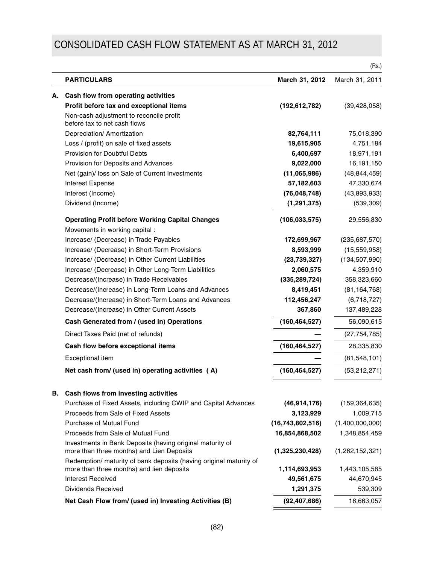# CONSOLIDATED CASH FLOW STATEMENT AS AT MARCH 31, 2012

|                                                                                                                 |                  | (Rs.)           |
|-----------------------------------------------------------------------------------------------------------------|------------------|-----------------|
| <b>PARTICULARS</b>                                                                                              | March 31, 2012   | March 31, 2011  |
| A. Cash flow from operating activities                                                                          |                  |                 |
| Profit before tax and exceptional items                                                                         | (192, 612, 782)  | (39, 428, 058)  |
| Non-cash adjustment to reconcile profit<br>before tax to net cash flows                                         |                  |                 |
| Depreciation/ Amortization                                                                                      | 82,764,111       | 75,018,390      |
| Loss / (profit) on sale of fixed assets                                                                         | 19,615,905       | 4,751,184       |
| Provision for Doubtful Debts                                                                                    | 6,400,697        | 18,971,191      |
| Provision for Deposits and Advances                                                                             | 9,022,000        | 16,191,150      |
| Net (gain)/ loss on Sale of Current Investments                                                                 | (11,065,986)     | (48, 844, 459)  |
| Interest Expense                                                                                                | 57,182,603       | 47,330,674      |
| Interest (Income)                                                                                               | (76, 048, 748)   | (43,893,933)    |
| Dividend (Income)                                                                                               | (1, 291, 375)    | (539, 309)      |
| <b>Operating Profit before Working Capital Changes</b><br>Movements in working capital :                        | (106, 033, 575)  | 29,556,830      |
| Increase/ (Decrease) in Trade Payables                                                                          | 172,699,967      | (235, 687, 570) |
| Increase/ (Decrease) in Short-Term Provisions                                                                   | 8,593,999        | (15,559,958)    |
| Increase/ (Decrease) in Other Current Liabilities                                                               | (23, 739, 327)   | (134, 507, 990) |
| Increase/ (Decrease) in Other Long-Term Liabilities                                                             | 2,060,575        | 4,359,910       |
| Decrease/(Increase) in Trade Receivables                                                                        | (335, 289, 724)  | 358,323,660     |
| Decrease/(Increase) in Long-Term Loans and Advances                                                             | 8,419,451        | (81, 164, 768)  |
| Decrease/(Increase) in Short-Term Loans and Advances                                                            | 112,456,247      | (6,718,727)     |
| Decrease/(Increase) in Other Current Assets                                                                     | 367,860          | 137,489,228     |
| Cash Generated from / (used in) Operations                                                                      | (160, 464, 527)  | 56,090,615      |
| Direct Taxes Paid (net of refunds)                                                                              |                  | (27, 754, 785)  |
| Cash flow before exceptional items                                                                              | (160, 464, 527)  | 28,335,830      |
| Exceptional item                                                                                                |                  | (81, 548, 101)  |
| Net cash from/ (used in) operating activities (A)                                                               | (160, 464, 527)  | (53, 212, 271)  |
| B. Cash flows from investing activities                                                                         |                  |                 |
| Purchase of Fixed Assets, including CWIP and Capital Advances                                                   | (46, 914, 176)   | (159, 364, 635) |
| Proceeds from Sale of Fixed Assets                                                                              | 3,123,929        | 1,009,715       |
| <b>Purchase of Mutual Fund</b>                                                                                  | (16,743,802,516) | (1,400,000,000) |
| Proceeds from Sale of Mutual Fund                                                                               | 16,854,868,502   | 1,348,854,459   |
| Investments in Bank Deposits (having original maturity of<br>more than three months) and Lien Deposits          | (1,325,230,428)  | (1,262,152,321) |
| Redemption/ maturity of bank deposits (having original maturity of<br>more than three months) and lien deposits | 1,114,693,953    | 1,443,105,585   |
| <b>Interest Received</b>                                                                                        | 49,561,675       | 44,670,945      |
| Dividends Received                                                                                              | 1,291,375        | 539,309         |
|                                                                                                                 |                  |                 |
| Net Cash Flow from/ (used in) Investing Activities (B)                                                          | (92, 407, 686)   | 16,663,057      |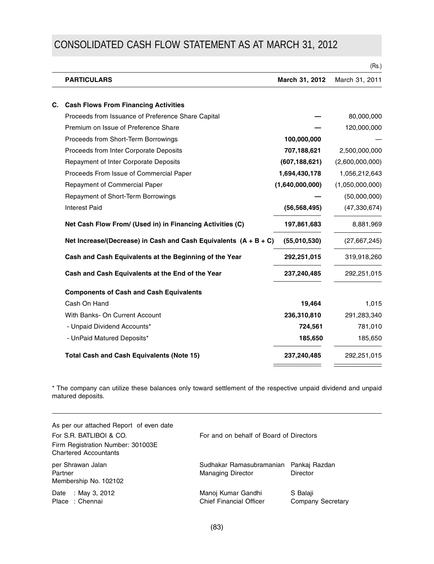# CONSOLIDATED CASH FLOW STATEMENT AS AT MARCH 31, 2012

|    |                                                                    |                 | (Rs.)           |
|----|--------------------------------------------------------------------|-----------------|-----------------|
|    | <b>PARTICULARS</b>                                                 | March 31, 2012  | March 31, 2011  |
| C. | <b>Cash Flows From Financing Activities</b>                        |                 |                 |
|    | Proceeds from Issuance of Preference Share Capital                 |                 | 80,000,000      |
|    | Premium on Issue of Preference Share                               |                 | 120,000,000     |
|    | Proceeds from Short-Term Borrowings                                | 100,000,000     |                 |
|    | Proceeds from Inter Corporate Deposits                             | 707,188,621     | 2,500,000,000   |
|    | Repayment of Inter Corporate Deposits                              | (607, 188, 621) | (2,600,000,000) |
|    | Proceeds From Issue of Commercial Paper                            | 1,694,430,178   | 1,056,212,643   |
|    | <b>Repayment of Commercial Paper</b>                               | (1,640,000,000) | (1,050,000,000) |
|    | Repayment of Short-Term Borrowings                                 |                 | (50,000,000)    |
|    | <b>Interest Paid</b>                                               | (56, 568, 495)  | (47, 330, 674)  |
|    | Net Cash Flow From/ (Used in) in Financing Activities (C)          | 197,861,683     | 8,881,969       |
|    | Net Increase/(Decrease) in Cash and Cash Equivalents $(A + B + C)$ | (55,010,530)    | (27,667,245)    |
|    | Cash and Cash Equivalents at the Beginning of the Year             | 292,251,015     | 319,918,260     |
|    | Cash and Cash Equivalents at the End of the Year                   | 237,240,485     | 292,251,015     |
|    | <b>Components of Cash and Cash Equivalents</b>                     |                 |                 |
|    | Cash On Hand                                                       | 19,464          | 1,015           |
|    | With Banks- On Current Account                                     | 236,310,810     | 291,283,340     |
|    | - Unpaid Dividend Accounts*                                        | 724,561         | 781,010         |
|    | - UnPaid Matured Deposits*                                         | 185,650         | 185,650         |
|    | <b>Total Cash and Cash Equivalents (Note 15)</b>                   | 237,240,485     | 292,251,015     |

\* The company can utilize these balances only toward settlement of the respective unpaid dividend and unpaid matured deposits.

<u> Elizabeth Chile</u>

| As per our attached Report of even date<br>For S.R. BATLIBOI & CO.<br>Firm Registration Number: 301003E<br><b>Chartered Accountants</b> | For and on behalf of Board of Directors                            |                               |  |
|-----------------------------------------------------------------------------------------------------------------------------------------|--------------------------------------------------------------------|-------------------------------|--|
| per Shrawan Jalan<br>Partner<br>Membership No. 102102                                                                                   | Sudhakar Ramasubramanian Pankai Razdan<br><b>Managing Director</b> | Director                      |  |
| : May 3, 2012<br>Date<br>Place: Chennai                                                                                                 | Manoj Kumar Gandhi<br><b>Chief Financial Officer</b>               | S Balaji<br>Company Secretary |  |